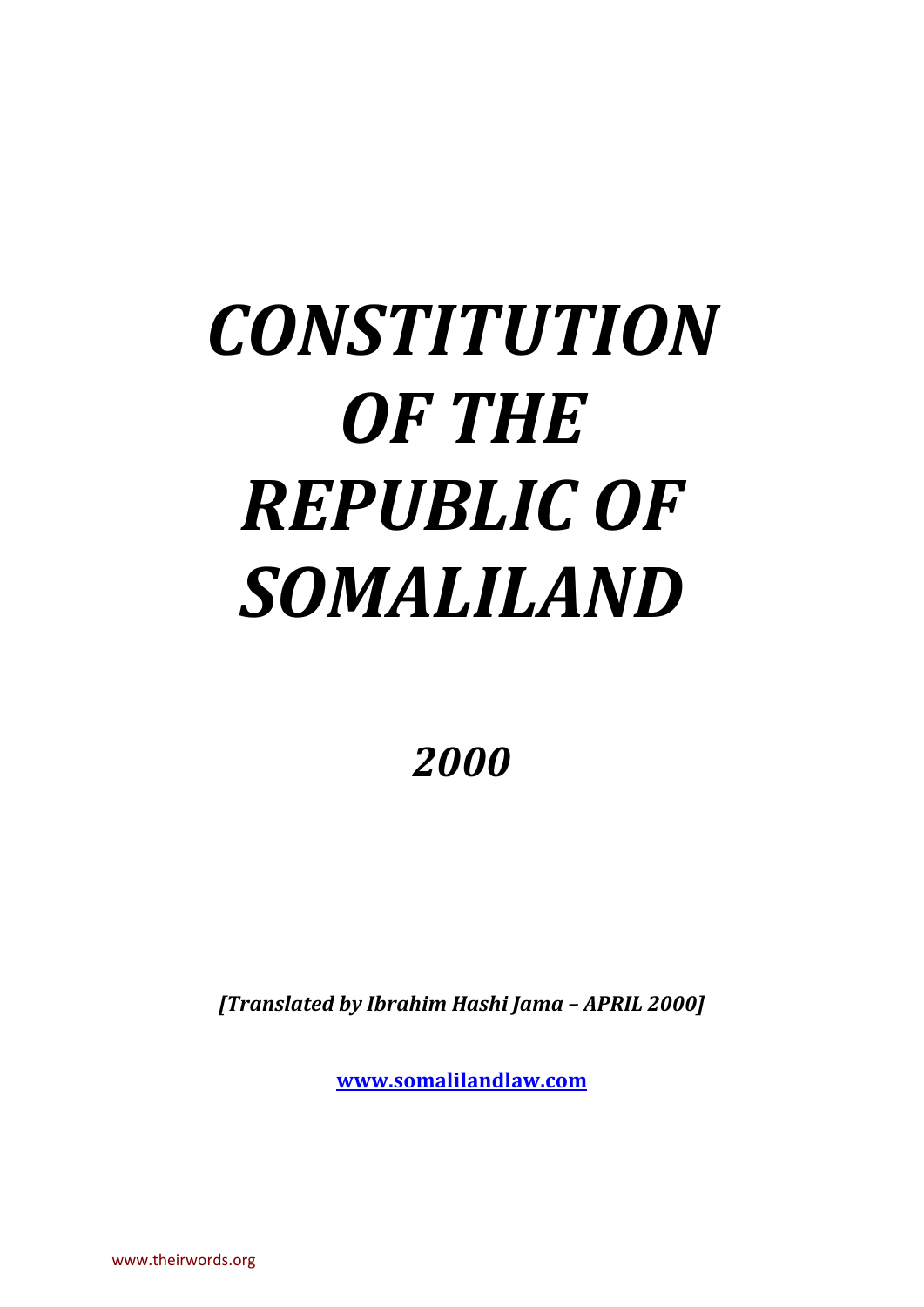# *CONSTITUTION OF THE REPUBLIC OF SOMALILAND*

*2000*

*[Translated by Ibrahim Hashi Jama – APRIL 2000]*

**[www.somalilandlaw.com](http://www.somalilandlaw.com/)** 

www.theirwords.org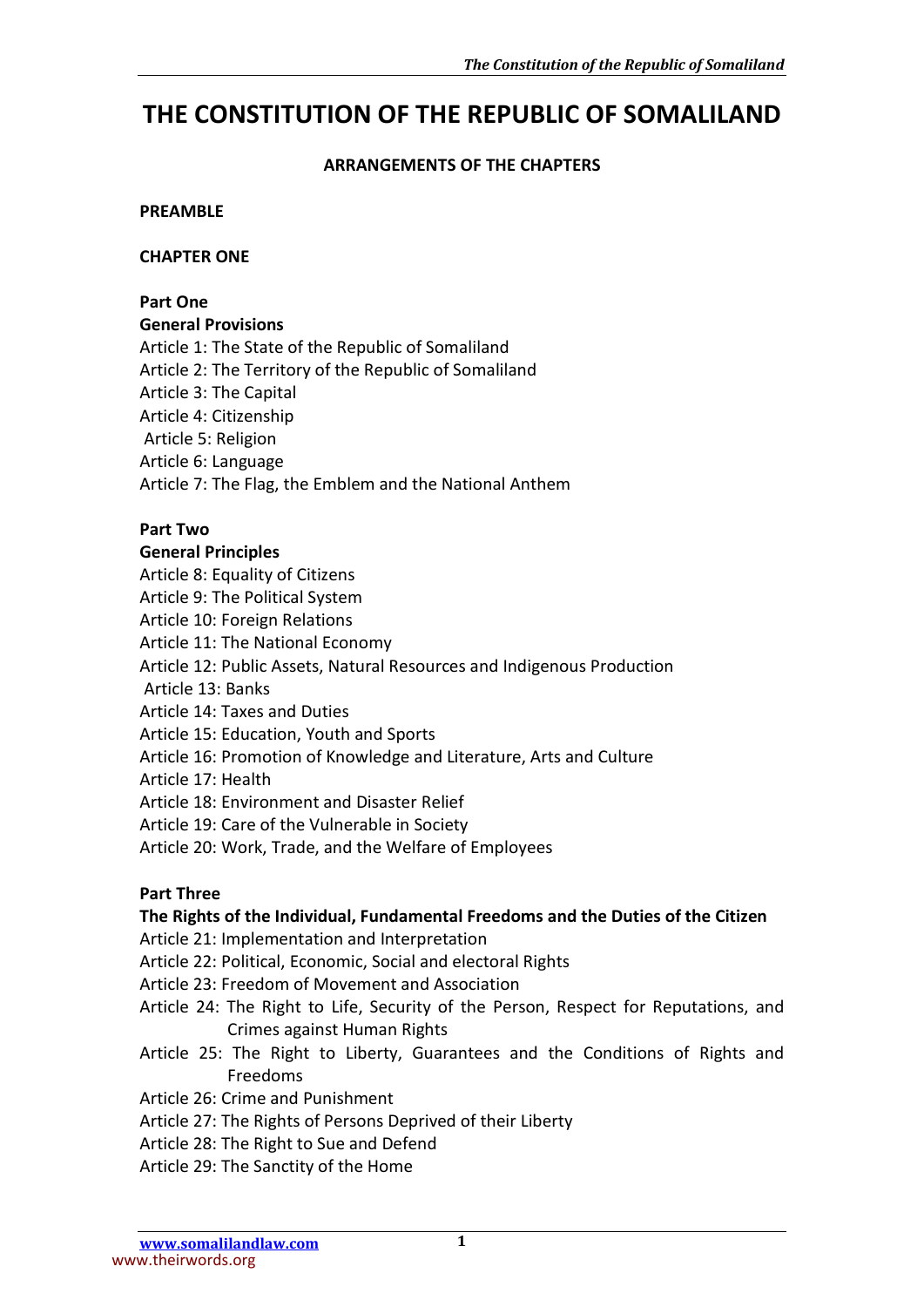# **THE CONSTITUTION OF THE REPUBLIC OF SOMALILAND**

# **ARRANGEMENTS OF THE CHAPTERS**

# **PREAMBLE**

# **CHAPTER ONE**

# **Part One**

## **General Provisions**

Article 1: The State of the Republic of Somaliland

Article 2: The Territory of the Republic of Somaliland

- Article 3: The Capital
- Article 4: Citizenship
- Article 5: Religion
- Article 6: Language
- Article 7: The Flag, the Emblem and the National Anthem

# **Part Two**

# **General Principles**

- Article 8: Equality of Citizens
- Article 9: The Political System
- Article 10: Foreign Relations
- Article 11: The National Economy
- Article 12: Public Assets, Natural Resources and Indigenous Production
- Article 13: Banks
- Article 14: Taxes and Duties
- Article 15: Education, Youth and Sports
- Article 16: Promotion of Knowledge and Literature, Arts and Culture
- Article 17: Health
- Article 18: Environment and Disaster Relief
- Article 19: Care of the Vulnerable in Society
- Article 20: Work, Trade, and the Welfare of Employees

# **Part Three**

# **The Rights of the Individual, Fundamental Freedoms and the Duties of the Citizen**

- Article 21: Implementation and Interpretation
- Article 22: Political, Economic, Social and electoral Rights
- Article 23: Freedom of Movement and Association
- Article 24: The Right to Life, Security of the Person, Respect for Reputations, and Crimes against Human Rights
- Article 25: The Right to Liberty, Guarantees and the Conditions of Rights and Freedoms
- Article 26: Crime and Punishment
- Article 27: The Rights of Persons Deprived of their Liberty
- Article 28: The Right to Sue and Defend
- Article 29: The Sanctity of the Home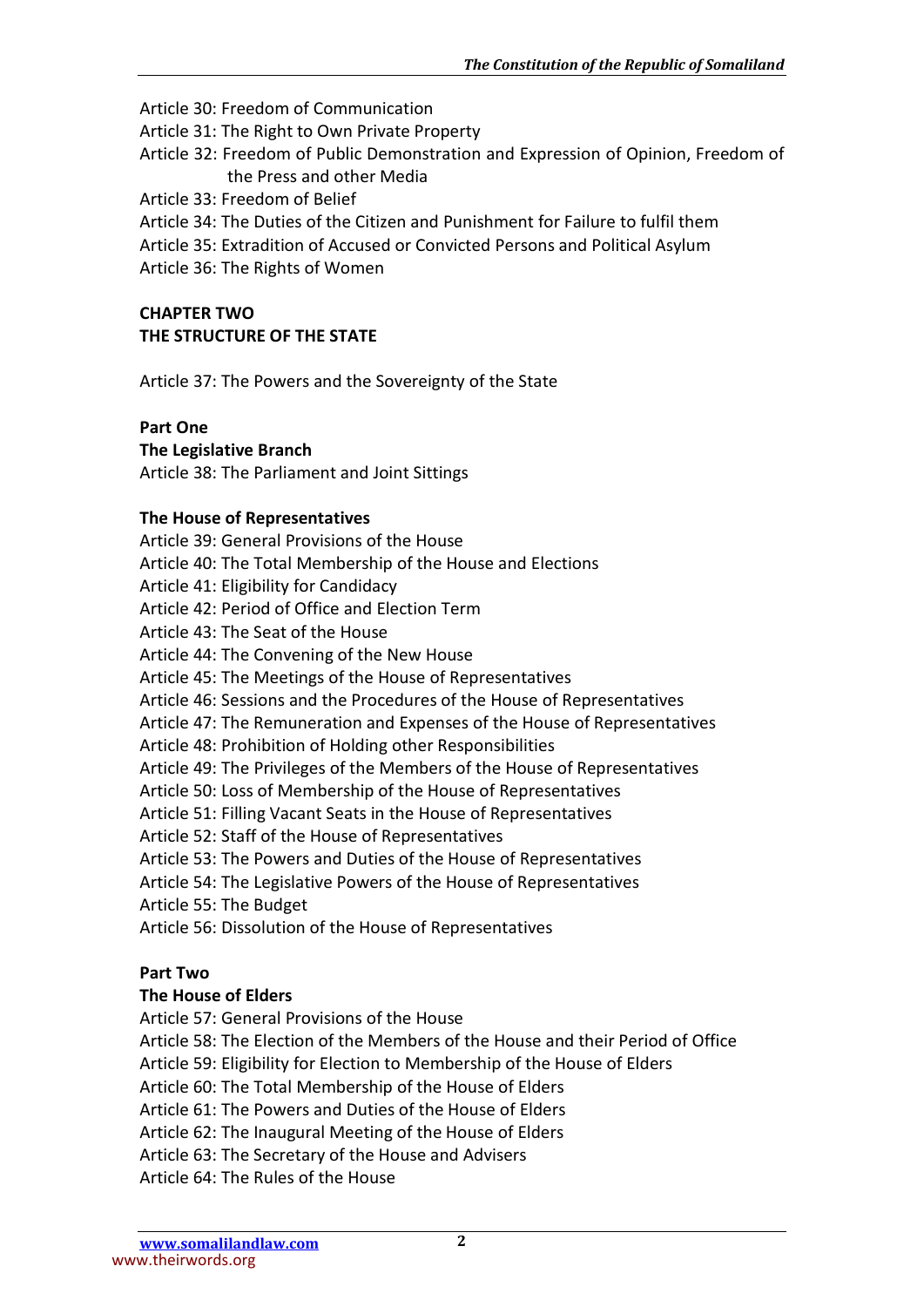Article 30: Freedom of Communication

Article 31: The Right to Own Private Property

- Article 32: Freedom of Public Demonstration and Expression of Opinion, Freedom of the Press and other Media
- Article 33: Freedom of Belief

Article 34: The Duties of the Citizen and Punishment for Failure to fulfil them

Article 35: Extradition of Accused or Convicted Persons and Political Asylum

Article 36: The Rights of Women

#### **CHAPTER TWO THE STRUCTURE OF THE STATE**

Article 37: The Powers and the Sovereignty of the State

#### **Part One**

**The Legislative Branch**

Article 38: The Parliament and Joint Sittings

#### **The House of Representatives**

Article 39: General Provisions of the House Article 40: The Total Membership of the House and Elections Article 41: Eligibility for Candidacy Article 42: Period of Office and Election Term Article 43: The Seat of the House Article 44: The Convening of the New House Article 45: The Meetings of the House of Representatives Article 46: Sessions and the Procedures of the House of Representatives Article 47: The Remuneration and Expenses of the House of Representatives Article 48: Prohibition of Holding other Responsibilities Article 49: The Privileges of the Members of the House of Representatives Article 50: Loss of Membership of the House of Representatives Article 51: Filling Vacant Seats in the House of Representatives Article 52: Staff of the House of Representatives Article 53: The Powers and Duties of the House of Representatives Article 54: The Legislative Powers of the House of Representatives Article 55: The Budget Article 56: Dissolution of the House of Representatives

#### **Part Two**

#### **The House of Elders**

Article 57: General Provisions of the House

Article 58: The Election of the Members of the House and their Period of Office

Article 59: Eligibility for Election to Membership of the House of Elders

Article 60: The Total Membership of the House of Elders

Article 61: The Powers and Duties of the House of Elders

Article 62: The Inaugural Meeting of the House of Elders

Article 63: The Secretary of the House and Advisers

Article 64: The Rules of the House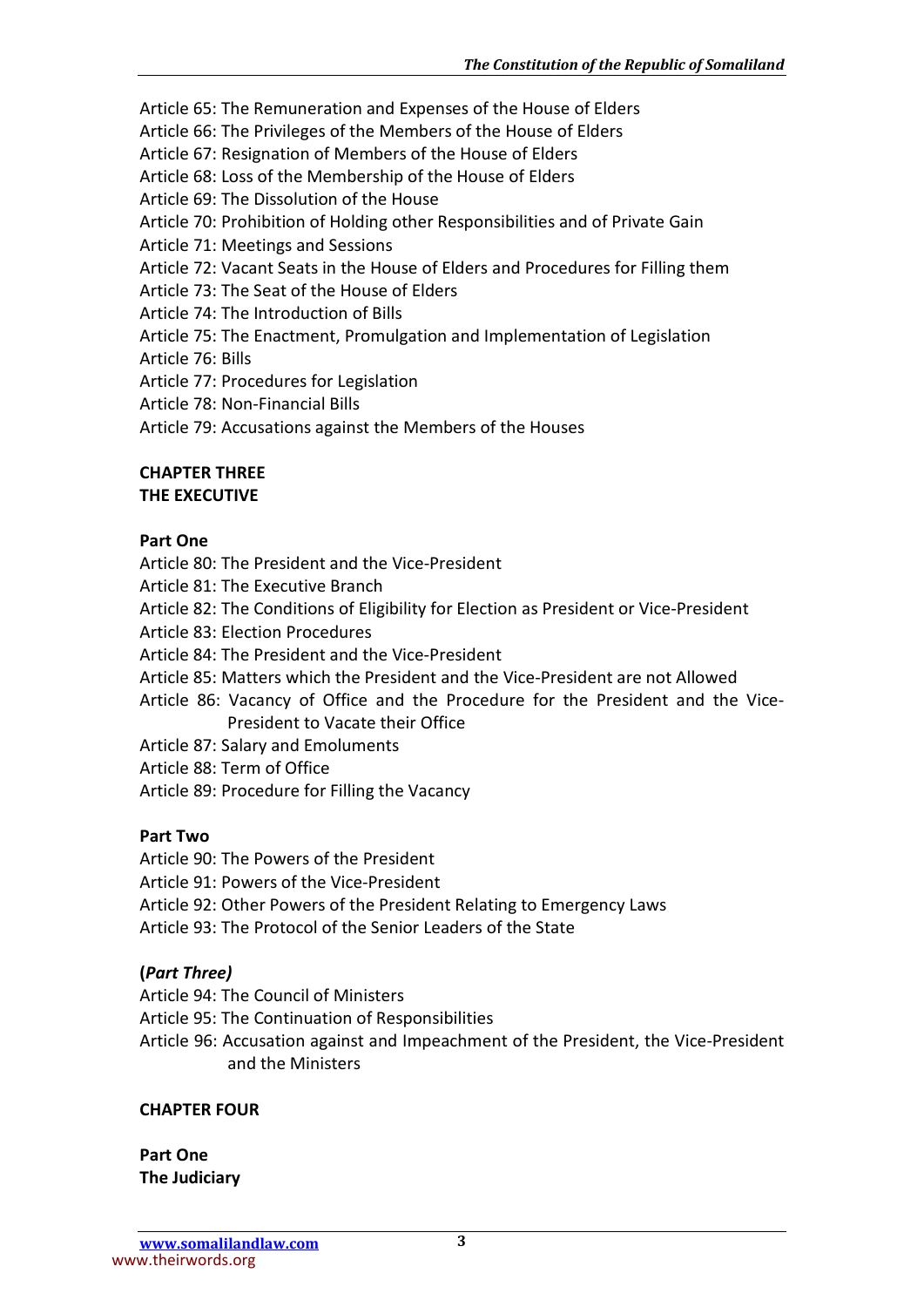Article 65: The Remuneration and Expenses of the House of Elders

Article 66: The Privileges of the Members of the House of Elders

Article 67: Resignation of Members of the House of Elders

Article 68: Loss of the Membership of the House of Elders

Article 69: The Dissolution of the House

Article 70: Prohibition of Holding other Responsibilities and of Private Gain

Article 71: Meetings and Sessions

Article 72: Vacant Seats in the House of Elders and Procedures for Filling them

Article 73: The Seat of the House of Elders

Article 74: The Introduction of Bills

Article 75: The Enactment, Promulgation and Implementation of Legislation

Article 76: Bills

Article 77: Procedures for Legislation

Article 78: Non-Financial Bills

Article 79: Accusations against the Members of the Houses

# **CHAPTER THREE**

# **THE EXECUTIVE**

# **Part One**

Article 80: The President and the Vice-President

Article 81: The Executive Branch

Article 82: The Conditions of Eligibility for Election as President or Vice-President

Article 83: Election Procedures

Article 84: The President and the Vice-President

Article 85: Matters which the President and the Vice-President are not Allowed

Article 86: Vacancy of Office and the Procedure for the President and the Vice-President to Vacate their Office

Article 87: Salary and Emoluments

Article 88: Term of Office

Article 89: Procedure for Filling the Vacancy

# **Part Two**

Article 90: The Powers of the President

Article 91: Powers of the Vice-President

Article 92: Other Powers of the President Relating to Emergency Laws

Article 93: The Protocol of the Senior Leaders of the State

# **(***Part Three)*

Article 94: The Council of Ministers

Article 95: The Continuation of Responsibilities

Article 96: Accusation against and Impeachment of the President, the Vice-President and the Ministers

# **CHAPTER FOUR**

**Part One The Judiciary**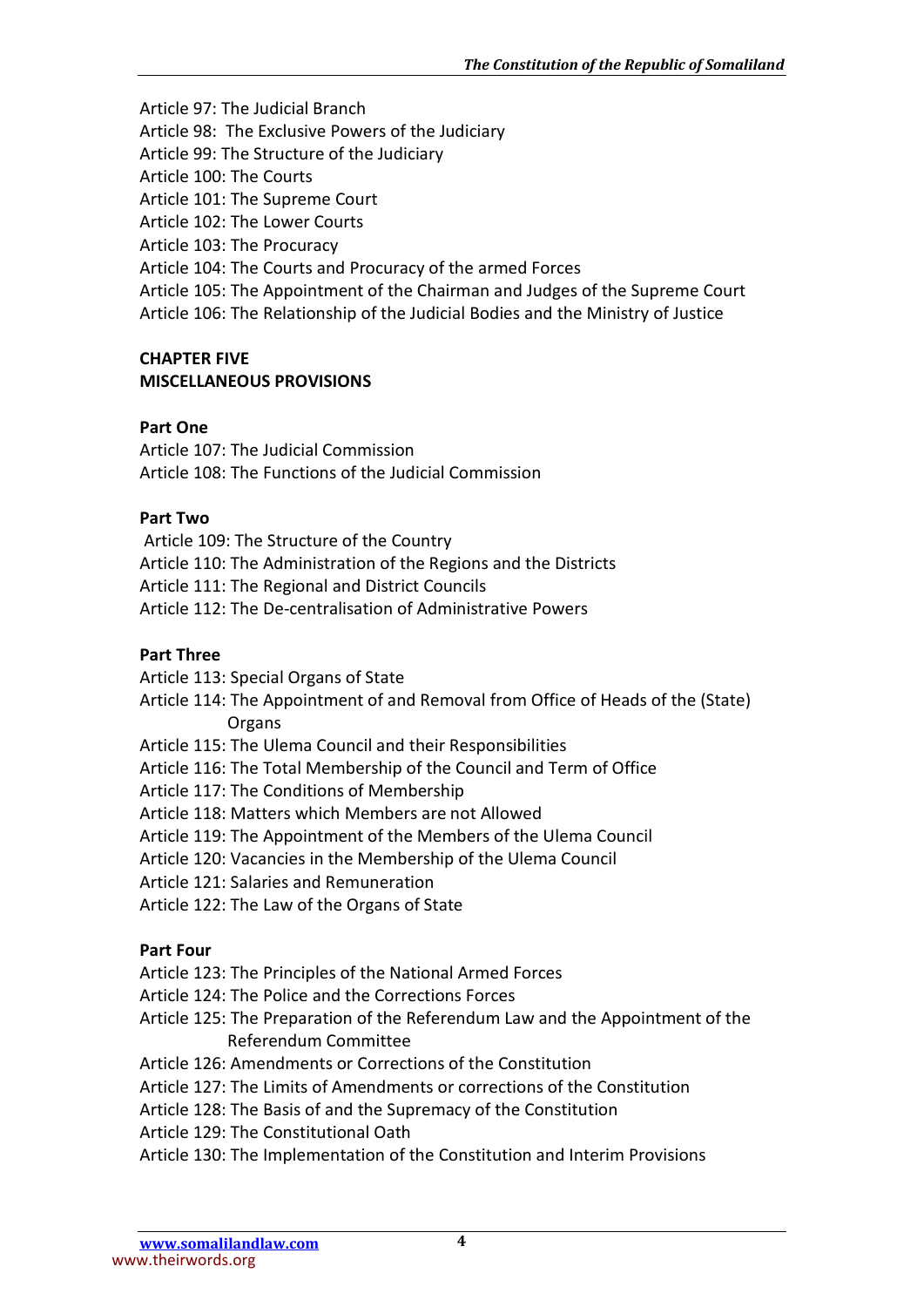Article 97: The Judicial Branch

Article 98: The Exclusive Powers of the Judiciary

Article 99: The Structure of the Judiciary

Article 100: The Courts

Article 101: The Supreme Court

Article 102: The Lower Courts

Article 103: The Procuracy

Article 104: The Courts and Procuracy of the armed Forces

Article 105: The Appointment of the Chairman and Judges of the Supreme Court

Article 106: The Relationship of the Judicial Bodies and the Ministry of Justice

# **CHAPTER FIVE**

# **MISCELLANEOUS PROVISIONS**

# **Part One**

Article 107: The Judicial Commission Article 108: The Functions of the Judicial Commission

# **Part Two**

Article 109: The Structure of the Country Article 110: The Administration of the Regions and the Districts Article 111: The Regional and District Councils Article 112: The De-centralisation of Administrative Powers

# **Part Three**

Article 113: Special Organs of State

Article 114: The Appointment of and Removal from Office of Heads of the (State) **Organs** 

Article 115: The Ulema Council and their Responsibilities

Article 116: The Total Membership of the Council and Term of Office

Article 117: The Conditions of Membership

Article 118: Matters which Members are not Allowed

Article 119: The Appointment of the Members of the Ulema Council

Article 120: Vacancies in the Membership of the Ulema Council

- Article 121: Salaries and Remuneration
- Article 122: The Law of the Organs of State

# **Part Four**

Article 123: The Principles of the National Armed Forces

- Article 124: The Police and the Corrections Forces
- Article 125: The Preparation of the Referendum Law and the Appointment of the Referendum Committee

Article 126: Amendments or Corrections of the Constitution

Article 127: The Limits of Amendments or corrections of the Constitution

Article 128: The Basis of and the Supremacy of the Constitution

Article 129: The Constitutional Oath

Article 130: The Implementation of the Constitution and Interim Provisions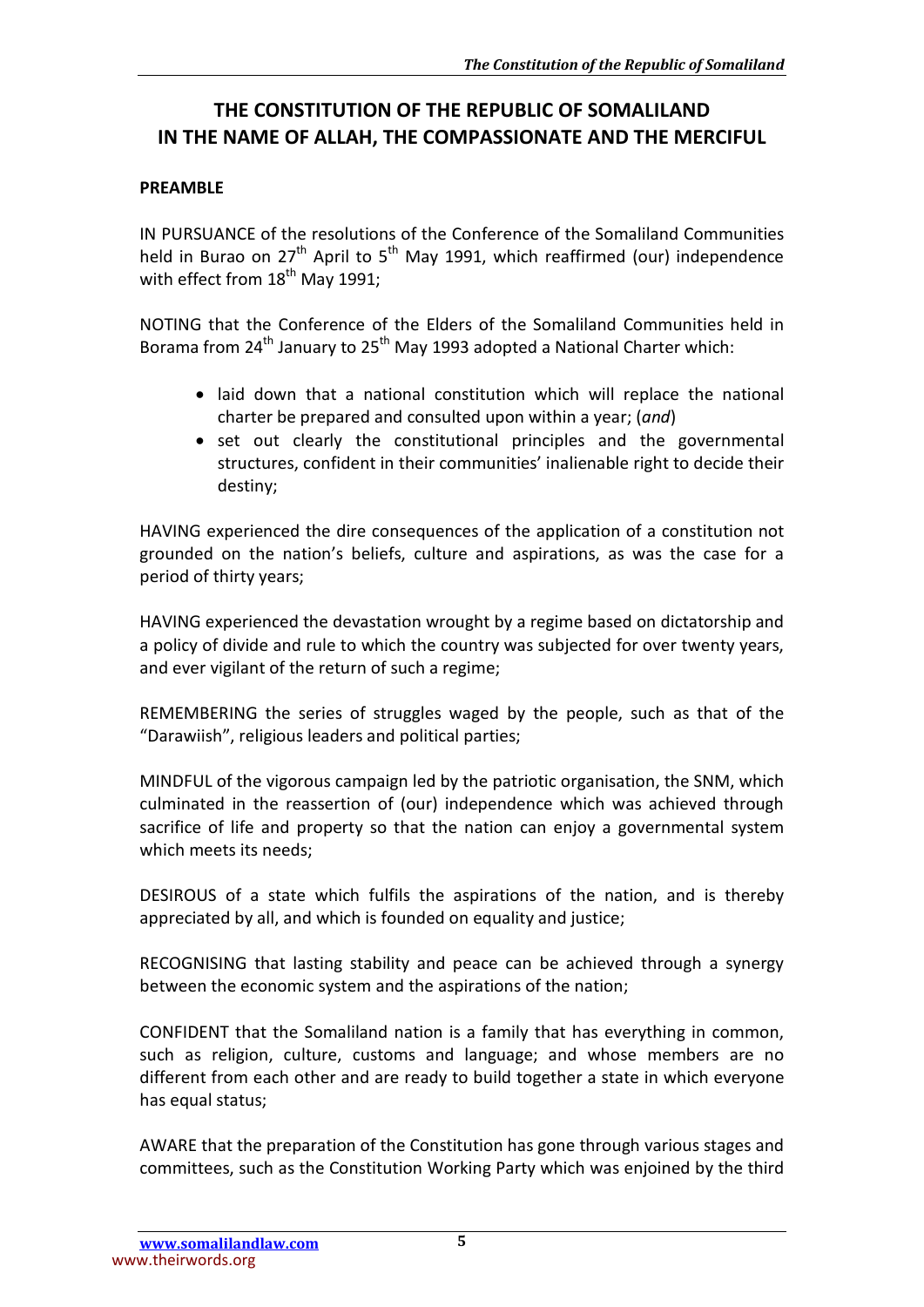# **THE CONSTITUTION OF THE REPUBLIC OF SOMALILAND IN THE NAME OF ALLAH, THE COMPASSIONATE AND THE MERCIFUL**

# **PREAMBLE**

IN PURSUANCE of the resolutions of the Conference of the Somaliland Communities held in Burao on  $27<sup>th</sup>$  April to  $5<sup>th</sup>$  May 1991, which reaffirmed (our) independence with effect from  $18<sup>th</sup>$  May 1991;

NOTING that the Conference of the Elders of the Somaliland Communities held in Borama from  $24^{th}$  January to  $25^{th}$  May 1993 adopted a National Charter which:

- laid down that a national constitution which will replace the national charter be prepared and consulted upon within a year; (*and*)
- set out clearly the constitutional principles and the governmental structures, confident in their communities' inalienable right to decide their destiny;

HAVING experienced the dire consequences of the application of a constitution not grounded on the nation's beliefs, culture and aspirations, as was the case for a period of thirty years;

HAVING experienced the devastation wrought by a regime based on dictatorship and a policy of divide and rule to which the country was subjected for over twenty years, and ever vigilant of the return of such a regime;

REMEMBERING the series of struggles waged by the people, such as that of the "Darawiish", religious leaders and political parties;

MINDFUL of the vigorous campaign led by the patriotic organisation, the SNM, which culminated in the reassertion of (our) independence which was achieved through sacrifice of life and property so that the nation can enjoy a governmental system which meets its needs;

DESIROUS of a state which fulfils the aspirations of the nation, and is thereby appreciated by all, and which is founded on equality and justice;

RECOGNISING that lasting stability and peace can be achieved through a synergy between the economic system and the aspirations of the nation;

CONFIDENT that the Somaliland nation is a family that has everything in common, such as religion, culture, customs and language; and whose members are no different from each other and are ready to build together a state in which everyone has equal status;

AWARE that the preparation of the Constitution has gone through various stages and committees, such as the Constitution Working Party which was enjoined by the third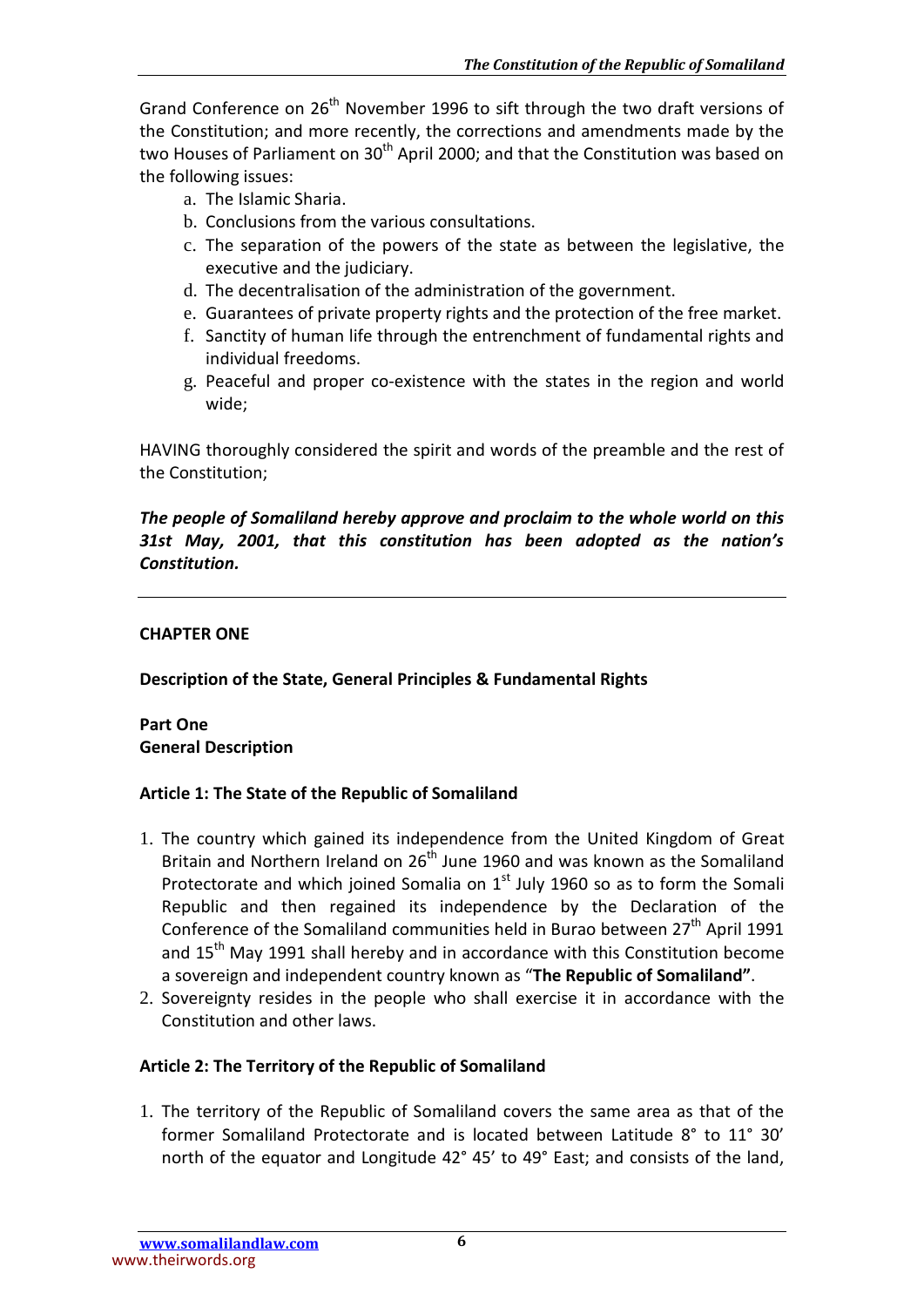Grand Conference on  $26<sup>th</sup>$  November 1996 to sift through the two draft versions of the Constitution; and more recently, the corrections and amendments made by the two Houses of Parliament on 30<sup>th</sup> April 2000; and that the Constitution was based on the following issues:

- a. The Islamic Sharia.
- b. Conclusions from the various consultations.
- c. The separation of the powers of the state as between the legislative, the executive and the judiciary.
- d. The decentralisation of the administration of the government.
- e. Guarantees of private property rights and the protection of the free market.
- f. Sanctity of human life through the entrenchment of fundamental rights and individual freedoms.
- g. Peaceful and proper co-existence with the states in the region and world wide;

HAVING thoroughly considered the spirit and words of the preamble and the rest of the Constitution;

# *The people of Somaliland hereby approve and proclaim to the whole world on this 31st May, 2001, that this constitution has been adopted as the nation's Constitution.*

# **CHAPTER ONE**

# **Description of the State, General Principles & Fundamental Rights**

## **Part One General Description**

# **Article 1: The State of the Republic of Somaliland**

- 1. The country which gained its independence from the United Kingdom of Great Britain and Northern Ireland on  $26<sup>th</sup>$  June 1960 and was known as the Somaliland Protectorate and which joined Somalia on  $1<sup>st</sup>$  July 1960 so as to form the Somali Republic and then regained its independence by the Declaration of the Conference of the Somaliland communities held in Burao between  $27<sup>th</sup>$  April 1991 and  $15<sup>th</sup>$  May 1991 shall hereby and in accordance with this Constitution become a sovereign and independent country known as "**The Republic of Somaliland"**.
- 2. Sovereignty resides in the people who shall exercise it in accordance with the Constitution and other laws.

# **Article 2: The Territory of the Republic of Somaliland**

1. The territory of the Republic of Somaliland covers the same area as that of the former Somaliland Protectorate and is located between Latitude 8° to 11° 30' north of the equator and Longitude 42° 45' to 49° East; and consists of the land,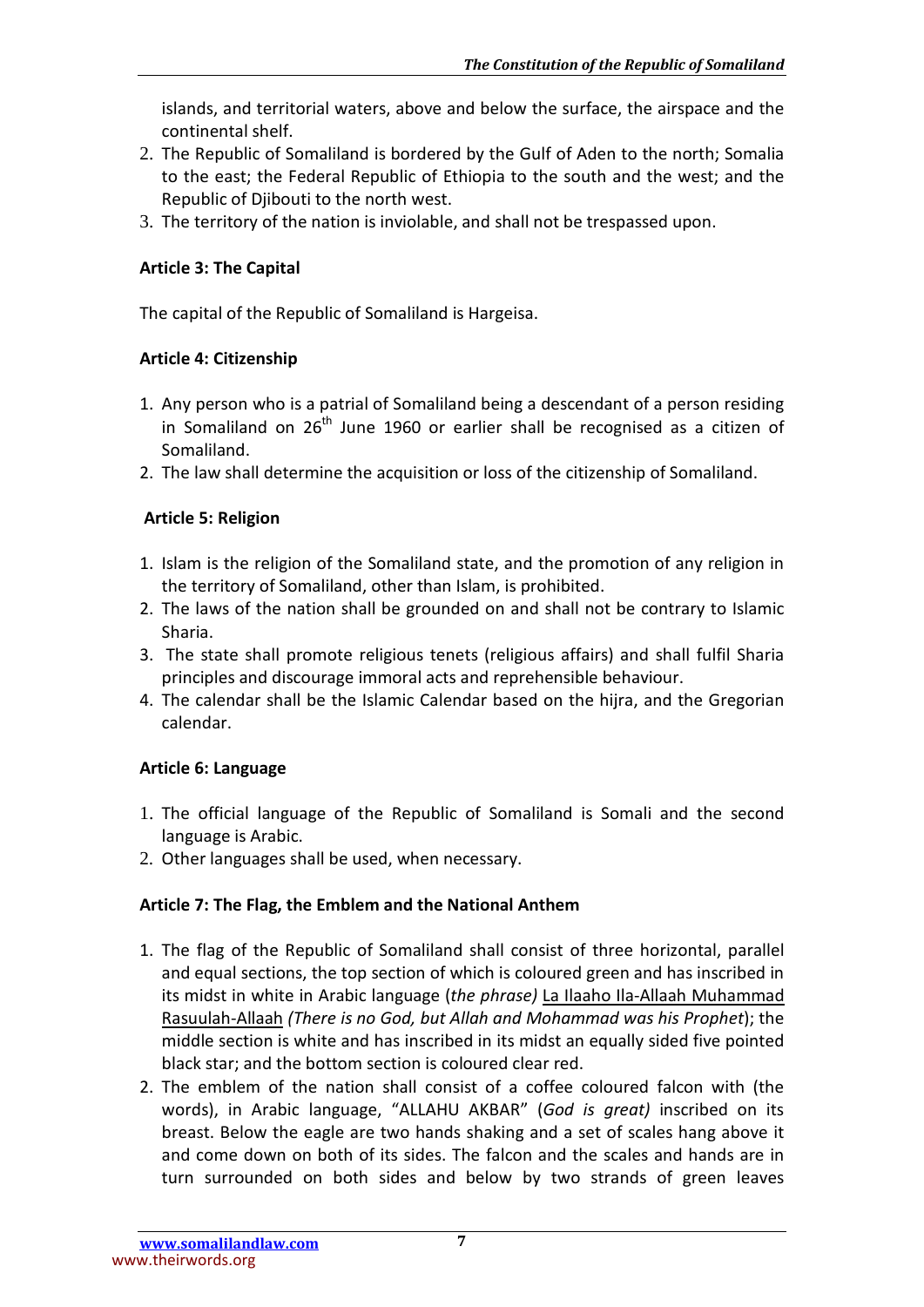islands, and territorial waters, above and below the surface, the airspace and the continental shelf.

- 2. The Republic of Somaliland is bordered by the Gulf of Aden to the north; Somalia to the east; the Federal Republic of Ethiopia to the south and the west; and the Republic of Djibouti to the north west.
- 3. The territory of the nation is inviolable, and shall not be trespassed upon.

## **Article 3: The Capital**

The capital of the Republic of Somaliland is Hargeisa.

#### **Article 4: Citizenship**

- 1. Any person who is a patrial of Somaliland being a descendant of a person residing in Somaliland on  $26<sup>th</sup>$  June 1960 or earlier shall be recognised as a citizen of Somaliland.
- 2. The law shall determine the acquisition or loss of the citizenship of Somaliland.

## **Article 5: Religion**

- 1. Islam is the religion of the Somaliland state, and the promotion of any religion in the territory of Somaliland, other than Islam, is prohibited.
- 2. The laws of the nation shall be grounded on and shall not be contrary to Islamic Sharia.
- 3. The state shall promote religious tenets (religious affairs) and shall fulfil Sharia principles and discourage immoral acts and reprehensible behaviour.
- 4. The calendar shall be the Islamic Calendar based on the hijra, and the Gregorian calendar.

#### **Article 6: Language**

- 1. The official language of the Republic of Somaliland is Somali and the second language is Arabic.
- 2. Other languages shall be used, when necessary.

#### **Article 7: The Flag, the Emblem and the National Anthem**

- 1. The flag of the Republic of Somaliland shall consist of three horizontal, parallel and equal sections, the top section of which is coloured green and has inscribed in its midst in white in Arabic language (*the phrase)* La Ilaaho Ila-Allaah Muhammad Rasuulah-Allaah *(There is no God, but Allah and Mohammad was his Prophet*); the middle section is white and has inscribed in its midst an equally sided five pointed black star; and the bottom section is coloured clear red.
- 2. The emblem of the nation shall consist of a coffee coloured falcon with (the words), in Arabic language, "ALLAHU AKBAR" (*God is great)* inscribed on its breast. Below the eagle are two hands shaking and a set of scales hang above it and come down on both of its sides. The falcon and the scales and hands are in turn surrounded on both sides and below by two strands of green leaves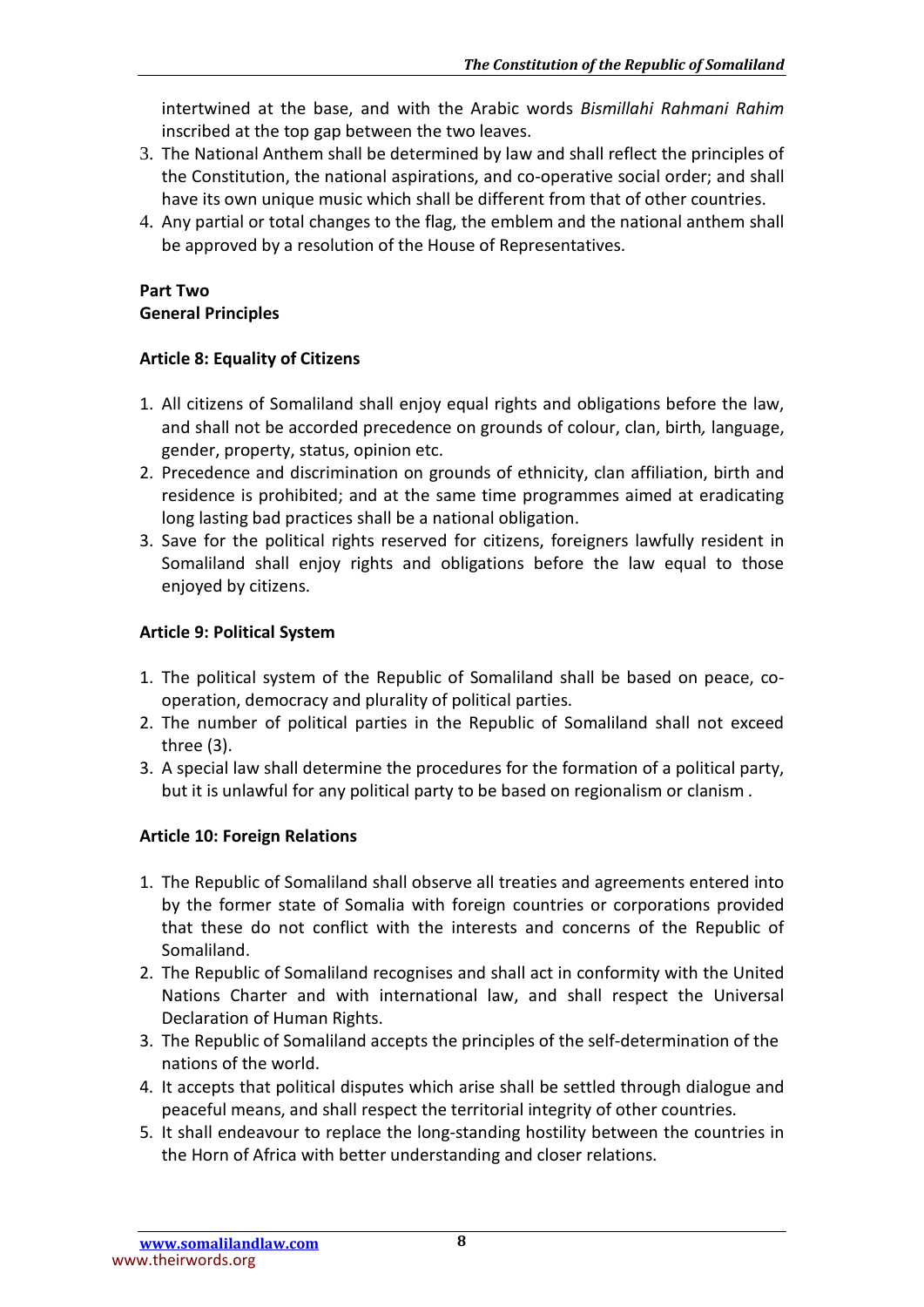intertwined at the base, and with the Arabic words *Bismillahi Rahmani Rahim*  inscribed at the top gap between the two leaves.

- 3. The National Anthem shall be determined by law and shall reflect the principles of the Constitution, the national aspirations, and co-operative social order; and shall have its own unique music which shall be different from that of other countries.
- 4. Any partial or total changes to the flag, the emblem and the national anthem shall be approved by a resolution of the House of Representatives.

#### **Part Two General Principles**

# **Article 8: Equality of Citizens**

- 1. All citizens of Somaliland shall enjoy equal rights and obligations before the law, and shall not be accorded precedence on grounds of colour, clan, birth*,* language, gender, property, status, opinion etc.
- 2. Precedence and discrimination on grounds of ethnicity, clan affiliation, birth and residence is prohibited; and at the same time programmes aimed at eradicating long lasting bad practices shall be a national obligation.
- 3. Save for the political rights reserved for citizens, foreigners lawfully resident in Somaliland shall enjoy rights and obligations before the law equal to those enjoyed by citizens.

# **Article 9: Political System**

- 1. The political system of the Republic of Somaliland shall be based on peace, cooperation, democracy and plurality of political parties.
- 2. The number of political parties in the Republic of Somaliland shall not exceed three (3).
- 3. A special law shall determine the procedures for the formation of a political party, but it is unlawful for any political party to be based on regionalism or clanism *.*

# **Article 10: Foreign Relations**

- 1. The Republic of Somaliland shall observe all treaties and agreements entered into by the former state of Somalia with foreign countries or corporations provided that these do not conflict with the interests and concerns of the Republic of Somaliland.
- 2. The Republic of Somaliland recognises and shall act in conformity with the United Nations Charter and with international law, and shall respect the Universal Declaration of Human Rights.
- 3. The Republic of Somaliland accepts the principles of the self-determination of the nations of the world.
- 4. It accepts that political disputes which arise shall be settled through dialogue and peaceful means, and shall respect the territorial integrity of other countries.
- 5. It shall endeavour to replace the long-standing hostility between the countries in the Horn of Africa with better understanding and closer relations.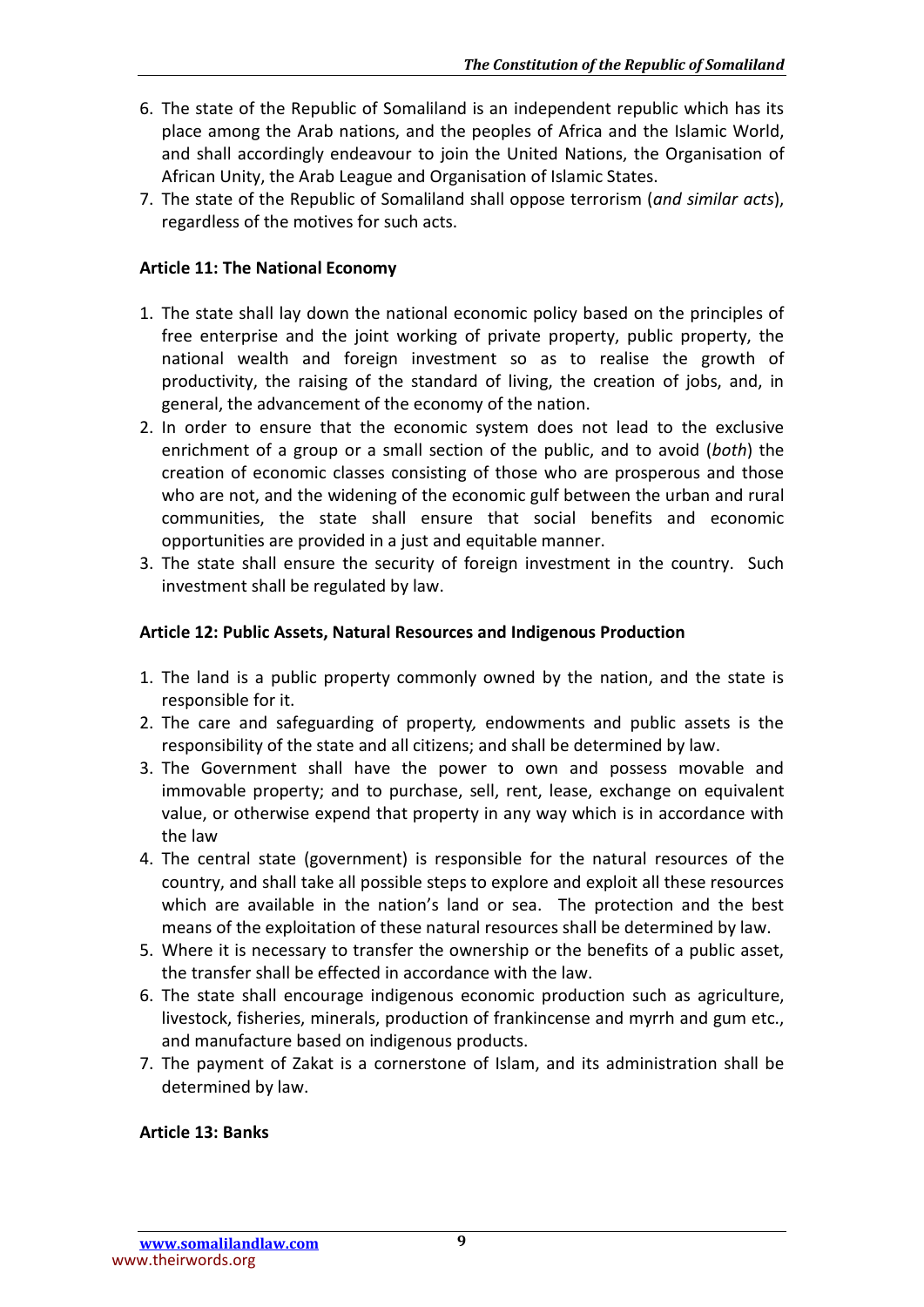- 6. The state of the Republic of Somaliland is an independent republic which has its place among the Arab nations, and the peoples of Africa and the Islamic World, and shall accordingly endeavour to join the United Nations, the Organisation of African Unity, the Arab League and Organisation of Islamic States.
- 7. The state of the Republic of Somaliland shall oppose terrorism (*and similar acts*), regardless of the motives for such acts.

# **Article 11: The National Economy**

- 1. The state shall lay down the national economic policy based on the principles of free enterprise and the joint working of private property, public property, the national wealth and foreign investment so as to realise the growth of productivity, the raising of the standard of living, the creation of jobs, and, in general, the advancement of the economy of the nation.
- 2. In order to ensure that the economic system does not lead to the exclusive enrichment of a group or a small section of the public, and to avoid (*both*) the creation of economic classes consisting of those who are prosperous and those who are not, and the widening of the economic gulf between the urban and rural communities, the state shall ensure that social benefits and economic opportunities are provided in a just and equitable manner.
- 3. The state shall ensure the security of foreign investment in the country. Such investment shall be regulated by law.

## **Article 12: Public Assets, Natural Resources and Indigenous Production**

- 1. The land is a public property commonly owned by the nation, and the state is responsible for it.
- 2. The care and safeguarding of property*,* endowments and public assets is the responsibility of the state and all citizens; and shall be determined by law.
- 3. The Government shall have the power to own and possess movable and immovable property; and to purchase, sell, rent, lease, exchange on equivalent value, or otherwise expend that property in any way which is in accordance with the law
- 4. The central state (government) is responsible for the natural resources of the country, and shall take all possible steps to explore and exploit all these resources which are available in the nation's land or sea. The protection and the best means of the exploitation of these natural resources shall be determined by law.
- 5. Where it is necessary to transfer the ownership or the benefits of a public asset, the transfer shall be effected in accordance with the law.
- 6. The state shall encourage indigenous economic production such as agriculture, livestock, fisheries, minerals, production of frankincense and myrrh and gum etc., and manufacture based on indigenous products.
- 7. The payment of Zakat is a cornerstone of Islam, and its administration shall be determined by law.

#### **Article 13: Banks**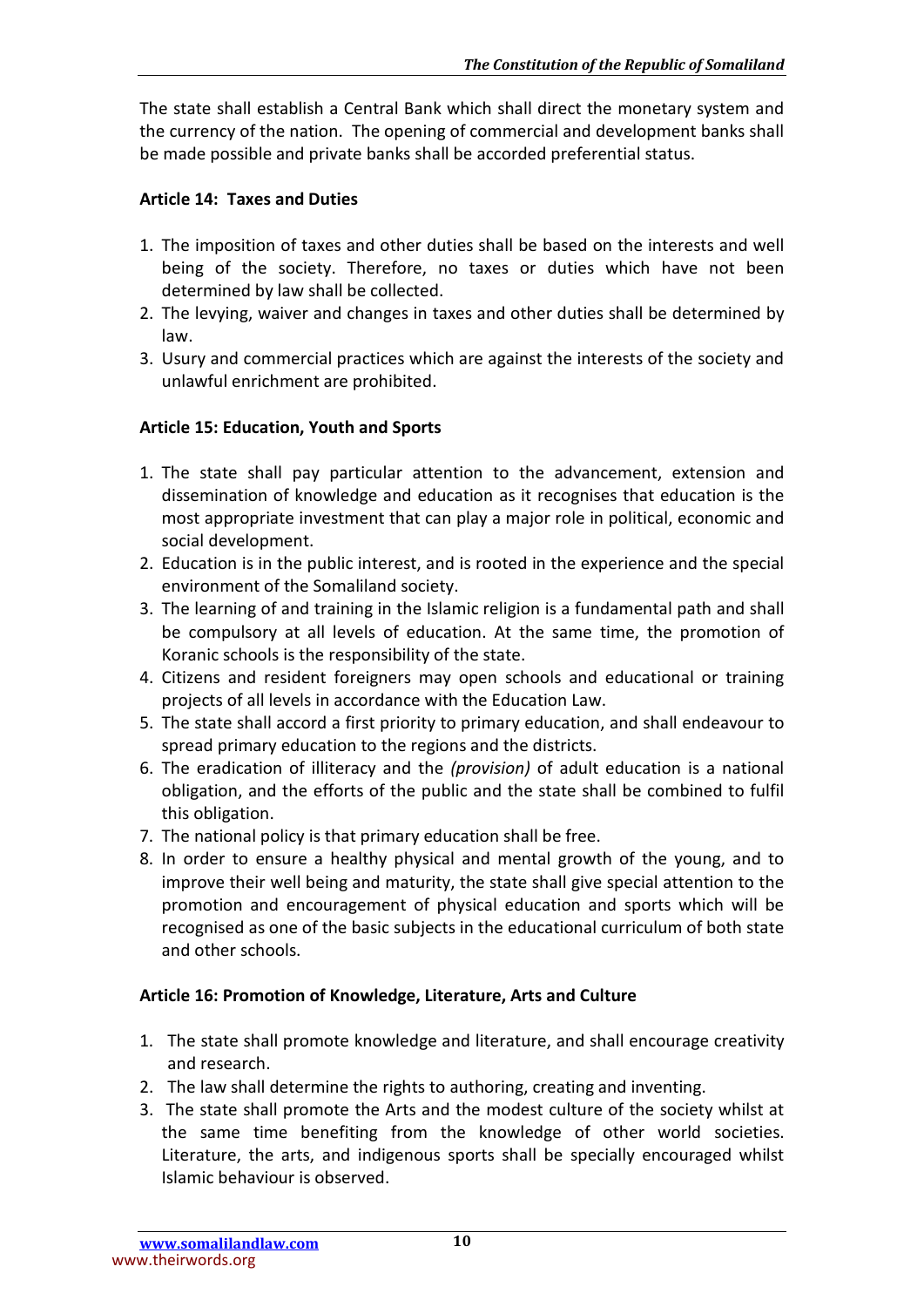The state shall establish a Central Bank which shall direct the monetary system and the currency of the nation. The opening of commercial and development banks shall be made possible and private banks shall be accorded preferential status.

# **Article 14: Taxes and Duties**

- 1. The imposition of taxes and other duties shall be based on the interests and well being of the society. Therefore, no taxes or duties which have not been determined by law shall be collected.
- 2. The levying, waiver and changes in taxes and other duties shall be determined by law.
- 3. Usury and commercial practices which are against the interests of the society and unlawful enrichment are prohibited.

# **Article 15: Education, Youth and Sports**

- 1. The state shall pay particular attention to the advancement, extension and dissemination of knowledge and education as it recognises that education is the most appropriate investment that can play a major role in political, economic and social development.
- 2. Education is in the public interest, and is rooted in the experience and the special environment of the Somaliland society.
- 3. The learning of and training in the Islamic religion is a fundamental path and shall be compulsory at all levels of education. At the same time, the promotion of Koranic schools is the responsibility of the state.
- 4. Citizens and resident foreigners may open schools and educational or training projects of all levels in accordance with the Education Law.
- 5. The state shall accord a first priority to primary education, and shall endeavour to spread primary education to the regions and the districts.
- 6. The eradication of illiteracy and the *(provision)* of adult education is a national obligation, and the efforts of the public and the state shall be combined to fulfil this obligation.
- 7. The national policy is that primary education shall be free.
- 8. In order to ensure a healthy physical and mental growth of the young, and to improve their well being and maturity, the state shall give special attention to the promotion and encouragement of physical education and sports which will be recognised as one of the basic subjects in the educational curriculum of both state and other schools.

# **Article 16: Promotion of Knowledge, Literature, Arts and Culture**

- 1. The state shall promote knowledge and literature, and shall encourage creativity and research.
- 2. The law shall determine the rights to authoring, creating and inventing.
- 3. The state shall promote the Arts and the modest culture of the society whilst at the same time benefiting from the knowledge of other world societies. Literature, the arts, and indigenous sports shall be specially encouraged whilst Islamic behaviour is observed.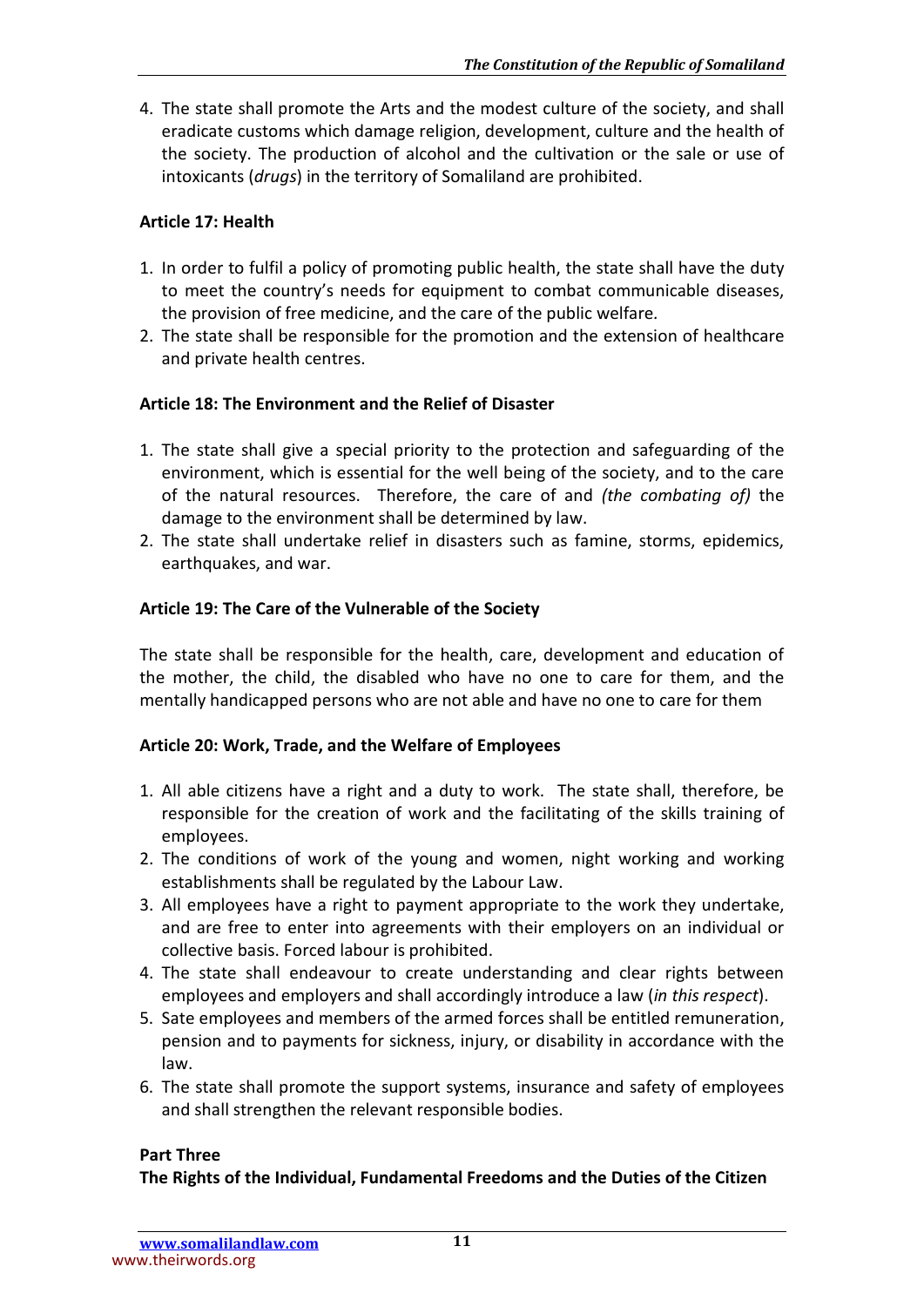4. The state shall promote the Arts and the modest culture of the society, and shall eradicate customs which damage religion, development, culture and the health of the society. The production of alcohol and the cultivation or the sale or use of intoxicants (*drugs*) in the territory of Somaliland are prohibited.

# **Article 17: Health**

- 1. In order to fulfil a policy of promoting public health, the state shall have the duty to meet the country's needs for equipment to combat communicable diseases, the provision of free medicine, and the care of the public welfare*.*
- 2. The state shall be responsible for the promotion and the extension of healthcare and private health centres.

# **Article 18: The Environment and the Relief of Disaster**

- 1. The state shall give a special priority to the protection and safeguarding of the environment, which is essential for the well being of the society, and to the care of the natural resources. Therefore, the care of and *(the combating of)* the damage to the environment shall be determined by law.
- 2. The state shall undertake relief in disasters such as famine, storms, epidemics, earthquakes, and war.

# **Article 19: The Care of the Vulnerable of the Society**

The state shall be responsible for the health, care, development and education of the mother, the child, the disabled who have no one to care for them, and the mentally handicapped persons who are not able and have no one to care for them

# **Article 20: Work, Trade, and the Welfare of Employees**

- 1. All able citizens have a right and a duty to work. The state shall, therefore, be responsible for the creation of work and the facilitating of the skills training of employees.
- 2. The conditions of work of the young and women, night working and working establishments shall be regulated by the Labour Law.
- 3. All employees have a right to payment appropriate to the work they undertake, and are free to enter into agreements with their employers on an individual or collective basis. Forced labour is prohibited.
- 4. The state shall endeavour to create understanding and clear rights between employees and employers and shall accordingly introduce a law (*in this respect*).
- 5. Sate employees and members of the armed forces shall be entitled remuneration, pension and to payments for sickness, injury, or disability in accordance with the law.
- 6. The state shall promote the support systems, insurance and safety of employees and shall strengthen the relevant responsible bodies.

# **Part Three**

**The Rights of the Individual, Fundamental Freedoms and the Duties of the Citizen**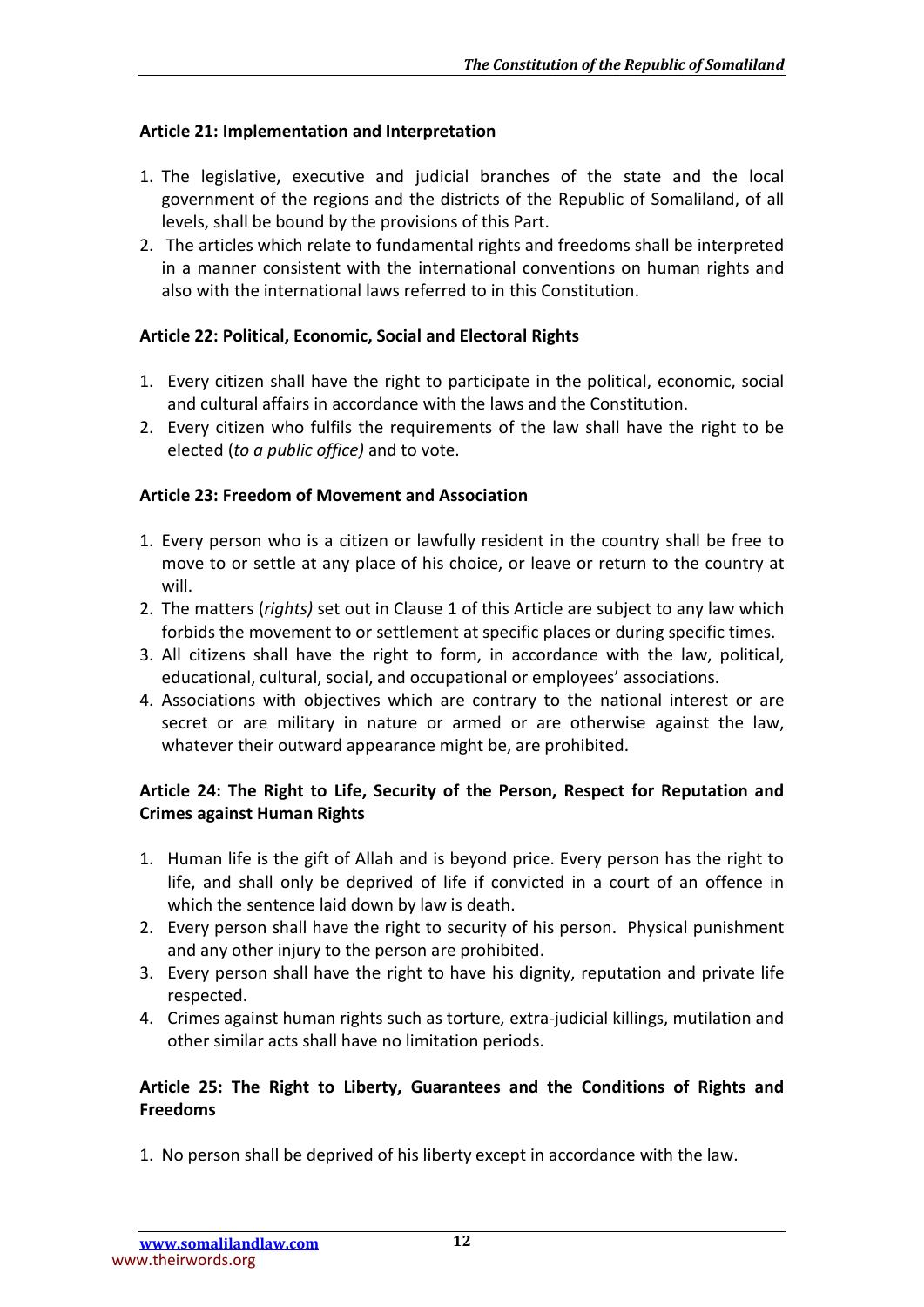# **Article 21: Implementation and Interpretation**

- 1. The legislative, executive and judicial branches of the state and the local government of the regions and the districts of the Republic of Somaliland, of all levels, shall be bound by the provisions of this Part.
- 2. The articles which relate to fundamental rights and freedoms shall be interpreted in a manner consistent with the international conventions on human rights and also with the international laws referred to in this Constitution.

# **Article 22: Political, Economic, Social and Electoral Rights**

- 1. Every citizen shall have the right to participate in the political, economic, social and cultural affairs in accordance with the laws and the Constitution.
- 2. Every citizen who fulfils the requirements of the law shall have the right to be elected (*to a public office)* and to vote.

## **Article 23: Freedom of Movement and Association**

- 1. Every person who is a citizen or lawfully resident in the country shall be free to move to or settle at any place of his choice, or leave or return to the country at will.
- 2. The matters (*rights)* set out in Clause 1 of this Article are subject to any law which forbids the movement to or settlement at specific places or during specific times.
- 3. All citizens shall have the right to form, in accordance with the law, political, educational, cultural, social, and occupational or employees' associations.
- 4. Associations with objectives which are contrary to the national interest or are secret or are military in nature or armed or are otherwise against the law, whatever their outward appearance might be, are prohibited.

## **Article 24: The Right to Life, Security of the Person, Respect for Reputation and Crimes against Human Rights**

- 1. Human life is the gift of Allah and is beyond price. Every person has the right to life, and shall only be deprived of life if convicted in a court of an offence in which the sentence laid down by law is death.
- 2. Every person shall have the right to security of his person. Physical punishment and any other injury to the person are prohibited.
- 3. Every person shall have the right to have his dignity, reputation and private life respected.
- 4. Crimes against human rights such as torture*,* extra-judicial killings, mutilation and other similar acts shall have no limitation periods.

## **Article 25: The Right to Liberty, Guarantees and the Conditions of Rights and Freedoms**

1. No person shall be deprived of his liberty except in accordance with the law.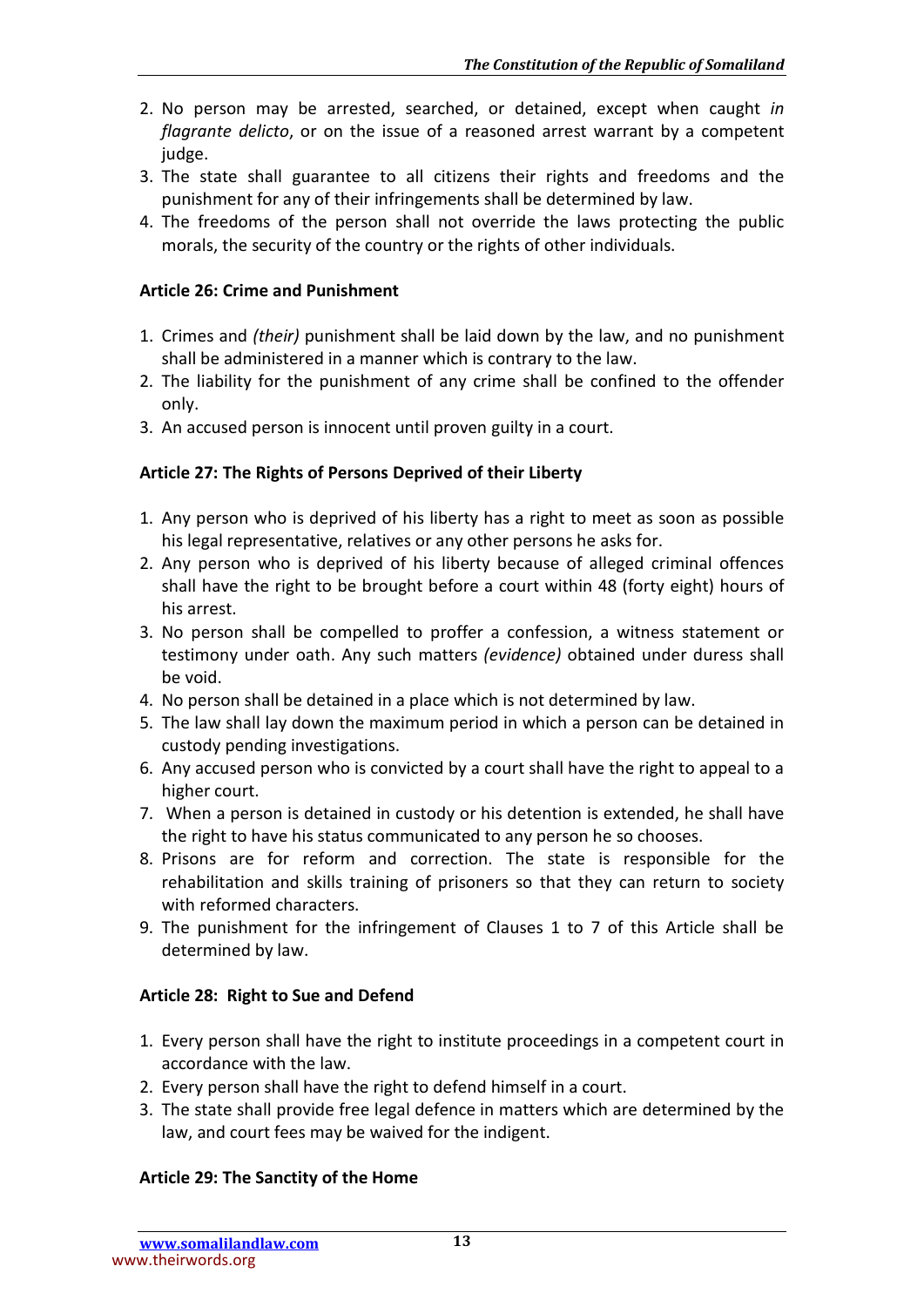- 2. No person may be arrested, searched, or detained, except when caught *in flagrante delicto*, or on the issue of a reasoned arrest warrant by a competent judge.
- 3. The state shall guarantee to all citizens their rights and freedoms and the punishment for any of their infringements shall be determined by law.
- 4. The freedoms of the person shall not override the laws protecting the public morals, the security of the country or the rights of other individuals.

## **Article 26: Crime and Punishment**

- 1. Crimes and *(their)* punishment shall be laid down by the law, and no punishment shall be administered in a manner which is contrary to the law.
- 2. The liability for the punishment of any crime shall be confined to the offender only.
- 3. An accused person is innocent until proven guilty in a court.

## **Article 27: The Rights of Persons Deprived of their Liberty**

- 1. Any person who is deprived of his liberty has a right to meet as soon as possible his legal representative, relatives or any other persons he asks for.
- 2. Any person who is deprived of his liberty because of alleged criminal offences shall have the right to be brought before a court within 48 (forty eight) hours of his arrest.
- 3. No person shall be compelled to proffer a confession, a witness statement or testimony under oath. Any such matters *(evidence)* obtained under duress shall be void.
- 4. No person shall be detained in a place which is not determined by law.
- 5. The law shall lay down the maximum period in which a person can be detained in custody pending investigations.
- 6. Any accused person who is convicted by a court shall have the right to appeal to a higher court.
- 7. When a person is detained in custody or his detention is extended, he shall have the right to have his status communicated to any person he so chooses.
- 8. Prisons are for reform and correction. The state is responsible for the rehabilitation and skills training of prisoners so that they can return to society with reformed characters.
- 9. The punishment for the infringement of Clauses 1 to 7 of this Article shall be determined by law.

# **Article 28: Right to Sue and Defend**

- 1. Every person shall have the right to institute proceedings in a competent court in accordance with the law.
- 2. Every person shall have the right to defend himself in a court.
- 3. The state shall provide free legal defence in matters which are determined by the law, and court fees may be waived for the indigent.

#### **Article 29: The Sanctity of the Home**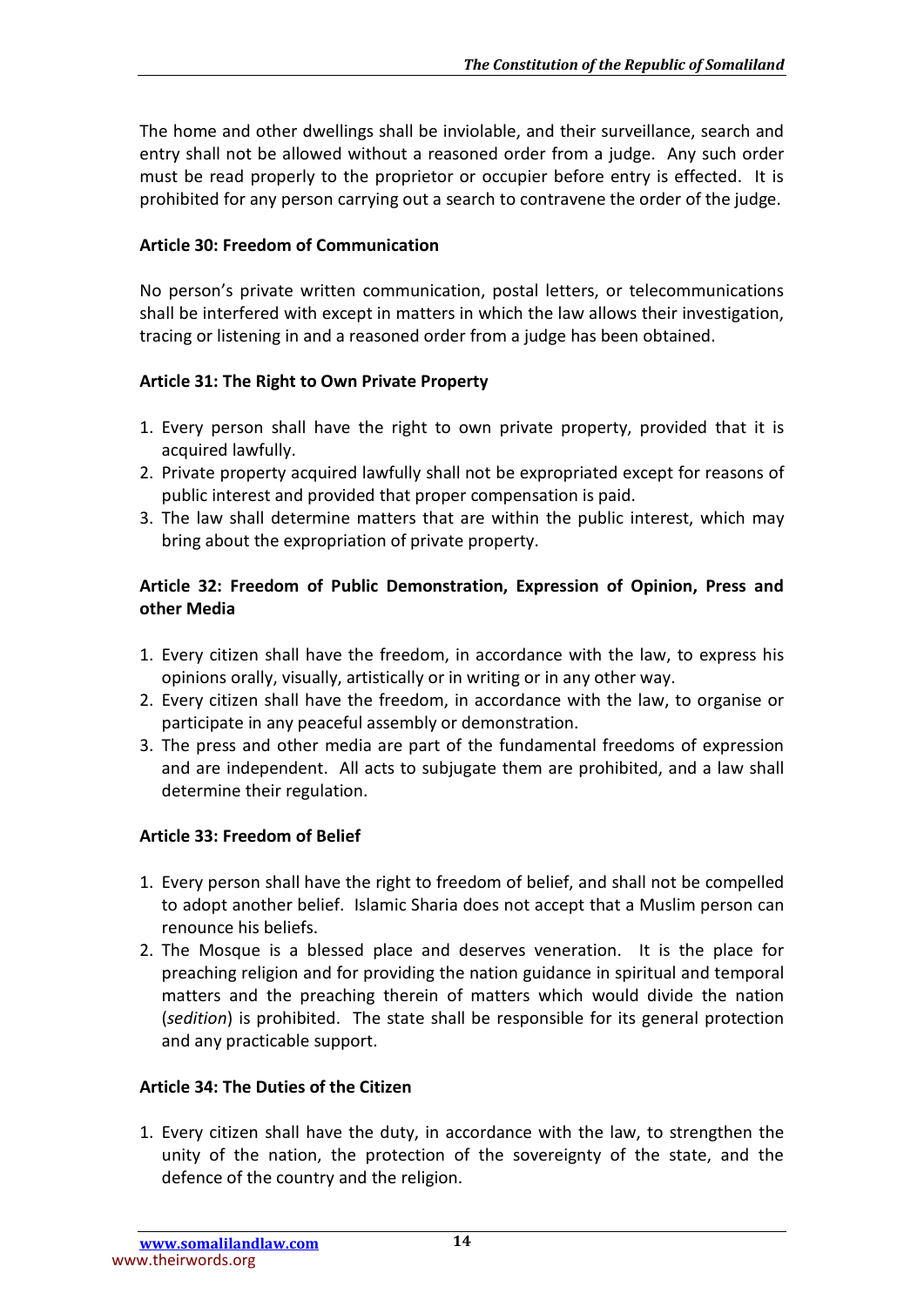The home and other dwellings shall be inviolable, and their surveillance, search and entry shall not be allowed without a reasoned order from a judge. Any such order must be read properly to the proprietor or occupier before entry is effected. It is prohibited for any person carrying out a search to contravene the order of the judge.

# **Article 30: Freedom of Communication**

No person's private written communication, postal letters, or telecommunications shall be interfered with except in matters in which the law allows their investigation, tracing or listening in and a reasoned order from a judge has been obtained.

## **Article 31: The Right to Own Private Property**

- 1. Every person shall have the right to own private property, provided that it is acquired lawfully.
- 2. Private property acquired lawfully shall not be expropriated except for reasons of public interest and provided that proper compensation is paid.
- 3. The law shall determine matters that are within the public interest, which may bring about the expropriation of private property.

# **Article 32: Freedom of Public Demonstration, Expression of Opinion, Press and other Media**

- 1. Every citizen shall have the freedom, in accordance with the law, to express his opinions orally, visually, artistically or in writing or in any other way.
- 2. Every citizen shall have the freedom, in accordance with the law, to organise or participate in any peaceful assembly or demonstration.
- 3. The press and other media are part of the fundamental freedoms of expression and are independent. All acts to subjugate them are prohibited, and a law shall determine their regulation.

# **Article 33: Freedom of Belief**

- 1. Every person shall have the right to freedom of belief, and shall not be compelled to adopt another belief. Islamic Sharia does not accept that a Muslim person can renounce his beliefs.
- 2. The Mosque is a blessed place and deserves veneration. It is the place for preaching religion and for providing the nation guidance in spiritual and temporal matters and the preaching therein of matters which would divide the nation (*sedition*) is prohibited. The state shall be responsible for its general protection and any practicable support.

# **Article 34: The Duties of the Citizen**

1. Every citizen shall have the duty, in accordance with the law, to strengthen the unity of the nation, the protection of the sovereignty of the state, and the defence of the country and the religion.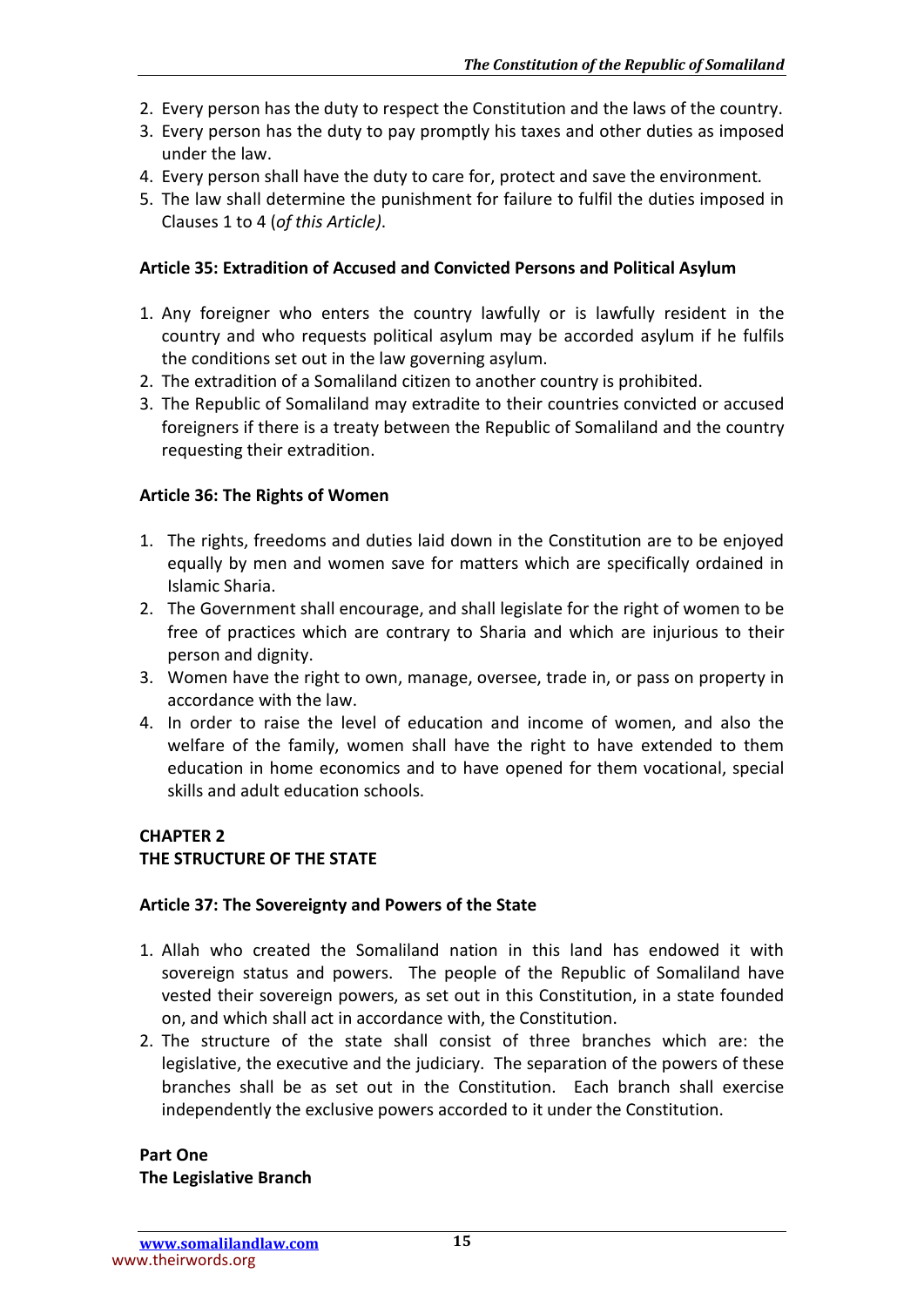- 2. Every person has the duty to respect the Constitution and the laws of the country.
- 3. Every person has the duty to pay promptly his taxes and other duties as imposed under the law.
- 4. Every person shall have the duty to care for, protect and save the environment*.*
- 5. The law shall determine the punishment for failure to fulfil the duties imposed in Clauses 1 to 4 (*of this Article)*.

# **Article 35: Extradition of Accused and Convicted Persons and Political Asylum**

- 1. Any foreigner who enters the country lawfully or is lawfully resident in the country and who requests political asylum may be accorded asylum if he fulfils the conditions set out in the law governing asylum.
- 2. The extradition of a Somaliland citizen to another country is prohibited.
- 3. The Republic of Somaliland may extradite to their countries convicted or accused foreigners if there is a treaty between the Republic of Somaliland and the country requesting their extradition.

# **Article 36: The Rights of Women**

- 1. The rights, freedoms and duties laid down in the Constitution are to be enjoyed equally by men and women save for matters which are specifically ordained in Islamic Sharia.
- 2. The Government shall encourage, and shall legislate for the right of women to be free of practices which are contrary to Sharia and which are injurious to their person and dignity.
- 3. Women have the right to own, manage, oversee, trade in, or pass on property in accordance with the law.
- 4. In order to raise the level of education and income of women, and also the welfare of the family, women shall have the right to have extended to them education in home economics and to have opened for them vocational, special skills and adult education schools.

#### **CHAPTER 2 THE STRUCTURE OF THE STATE**

# **Article 37: The Sovereignty and Powers of the State**

- 1. Allah who created the Somaliland nation in this land has endowed it with sovereign status and powers. The people of the Republic of Somaliland have vested their sovereign powers, as set out in this Constitution, in a state founded on, and which shall act in accordance with, the Constitution.
- 2. The structure of the state shall consist of three branches which are: the legislative, the executive and the judiciary. The separation of the powers of these branches shall be as set out in the Constitution. Each branch shall exercise independently the exclusive powers accorded to it under the Constitution.

## **Part One The Legislative Branch**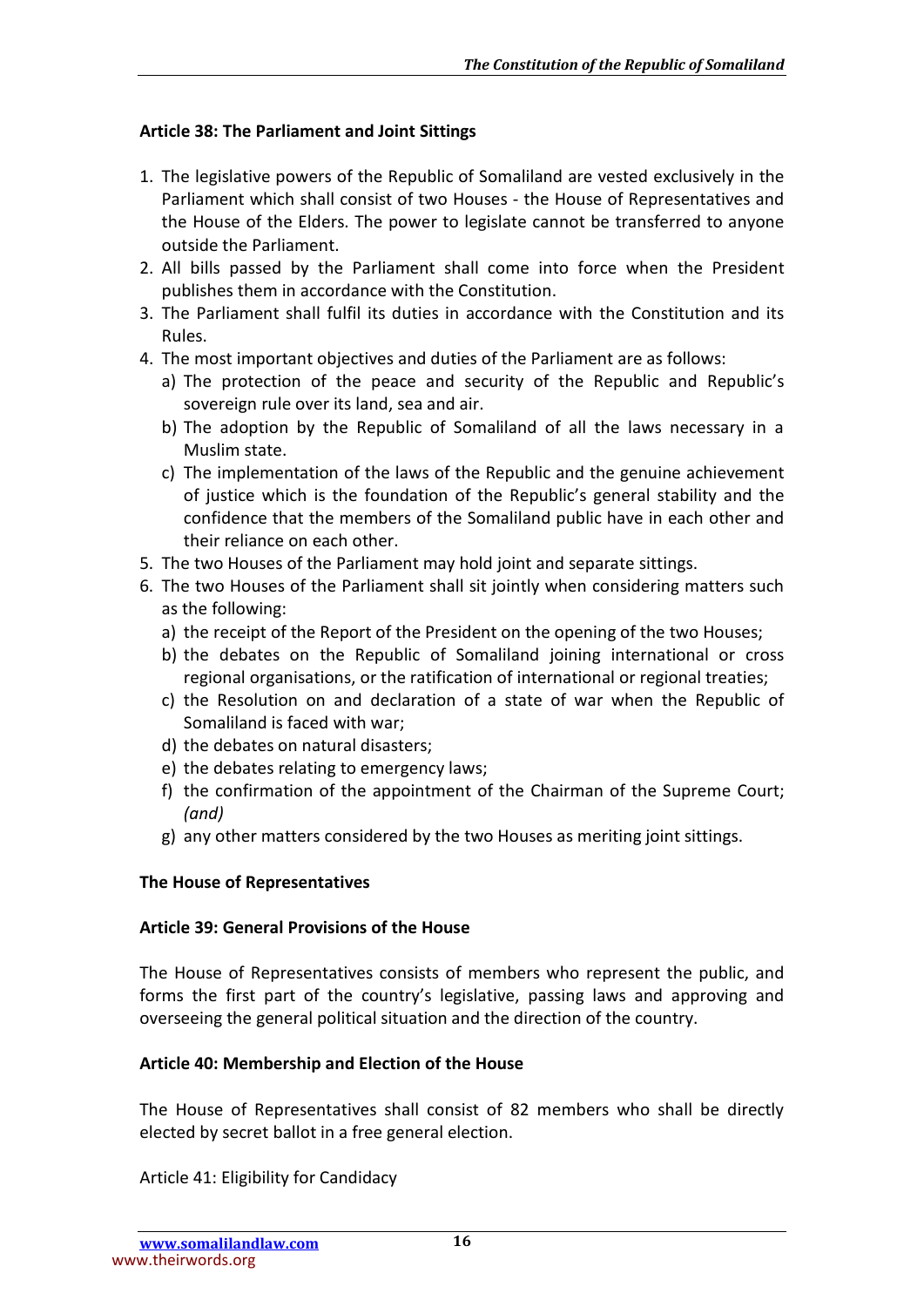# **Article 38: The Parliament and Joint Sittings**

- 1. The legislative powers of the Republic of Somaliland are vested exclusively in the Parliament which shall consist of two Houses - the House of Representatives and the House of the Elders. The power to legislate cannot be transferred to anyone outside the Parliament.
- 2. All bills passed by the Parliament shall come into force when the President publishes them in accordance with the Constitution.
- 3. The Parliament shall fulfil its duties in accordance with the Constitution and its Rules.
- 4. The most important objectives and duties of the Parliament are as follows:
	- a) The protection of the peace and security of the Republic and Republic's sovereign rule over its land, sea and air.
	- b) The adoption by the Republic of Somaliland of all the laws necessary in a Muslim state.
	- c) The implementation of the laws of the Republic and the genuine achievement of justice which is the foundation of the Republic's general stability and the confidence that the members of the Somaliland public have in each other and their reliance on each other.
- 5. The two Houses of the Parliament may hold joint and separate sittings.
- 6. The two Houses of the Parliament shall sit jointly when considering matters such as the following:
	- a) the receipt of the Report of the President on the opening of the two Houses;
	- b) the debates on the Republic of Somaliland joining international or cross regional organisations, or the ratification of international or regional treaties;
	- c) the Resolution on and declaration of a state of war when the Republic of Somaliland is faced with war;
	- d) the debates on natural disasters;
	- e) the debates relating to emergency laws;
	- f) the confirmation of the appointment of the Chairman of the Supreme Court; *(and)*
	- g) any other matters considered by the two Houses as meriting joint sittings.

# **The House of Representatives**

# **Article 39: General Provisions of the House**

The House of Representatives consists of members who represent the public, and forms the first part of the country's legislative, passing laws and approving and overseeing the general political situation and the direction of the country.

# **Article 40: Membership and Election of the House**

The House of Representatives shall consist of 82 members who shall be directly elected by secret ballot in a free general election.

Article 41: Eligibility for Candidacy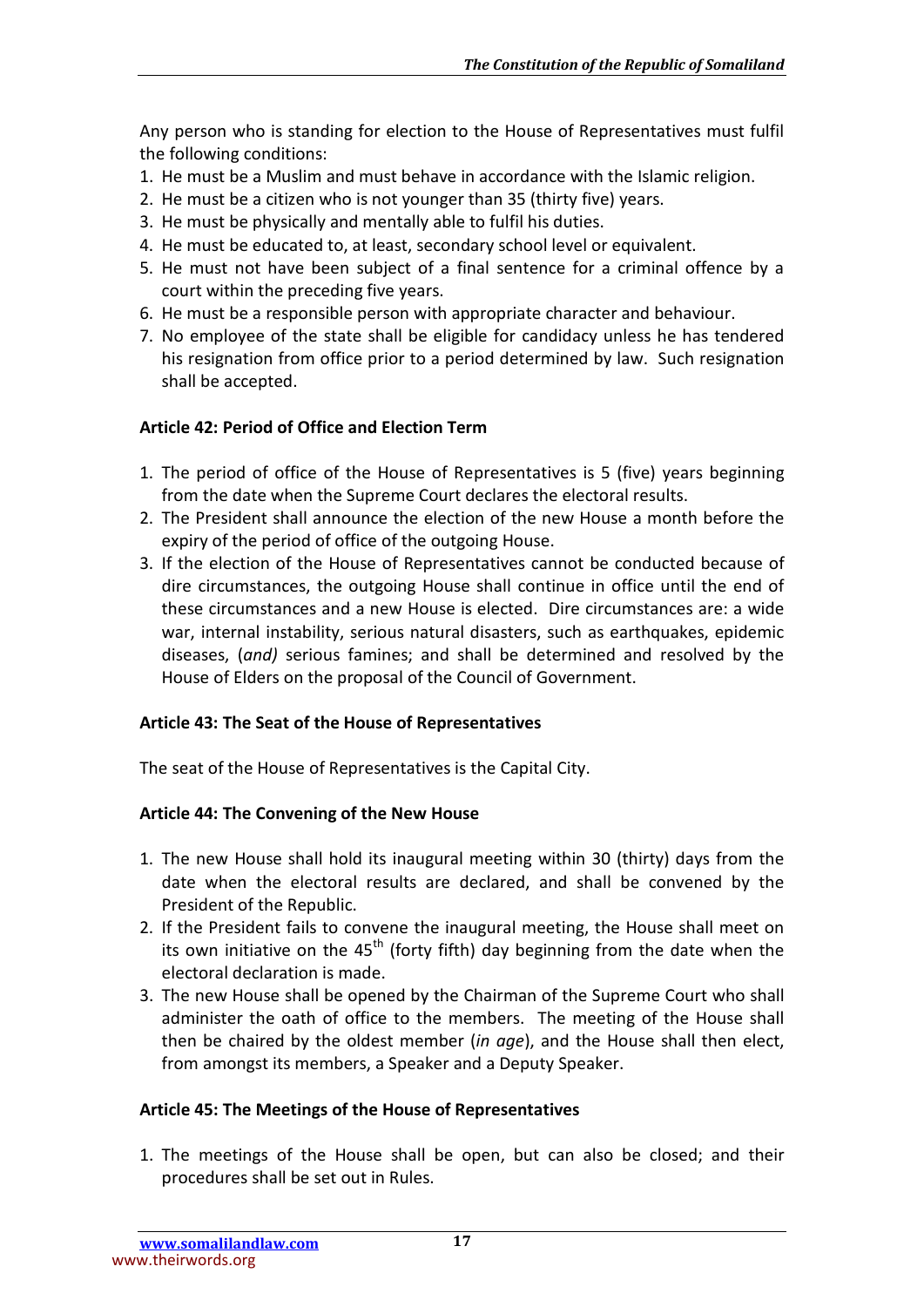Any person who is standing for election to the House of Representatives must fulfil the following conditions:

- 1. He must be a Muslim and must behave in accordance with the Islamic religion.
- 2. He must be a citizen who is not younger than 35 (thirty five) years.
- 3. He must be physically and mentally able to fulfil his duties.
- 4. He must be educated to, at least, secondary school level or equivalent.
- 5. He must not have been subject of a final sentence for a criminal offence by a court within the preceding five years.
- 6. He must be a responsible person with appropriate character and behaviour.
- 7. No employee of the state shall be eligible for candidacy unless he has tendered his resignation from office prior to a period determined by law. Such resignation shall be accepted.

## **Article 42: Period of Office and Election Term**

- 1. The period of office of the House of Representatives is 5 (five) years beginning from the date when the Supreme Court declares the electoral results.
- 2. The President shall announce the election of the new House a month before the expiry of the period of office of the outgoing House.
- 3. If the election of the House of Representatives cannot be conducted because of dire circumstances, the outgoing House shall continue in office until the end of these circumstances and a new House is elected. Dire circumstances are: a wide war, internal instability, serious natural disasters, such as earthquakes, epidemic diseases, (*and)* serious famines; and shall be determined and resolved by the House of Elders on the proposal of the Council of Government.

#### **Article 43: The Seat of the House of Representatives**

The seat of the House of Representatives is the Capital City.

#### **Article 44: The Convening of the New House**

- 1. The new House shall hold its inaugural meeting within 30 (thirty) days from the date when the electoral results are declared, and shall be convened by the President of the Republic.
- 2. If the President fails to convene the inaugural meeting, the House shall meet on its own initiative on the  $45<sup>th</sup>$  (forty fifth) day beginning from the date when the electoral declaration is made.
- 3. The new House shall be opened by the Chairman of the Supreme Court who shall administer the oath of office to the members. The meeting of the House shall then be chaired by the oldest member (*in age*), and the House shall then elect, from amongst its members, a Speaker and a Deputy Speaker.

#### **Article 45: The Meetings of the House of Representatives**

1. The meetings of the House shall be open, but can also be closed; and their procedures shall be set out in Rules.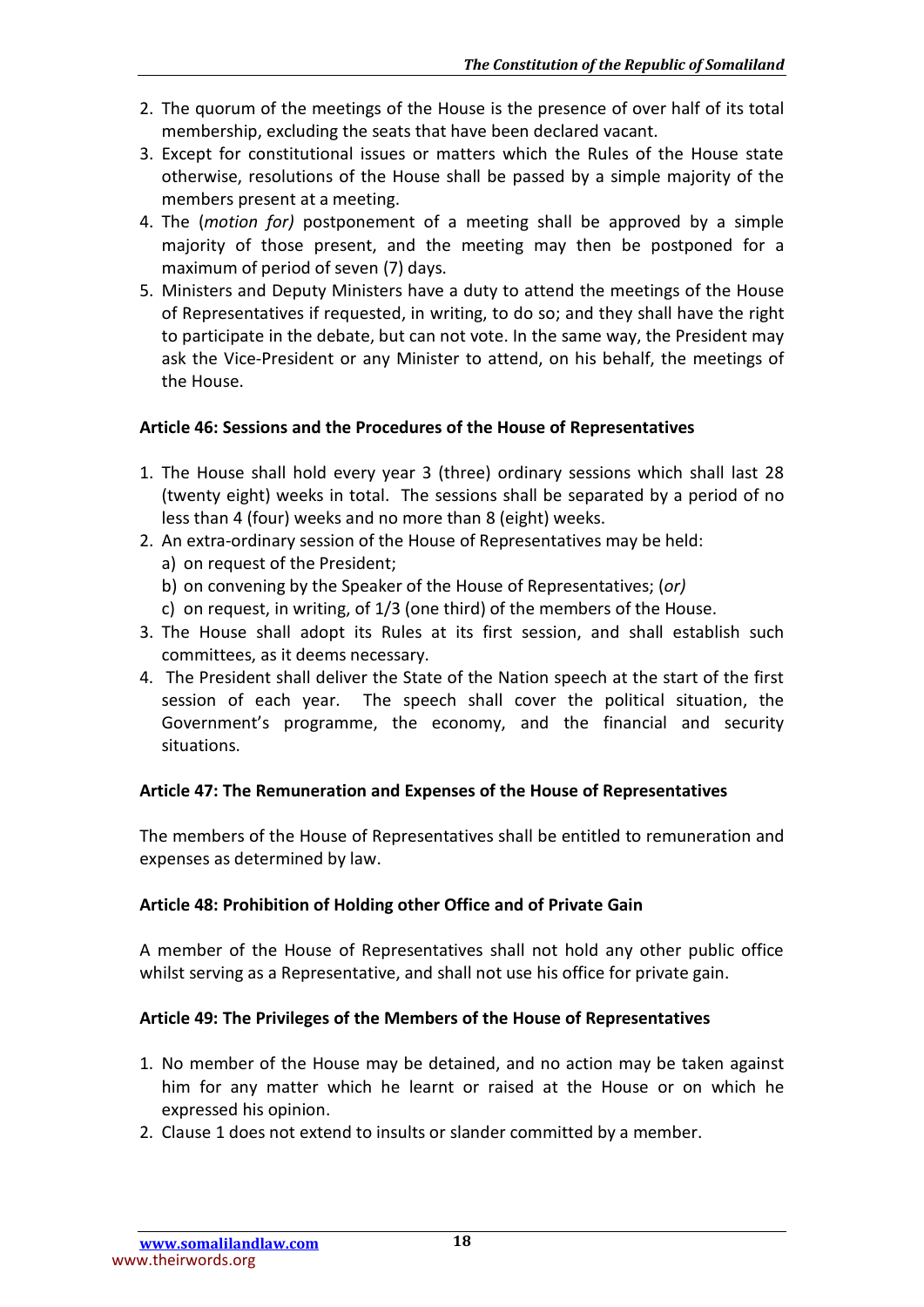- 2. The quorum of the meetings of the House is the presence of over half of its total membership, excluding the seats that have been declared vacant.
- 3. Except for constitutional issues or matters which the Rules of the House state otherwise, resolutions of the House shall be passed by a simple majority of the members present at a meeting.
- 4. The (*motion for)* postponement of a meeting shall be approved by a simple majority of those present, and the meeting may then be postponed for a maximum of period of seven (7) days.
- 5. Ministers and Deputy Ministers have a duty to attend the meetings of the House of Representatives if requested, in writing, to do so; and they shall have the right to participate in the debate, but can not vote. In the same way, the President may ask the Vice-President or any Minister to attend, on his behalf, the meetings of the House.

# **Article 46: Sessions and the Procedures of the House of Representatives**

- 1. The House shall hold every year 3 (three) ordinary sessions which shall last 28 (twenty eight) weeks in total. The sessions shall be separated by a period of no less than 4 (four) weeks and no more than 8 (eight) weeks.
- 2. An extra-ordinary session of the House of Representatives may be held: a) on request of the President;
	- b) on convening by the Speaker of the House of Representatives; (*or)*
	- c) on request, in writing, of 1/3 (one third) of the members of the House.
- 3. The House shall adopt its Rules at its first session, and shall establish such committees, as it deems necessary.
- 4. The President shall deliver the State of the Nation speech at the start of the first session of each year. The speech shall cover the political situation, the Government's programme, the economy, and the financial and security situations.

#### **Article 47: The Remuneration and Expenses of the House of Representatives**

The members of the House of Representatives shall be entitled to remuneration and expenses as determined by law.

#### **Article 48: Prohibition of Holding other Office and of Private Gain**

A member of the House of Representatives shall not hold any other public office whilst serving as a Representative, and shall not use his office for private gain.

#### **Article 49: The Privileges of the Members of the House of Representatives**

- 1. No member of the House may be detained, and no action may be taken against him for any matter which he learnt or raised at the House or on which he expressed his opinion.
- 2. Clause 1 does not extend to insults or slander committed by a member.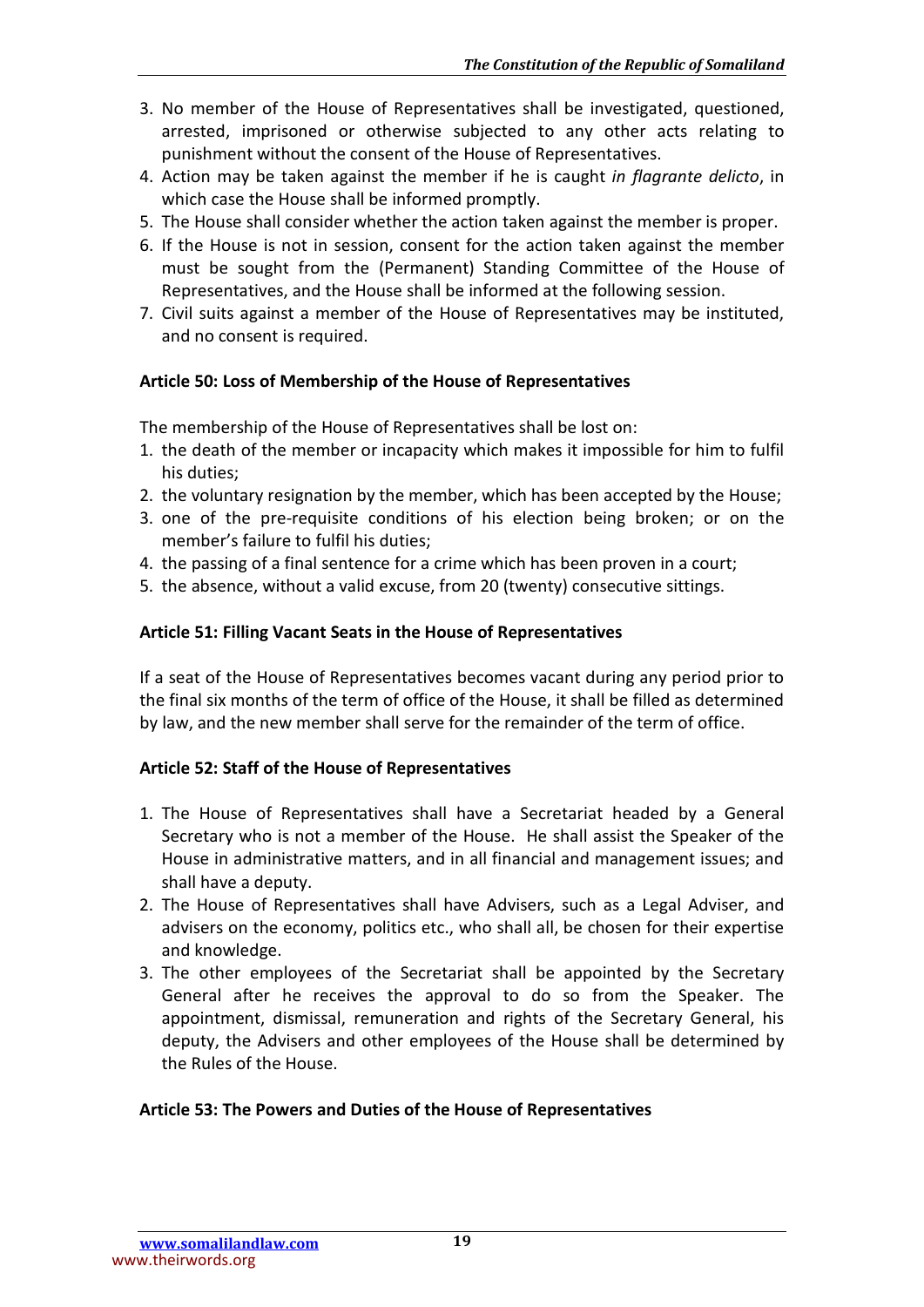- 3. No member of the House of Representatives shall be investigated, questioned, arrested, imprisoned or otherwise subjected to any other acts relating to punishment without the consent of the House of Representatives.
- 4. Action may be taken against the member if he is caught *in flagrante delicto*, in which case the House shall be informed promptly.
- 5. The House shall consider whether the action taken against the member is proper.
- 6. If the House is not in session, consent for the action taken against the member must be sought from the (Permanent) Standing Committee of the House of Representatives, and the House shall be informed at the following session.
- 7. Civil suits against a member of the House of Representatives may be instituted, and no consent is required.

## **Article 50: Loss of Membership of the House of Representatives**

The membership of the House of Representatives shall be lost on:

- 1. the death of the member or incapacity which makes it impossible for him to fulfil his duties;
- 2. the voluntary resignation by the member, which has been accepted by the House;
- 3. one of the pre-requisite conditions of his election being broken; or on the member's failure to fulfil his duties;
- 4. the passing of a final sentence for a crime which has been proven in a court;
- 5. the absence, without a valid excuse, from 20 (twenty) consecutive sittings.

#### **Article 51: Filling Vacant Seats in the House of Representatives**

If a seat of the House of Representatives becomes vacant during any period prior to the final six months of the term of office of the House, it shall be filled as determined by law, and the new member shall serve for the remainder of the term of office.

#### **Article 52: Staff of the House of Representatives**

- 1. The House of Representatives shall have a Secretariat headed by a General Secretary who is not a member of the House. He shall assist the Speaker of the House in administrative matters, and in all financial and management issues; and shall have a deputy.
- 2. The House of Representatives shall have Advisers, such as a Legal Adviser, and advisers on the economy, politics etc., who shall all, be chosen for their expertise and knowledge.
- 3. The other employees of the Secretariat shall be appointed by the Secretary General after he receives the approval to do so from the Speaker. The appointment, dismissal, remuneration and rights of the Secretary General, his deputy, the Advisers and other employees of the House shall be determined by the Rules of the House.

#### **Article 53: The Powers and Duties of the House of Representatives**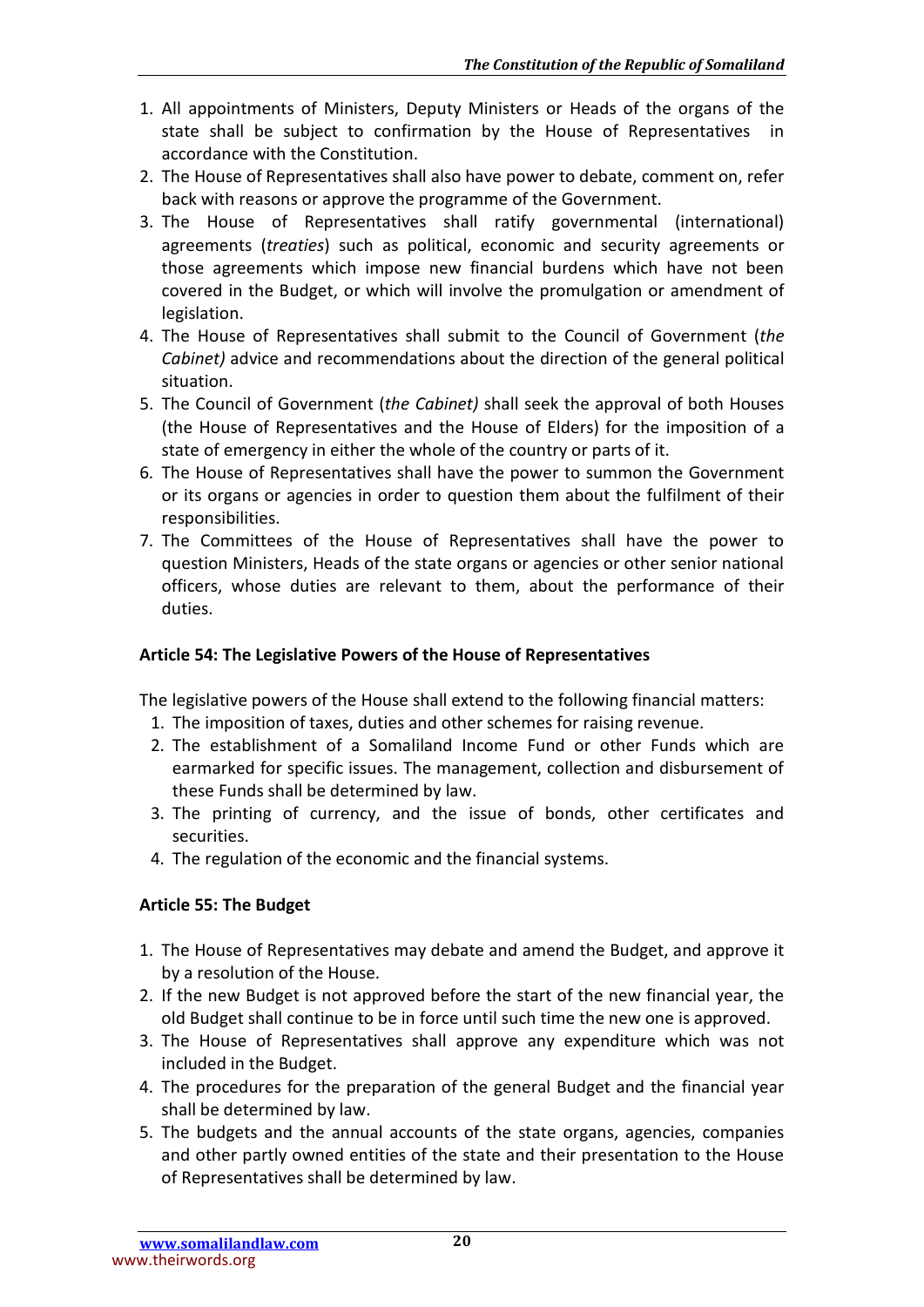- 1. All appointments of Ministers, Deputy Ministers or Heads of the organs of the state shall be subject to confirmation by the House of Representatives in accordance with the Constitution.
- 2. The House of Representatives shall also have power to debate, comment on, refer back with reasons or approve the programme of the Government.
- 3. The House of Representatives shall ratify governmental (international) agreements (*treaties*) such as political, economic and security agreements or those agreements which impose new financial burdens which have not been covered in the Budget, or which will involve the promulgation or amendment of legislation.
- 4. The House of Representatives shall submit to the Council of Government (*the Cabinet)* advice and recommendations about the direction of the general political situation.
- 5. The Council of Government (*the Cabinet)* shall seek the approval of both Houses (the House of Representatives and the House of Elders) for the imposition of a state of emergency in either the whole of the country or parts of it.
- 6. The House of Representatives shall have the power to summon the Government or its organs or agencies in order to question them about the fulfilment of their responsibilities.
- 7. The Committees of the House of Representatives shall have the power to question Ministers, Heads of the state organs or agencies or other senior national officers, whose duties are relevant to them, about the performance of their duties.

# **Article 54: The Legislative Powers of the House of Representatives**

The legislative powers of the House shall extend to the following financial matters:

- 1. The imposition of taxes, duties and other schemes for raising revenue.
- 2. The establishment of a Somaliland Income Fund or other Funds which are earmarked for specific issues. The management, collection and disbursement of these Funds shall be determined by law.
- 3. The printing of currency, and the issue of bonds, other certificates and securities.
- 4. The regulation of the economic and the financial systems.

# **Article 55: The Budget**

- 1. The House of Representatives may debate and amend the Budget, and approve it by a resolution of the House.
- 2. If the new Budget is not approved before the start of the new financial year, the old Budget shall continue to be in force until such time the new one is approved.
- 3. The House of Representatives shall approve any expenditure which was not included in the Budget.
- 4. The procedures for the preparation of the general Budget and the financial year shall be determined by law.
- 5. The budgets and the annual accounts of the state organs, agencies, companies and other partly owned entities of the state and their presentation to the House of Representatives shall be determined by law.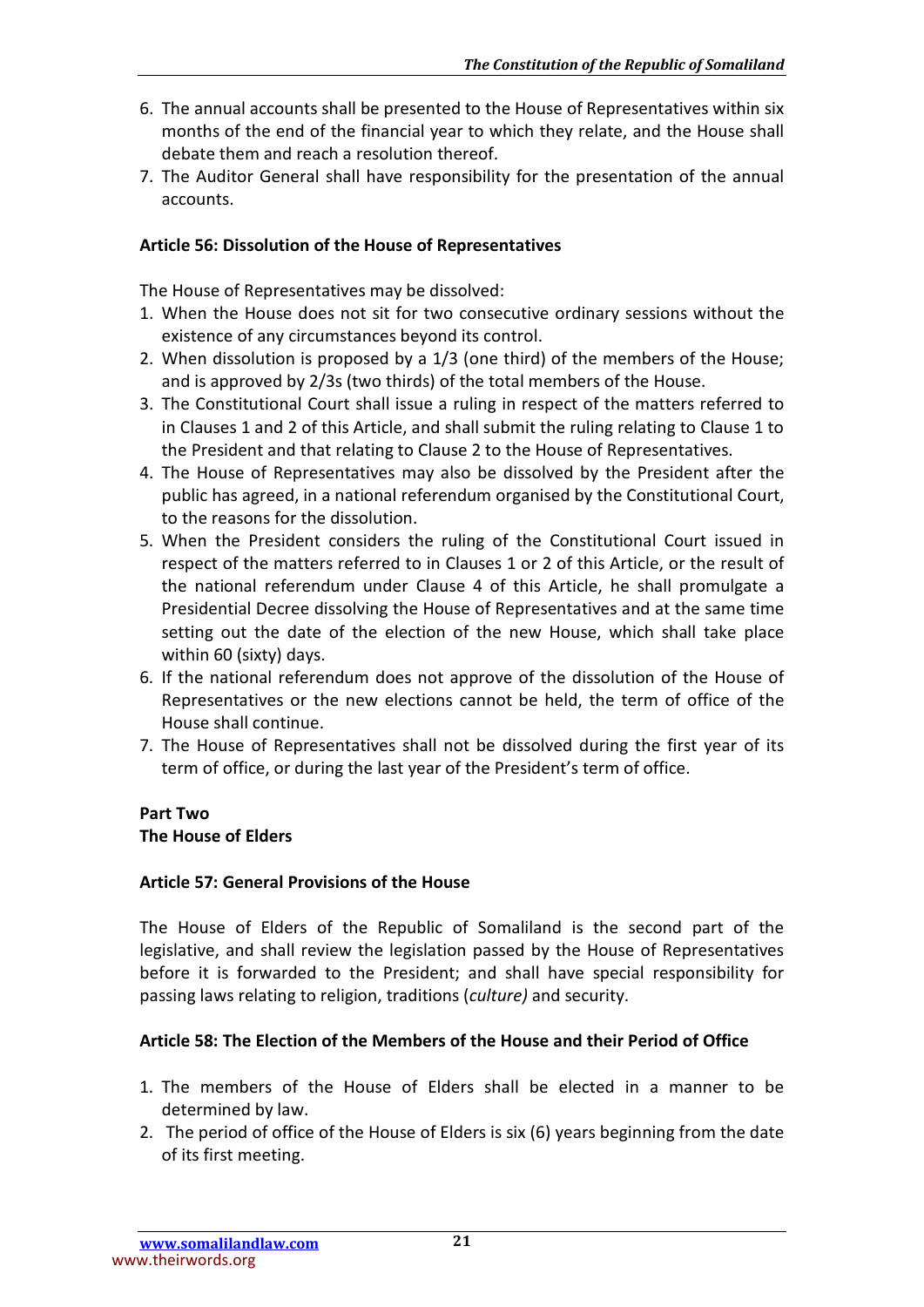- 6. The annual accounts shall be presented to the House of Representatives within six months of the end of the financial year to which they relate, and the House shall debate them and reach a resolution thereof.
- 7. The Auditor General shall have responsibility for the presentation of the annual accounts.

## **Article 56: Dissolution of the House of Representatives**

The House of Representatives may be dissolved:

- 1. When the House does not sit for two consecutive ordinary sessions without the existence of any circumstances beyond its control.
- 2. When dissolution is proposed by a 1/3 (one third) of the members of the House; and is approved by 2/3s (two thirds) of the total members of the House.
- 3. The Constitutional Court shall issue a ruling in respect of the matters referred to in Clauses 1 and 2 of this Article, and shall submit the ruling relating to Clause 1 to the President and that relating to Clause 2 to the House of Representatives.
- 4. The House of Representatives may also be dissolved by the President after the public has agreed, in a national referendum organised by the Constitutional Court, to the reasons for the dissolution.
- 5. When the President considers the ruling of the Constitutional Court issued in respect of the matters referred to in Clauses 1 or 2 of this Article, or the result of the national referendum under Clause 4 of this Article, he shall promulgate a Presidential Decree dissolving the House of Representatives and at the same time setting out the date of the election of the new House, which shall take place within 60 (sixty) days.
- 6. If the national referendum does not approve of the dissolution of the House of Representatives or the new elections cannot be held, the term of office of the House shall continue.
- 7. The House of Representatives shall not be dissolved during the first year of its term of office, or during the last year of the President's term of office.

#### **Part Two The House of Elders**

#### **Article 57: General Provisions of the House**

The House of Elders of the Republic of Somaliland is the second part of the legislative, and shall review the legislation passed by the House of Representatives before it is forwarded to the President; and shall have special responsibility for passing laws relating to religion, traditions (*culture)* and security.

#### **Article 58: The Election of the Members of the House and their Period of Office**

- 1. The members of the House of Elders shall be elected in a manner to be determined by law.
- 2. The period of office of the House of Elders is six (6) years beginning from the date of its first meeting.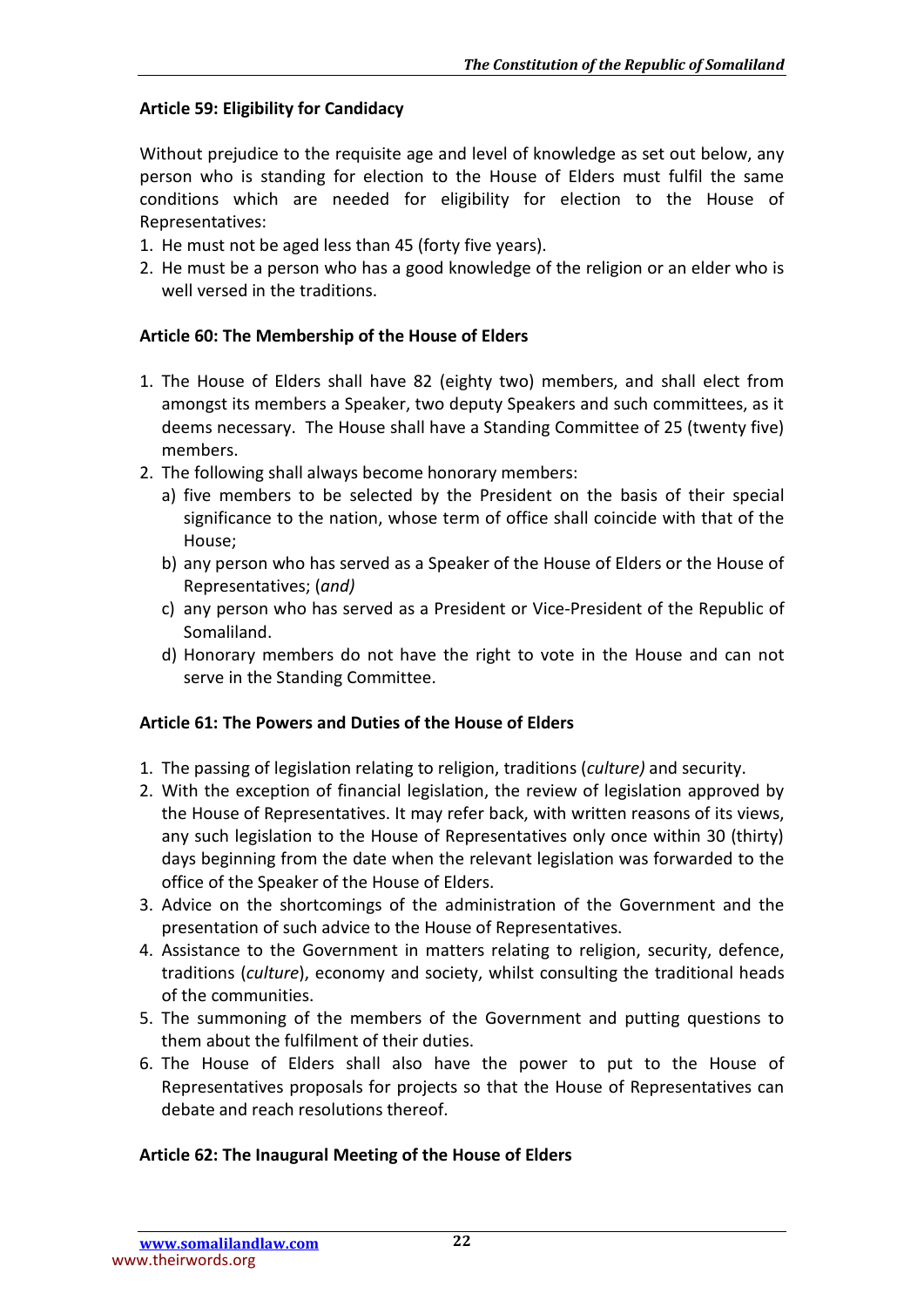#### **Article 59: Eligibility for Candidacy**

Without prejudice to the requisite age and level of knowledge as set out below, any person who is standing for election to the House of Elders must fulfil the same conditions which are needed for eligibility for election to the House of Representatives:

- 1. He must not be aged less than 45 (forty five years).
- 2. He must be a person who has a good knowledge of the religion or an elder who is well versed in the traditions.

#### **Article 60: The Membership of the House of Elders**

- 1. The House of Elders shall have 82 (eighty two) members, and shall elect from amongst its members a Speaker, two deputy Speakers and such committees, as it deems necessary. The House shall have a Standing Committee of 25 (twenty five) members.
- 2. The following shall always become honorary members:
	- a) five members to be selected by the President on the basis of their special significance to the nation, whose term of office shall coincide with that of the House;
	- b) any person who has served as a Speaker of the House of Elders or the House of Representatives; (*and)*
	- c) any person who has served as a President or Vice-President of the Republic of Somaliland.
	- d) Honorary members do not have the right to vote in the House and can not serve in the Standing Committee.

#### **Article 61: The Powers and Duties of the House of Elders**

- 1. The passing of legislation relating to religion, traditions (*culture)* and security.
- 2. With the exception of financial legislation, the review of legislation approved by the House of Representatives. It may refer back, with written reasons of its views, any such legislation to the House of Representatives only once within 30 (thirty) days beginning from the date when the relevant legislation was forwarded to the office of the Speaker of the House of Elders.
- 3. Advice on the shortcomings of the administration of the Government and the presentation of such advice to the House of Representatives.
- 4. Assistance to the Government in matters relating to religion, security, defence, traditions (*culture*), economy and society, whilst consulting the traditional heads of the communities.
- 5. The summoning of the members of the Government and putting questions to them about the fulfilment of their duties.
- 6. The House of Elders shall also have the power to put to the House of Representatives proposals for projects so that the House of Representatives can debate and reach resolutions thereof.

#### **Article 62: The Inaugural Meeting of the House of Elders**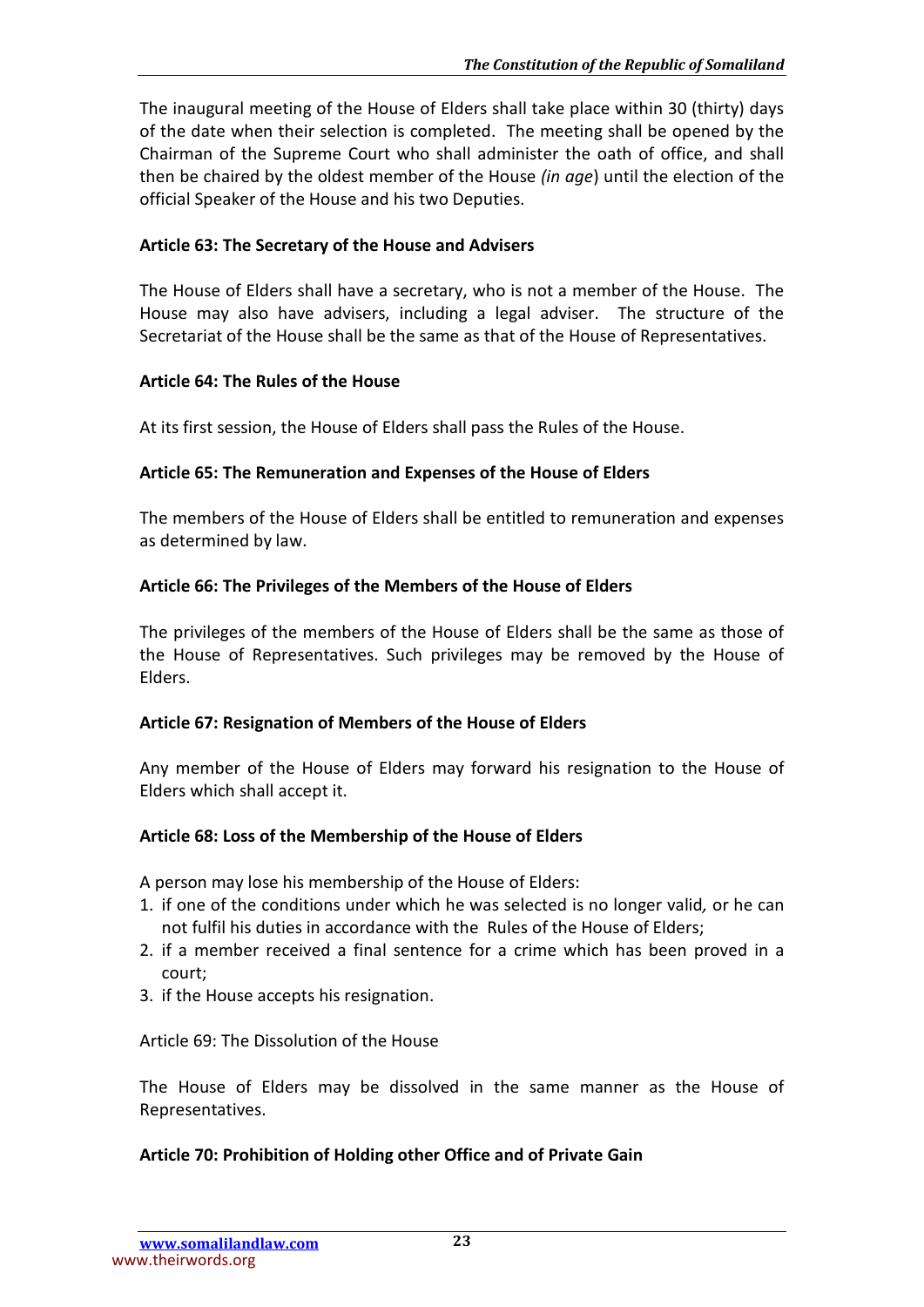The inaugural meeting of the House of Elders shall take place within 30 (thirty) days of the date when their selection is completed. The meeting shall be opened by the Chairman of the Supreme Court who shall administer the oath of office, and shall then be chaired by the oldest member of the House *(in age*) until the election of the official Speaker of the House and his two Deputies.

# **Article 63: The Secretary of the House and Advisers**

The House of Elders shall have a secretary, who is not a member of the House. The House may also have advisers, including a legal adviser. The structure of the Secretariat of the House shall be the same as that of the House of Representatives.

## **Article 64: The Rules of the House**

At its first session, the House of Elders shall pass the Rules of the House.

## **Article 65: The Remuneration and Expenses of the House of Elders**

The members of the House of Elders shall be entitled to remuneration and expenses as determined by law.

## **Article 66: The Privileges of the Members of the House of Elders**

The privileges of the members of the House of Elders shall be the same as those of the House of Representatives. Such privileges may be removed by the House of Elders.

#### **Article 67: Resignation of Members of the House of Elders**

Any member of the House of Elders may forward his resignation to the House of Elders which shall accept it.

# **Article 68: Loss of the Membership of the House of Elders**

A person may lose his membership of the House of Elders:

- 1. if one of the conditions under which he was selected is no longer valid*,* or he can not fulfil his duties in accordance with the Rules of the House of Elders;
- 2. if a member received a final sentence for a crime which has been proved in a court;
- 3. if the House accepts his resignation.

Article 69: The Dissolution of the House

The House of Elders may be dissolved in the same manner as the House of Representatives.

#### **Article 70: Prohibition of Holding other Office and of Private Gain**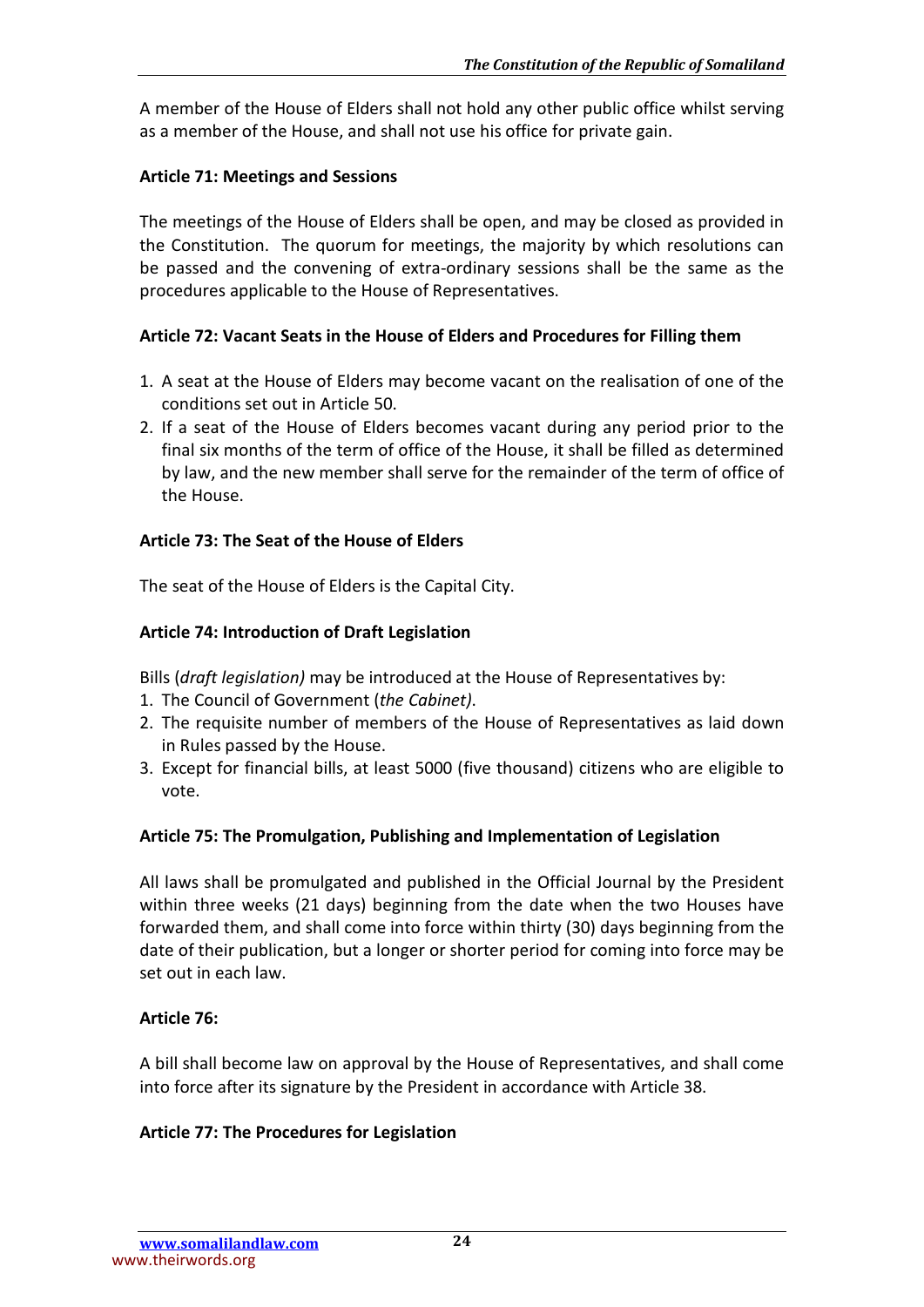A member of the House of Elders shall not hold any other public office whilst serving as a member of the House, and shall not use his office for private gain.

# **Article 71: Meetings and Sessions**

The meetings of the House of Elders shall be open, and may be closed as provided in the Constitution. The quorum for meetings, the majority by which resolutions can be passed and the convening of extra-ordinary sessions shall be the same as the procedures applicable to the House of Representatives.

## **Article 72: Vacant Seats in the House of Elders and Procedures for Filling them**

- 1. A seat at the House of Elders may become vacant on the realisation of one of the conditions set out in Article 50.
- 2. If a seat of the House of Elders becomes vacant during any period prior to the final six months of the term of office of the House, it shall be filled as determined by law, and the new member shall serve for the remainder of the term of office of the House.

## **Article 73: The Seat of the House of Elders**

The seat of the House of Elders is the Capital City.

# **Article 74: Introduction of Draft Legislation**

Bills (*draft legislation)* may be introduced at the House of Representatives by:

- 1. The Council of Government (*the Cabinet)*.
- 2. The requisite number of members of the House of Representatives as laid down in Rules passed by the House.
- 3. Except for financial bills, at least 5000 (five thousand) citizens who are eligible to vote.

#### **Article 75: The Promulgation, Publishing and Implementation of Legislation**

All laws shall be promulgated and published in the Official Journal by the President within three weeks (21 days) beginning from the date when the two Houses have forwarded them, and shall come into force within thirty (30) days beginning from the date of their publication, but a longer or shorter period for coming into force may be set out in each law.

#### **Article 76:**

A bill shall become law on approval by the House of Representatives, and shall come into force after its signature by the President in accordance with Article 38.

#### **Article 77: The Procedures for Legislation**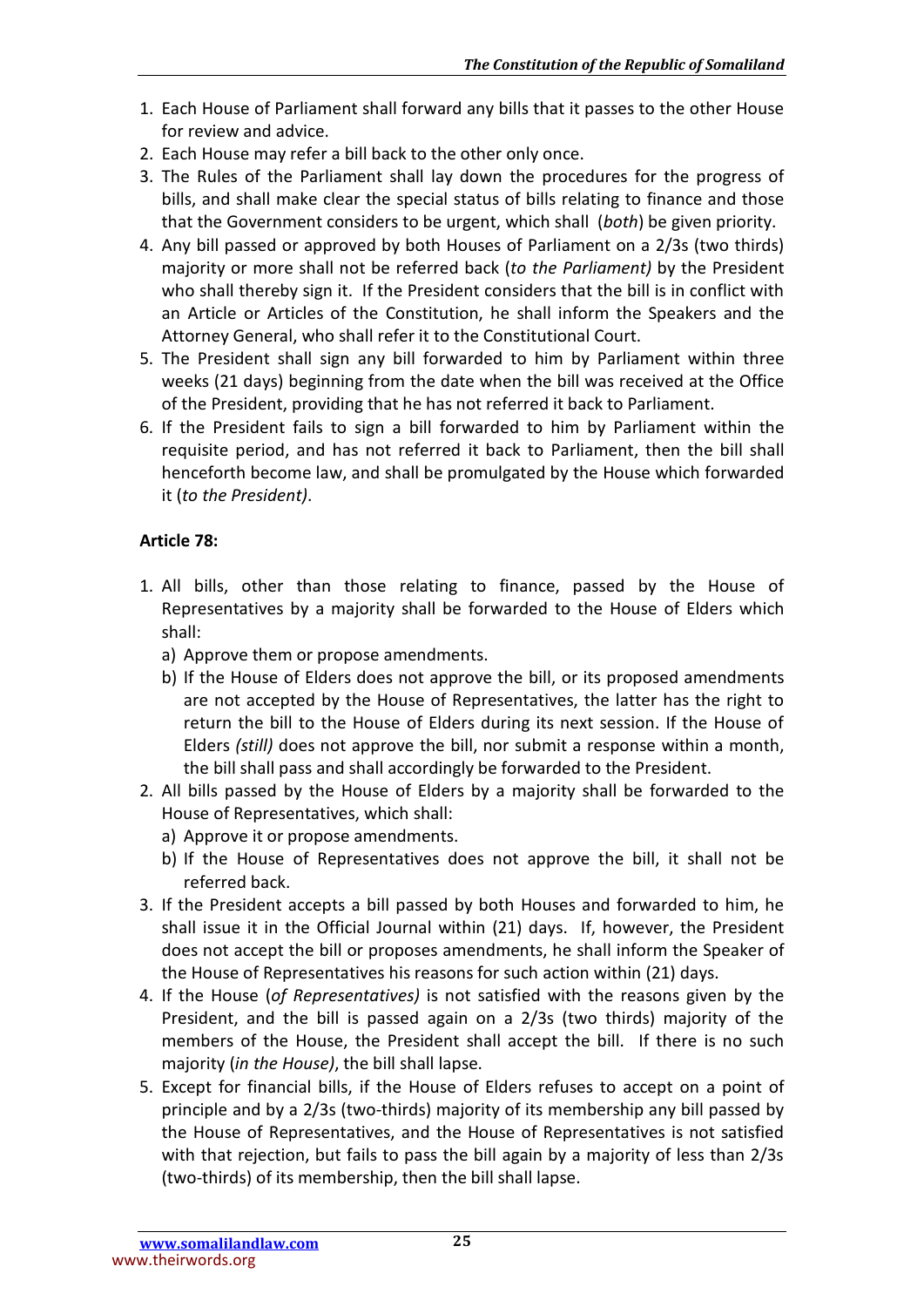- 1. Each House of Parliament shall forward any bills that it passes to the other House for review and advice.
- 2. Each House may refer a bill back to the other only once.
- 3. The Rules of the Parliament shall lay down the procedures for the progress of bills, and shall make clear the special status of bills relating to finance and those that the Government considers to be urgent, which shall (*both*) be given priority.
- 4. Any bill passed or approved by both Houses of Parliament on a 2/3s (two thirds) majority or more shall not be referred back (*to the Parliament)* by the President who shall thereby sign it. If the President considers that the bill is in conflict with an Article or Articles of the Constitution, he shall inform the Speakers and the Attorney General, who shall refer it to the Constitutional Court.
- 5. The President shall sign any bill forwarded to him by Parliament within three weeks (21 days) beginning from the date when the bill was received at the Office of the President, providing that he has not referred it back to Parliament.
- 6. If the President fails to sign a bill forwarded to him by Parliament within the requisite period, and has not referred it back to Parliament, then the bill shall henceforth become law, and shall be promulgated by the House which forwarded it (*to the President)*.

## **Article 78:**

- 1. All bills, other than those relating to finance, passed by the House of Representatives by a majority shall be forwarded to the House of Elders which shall:
	- a) Approve them or propose amendments.
	- b) If the House of Elders does not approve the bill, or its proposed amendments are not accepted by the House of Representatives, the latter has the right to return the bill to the House of Elders during its next session. If the House of Elders *(still)* does not approve the bill, nor submit a response within a month, the bill shall pass and shall accordingly be forwarded to the President.
- 2. All bills passed by the House of Elders by a majority shall be forwarded to the House of Representatives, which shall:
	- a) Approve it or propose amendments.
	- b) If the House of Representatives does not approve the bill, it shall not be referred back.
- 3. If the President accepts a bill passed by both Houses and forwarded to him, he shall issue it in the Official Journal within (21) days. If, however, the President does not accept the bill or proposes amendments, he shall inform the Speaker of the House of Representatives his reasons for such action within (21) days.
- 4. If the House (*of Representatives)* is not satisfied with the reasons given by the President, and the bill is passed again on a 2/3s (two thirds) majority of the members of the House, the President shall accept the bill. If there is no such majority (*in the House)*, the bill shall lapse.
- 5. Except for financial bills, if the House of Elders refuses to accept on a point of principle and by a 2/3s (two-thirds) majority of its membership any bill passed by the House of Representatives, and the House of Representatives is not satisfied with that rejection, but fails to pass the bill again by a majority of less than 2/3s (two-thirds) of its membership, then the bill shall lapse.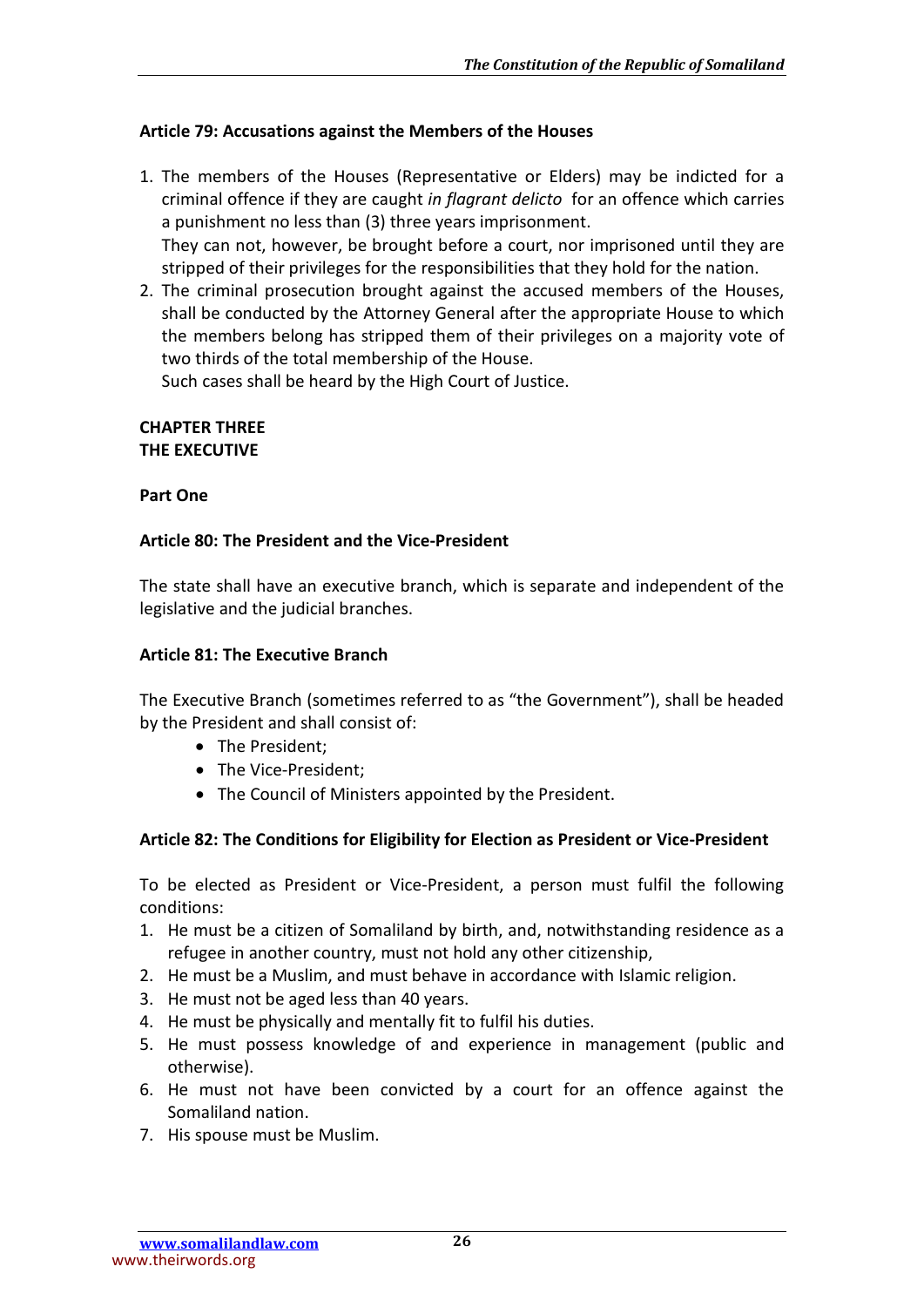# **Article 79: Accusations against the Members of the Houses**

- 1. The members of the Houses (Representative or Elders) may be indicted for a criminal offence if they are caught *in flagrant delicto* for an offence which carries a punishment no less than (3) three years imprisonment. They can not, however, be brought before a court, nor imprisoned until they are stripped of their privileges for the responsibilities that they hold for the nation.
- 2. The criminal prosecution brought against the accused members of the Houses, shall be conducted by the Attorney General after the appropriate House to which the members belong has stripped them of their privileges on a majority vote of two thirds of the total membership of the House.

Such cases shall be heard by the High Court of Justice.

#### **CHAPTER THREE THE EXECUTIVE**

#### **Part One**

## **Article 80: The President and the Vice-President**

The state shall have an executive branch, which is separate and independent of the legislative and the judicial branches.

#### **Article 81: The Executive Branch**

The Executive Branch (sometimes referred to as "the Government"), shall be headed by the President and shall consist of:

- The President;
- The Vice-President;
- The Council of Ministers appointed by the President.

# **Article 82: The Conditions for Eligibility for Election as President or Vice-President**

To be elected as President or Vice-President, a person must fulfil the following conditions:

- 1. He must be a citizen of Somaliland by birth, and, notwithstanding residence as a refugee in another country, must not hold any other citizenship,
- 2. He must be a Muslim, and must behave in accordance with Islamic religion.
- 3. He must not be aged less than 40 years.
- 4. He must be physically and mentally fit to fulfil his duties.
- 5. He must possess knowledge of and experience in management (public and otherwise).
- 6. He must not have been convicted by a court for an offence against the Somaliland nation.
- 7. His spouse must be Muslim.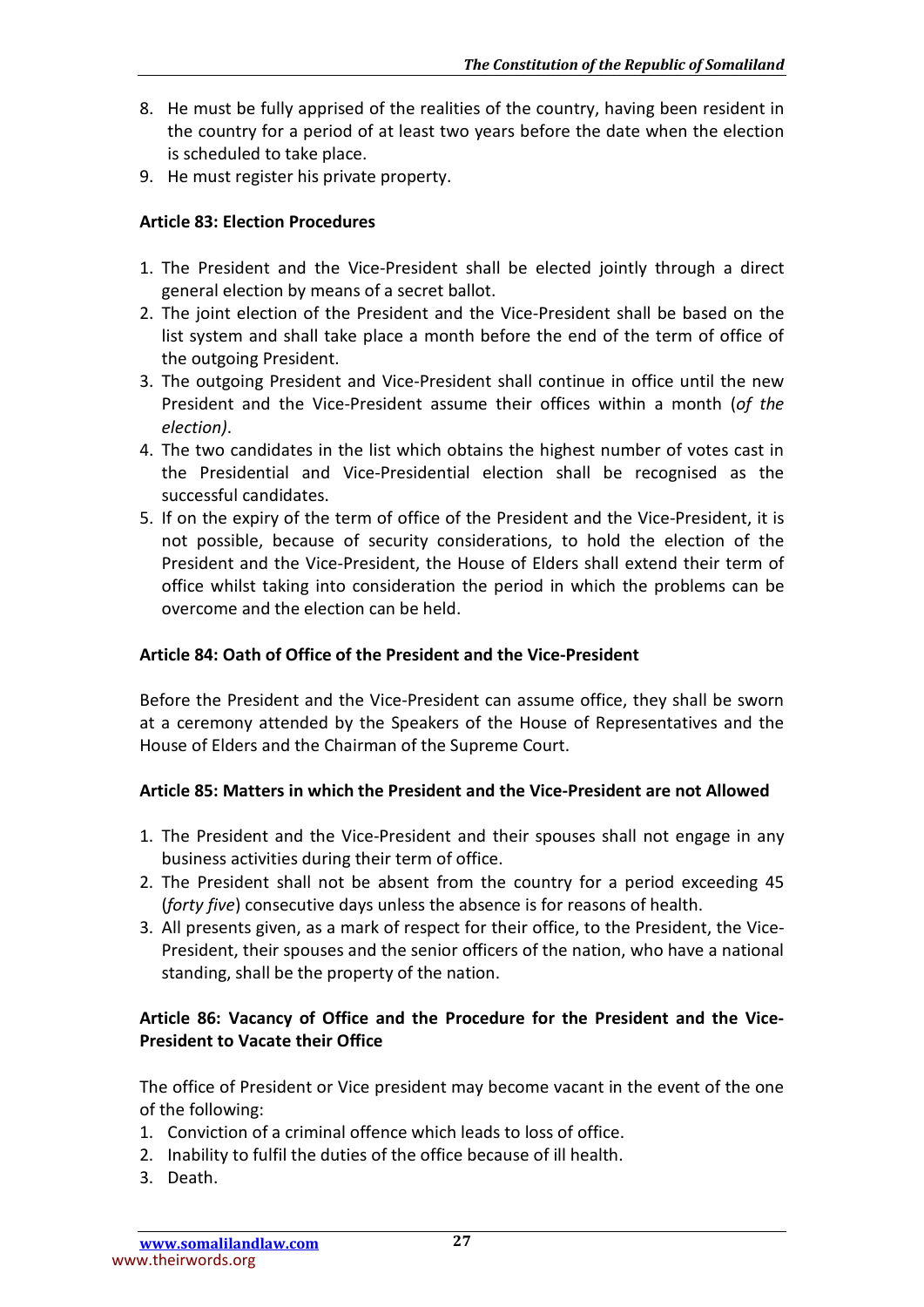- 8. He must be fully apprised of the realities of the country, having been resident in the country for a period of at least two years before the date when the election is scheduled to take place.
- 9. He must register his private property.

# **Article 83: Election Procedures**

- 1. The President and the Vice-President shall be elected jointly through a direct general election by means of a secret ballot.
- 2. The joint election of the President and the Vice-President shall be based on the list system and shall take place a month before the end of the term of office of the outgoing President.
- 3. The outgoing President and Vice-President shall continue in office until the new President and the Vice-President assume their offices within a month (*of the election)*.
- 4. The two candidates in the list which obtains the highest number of votes cast in the Presidential and Vice-Presidential election shall be recognised as the successful candidates.
- 5. If on the expiry of the term of office of the President and the Vice-President, it is not possible, because of security considerations, to hold the election of the President and the Vice-President, the House of Elders shall extend their term of office whilst taking into consideration the period in which the problems can be overcome and the election can be held.

#### **Article 84: Oath of Office of the President and the Vice-President**

Before the President and the Vice-President can assume office, they shall be sworn at a ceremony attended by the Speakers of the House of Representatives and the House of Elders and the Chairman of the Supreme Court.

#### **Article 85: Matters in which the President and the Vice-President are not Allowed**

- 1. The President and the Vice-President and their spouses shall not engage in any business activities during their term of office.
- 2. The President shall not be absent from the country for a period exceeding 45 (*forty five*) consecutive days unless the absence is for reasons of health.
- 3. All presents given, as a mark of respect for their office, to the President, the Vice-President, their spouses and the senior officers of the nation, who have a national standing, shall be the property of the nation.

## **Article 86: Vacancy of Office and the Procedure for the President and the Vice-President to Vacate their Office**

The office of President or Vice president may become vacant in the event of the one of the following:

- 1. Conviction of a criminal offence which leads to loss of office.
- 2. Inability to fulfil the duties of the office because of ill health.
- 3. Death.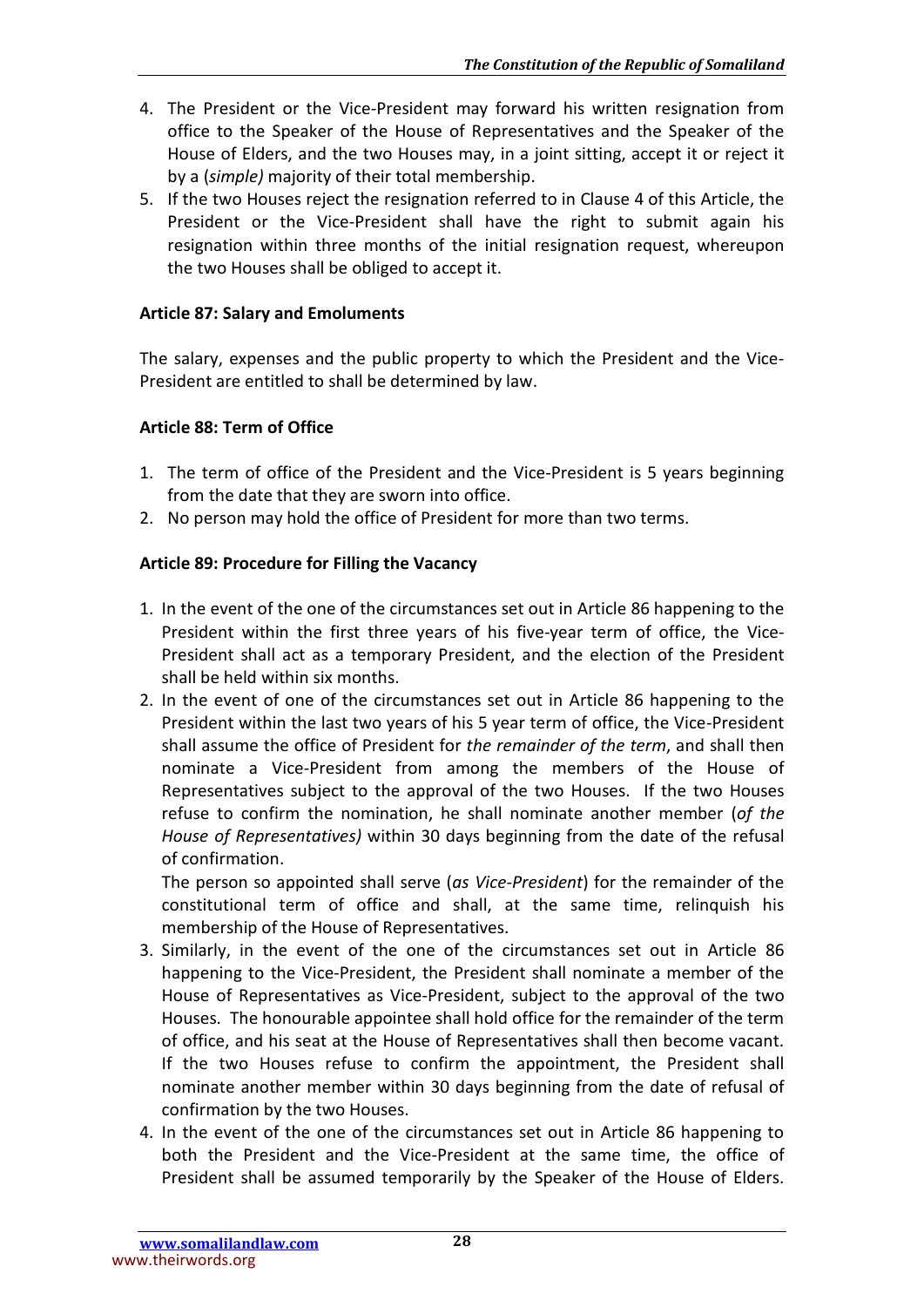- 4. The President or the Vice-President may forward his written resignation from office to the Speaker of the House of Representatives and the Speaker of the House of Elders, and the two Houses may, in a joint sitting, accept it or reject it by a (*simple)* majority of their total membership.
- 5. If the two Houses reject the resignation referred to in Clause 4 of this Article, the President or the Vice-President shall have the right to submit again his resignation within three months of the initial resignation request, whereupon the two Houses shall be obliged to accept it.

#### **Article 87: Salary and Emoluments**

The salary, expenses and the public property to which the President and the Vice-President are entitled to shall be determined by law.

## **Article 88: Term of Office**

- 1. The term of office of the President and the Vice-President is 5 years beginning from the date that they are sworn into office.
- 2. No person may hold the office of President for more than two terms.

# **Article 89: Procedure for Filling the Vacancy**

- 1. In the event of the one of the circumstances set out in Article 86 happening to the President within the first three years of his five-year term of office, the Vice-President shall act as a temporary President, and the election of the President shall be held within six months.
- 2. In the event of one of the circumstances set out in Article 86 happening to the President within the last two years of his 5 year term of office, the Vice-President shall assume the office of President for *the remainder of the term*, and shall then nominate a Vice-President from among the members of the House of Representatives subject to the approval of the two Houses. If the two Houses refuse to confirm the nomination, he shall nominate another member (*of the House of Representatives)* within 30 days beginning from the date of the refusal of confirmation.

The person so appointed shall serve (*as Vice-President*) for the remainder of the constitutional term of office and shall, at the same time, relinquish his membership of the House of Representatives.

- 3. Similarly, in the event of the one of the circumstances set out in Article 86 happening to the Vice-President, the President shall nominate a member of the House of Representatives as Vice-President, subject to the approval of the two Houses. The honourable appointee shall hold office for the remainder of the term of office, and his seat at the House of Representatives shall then become vacant. If the two Houses refuse to confirm the appointment, the President shall nominate another member within 30 days beginning from the date of refusal of confirmation by the two Houses.
- 4. In the event of the one of the circumstances set out in Article 86 happening to both the President and the Vice-President at the same time, the office of President shall be assumed temporarily by the Speaker of the House of Elders.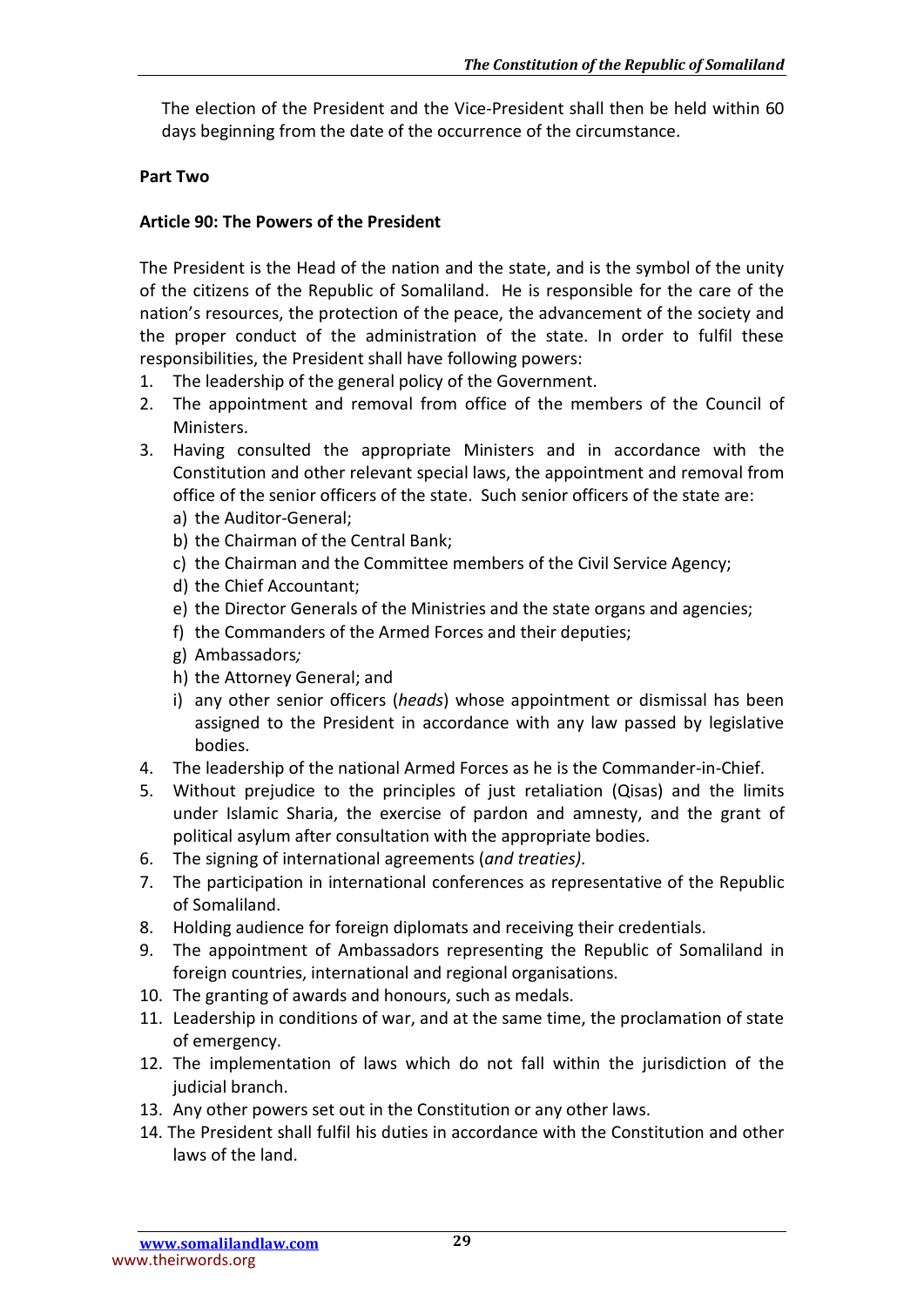The election of the President and the Vice-President shall then be held within 60 days beginning from the date of the occurrence of the circumstance.

#### **Part Two**

## **Article 90: The Powers of the President**

The President is the Head of the nation and the state, and is the symbol of the unity of the citizens of the Republic of Somaliland. He is responsible for the care of the nation's resources, the protection of the peace, the advancement of the society and the proper conduct of the administration of the state. In order to fulfil these responsibilities, the President shall have following powers:

- 1. The leadership of the general policy of the Government.
- 2. The appointment and removal from office of the members of the Council of Ministers.
- 3. Having consulted the appropriate Ministers and in accordance with the Constitution and other relevant special laws, the appointment and removal from office of the senior officers of the state. Such senior officers of the state are:
	- a) the Auditor-General;
	- b) the Chairman of the Central Bank;
	- c) the Chairman and the Committee members of the Civil Service Agency;
	- d) the Chief Accountant;
	- e) the Director Generals of the Ministries and the state organs and agencies;
	- f) the Commanders of the Armed Forces and their deputies;
	- g) Ambassadors*;*
	- h) the Attorney General; and
	- i) any other senior officers (*heads*) whose appointment or dismissal has been assigned to the President in accordance with any law passed by legislative bodies.
- 4. The leadership of the national Armed Forces as he is the Commander-in-Chief.
- 5. Without prejudice to the principles of just retaliation (Qisas) and the limits under Islamic Sharia, the exercise of pardon and amnesty, and the grant of political asylum after consultation with the appropriate bodies.
- 6. The signing of international agreements (*and treaties)*.
- 7. The participation in international conferences as representative of the Republic of Somaliland.
- 8. Holding audience for foreign diplomats and receiving their credentials.
- 9. The appointment of Ambassadors representing the Republic of Somaliland in foreign countries, international and regional organisations.
- 10. The granting of awards and honours, such as medals.
- 11. Leadership in conditions of war, and at the same time, the proclamation of state of emergency.
- 12. The implementation of laws which do not fall within the jurisdiction of the judicial branch.
- 13. Any other powers set out in the Constitution or any other laws.
- 14. The President shall fulfil his duties in accordance with the Constitution and other laws of the land.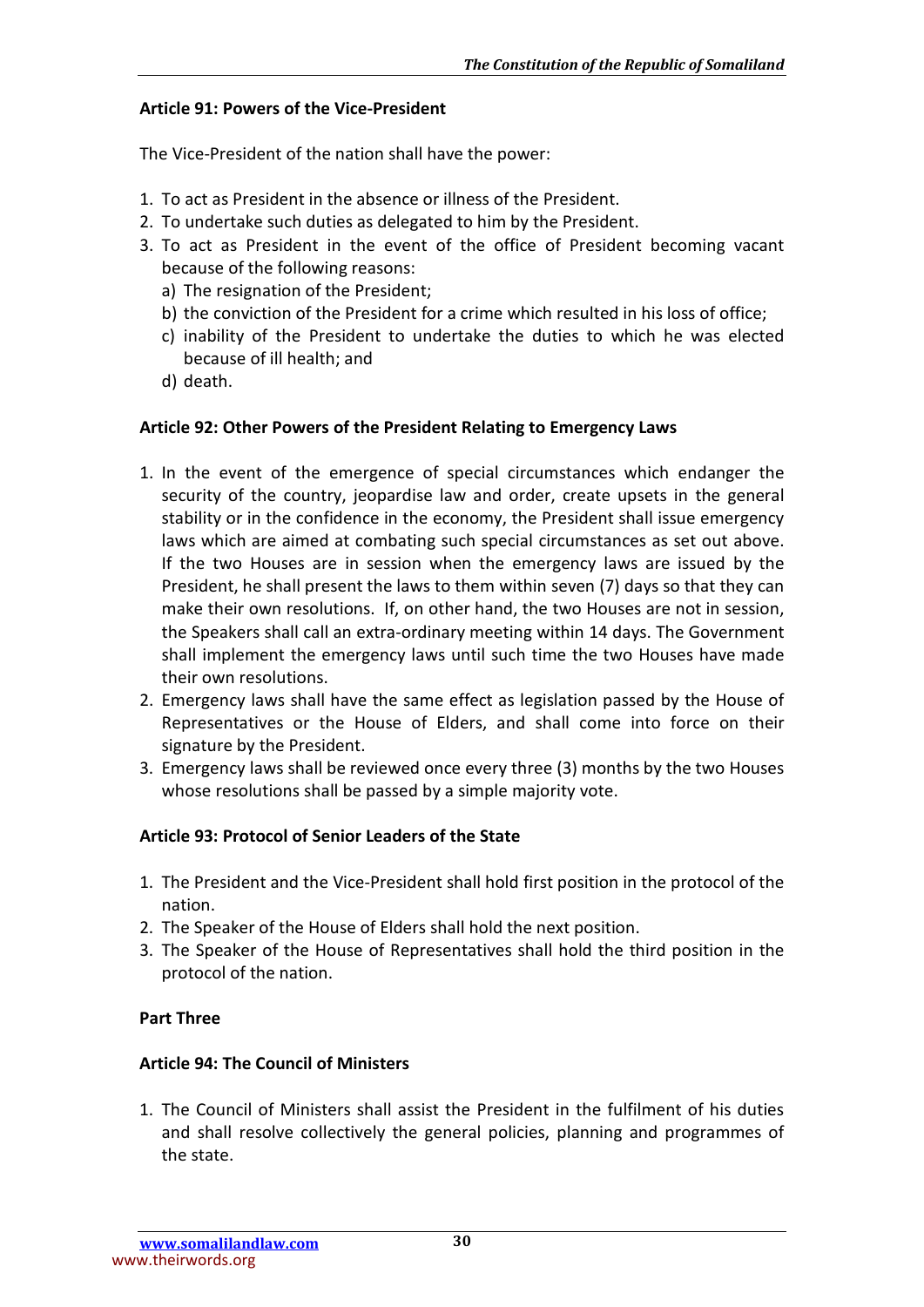## **Article 91: Powers of the Vice-President**

The Vice-President of the nation shall have the power:

- 1. To act as President in the absence or illness of the President.
- 2. To undertake such duties as delegated to him by the President.
- 3. To act as President in the event of the office of President becoming vacant because of the following reasons:
	- a) The resignation of the President;
	- b) the conviction of the President for a crime which resulted in his loss of office;
	- c) inability of the President to undertake the duties to which he was elected because of ill health; and
	- d) death.

## **Article 92: Other Powers of the President Relating to Emergency Laws**

- 1. In the event of the emergence of special circumstances which endanger the security of the country, jeopardise law and order, create upsets in the general stability or in the confidence in the economy, the President shall issue emergency laws which are aimed at combating such special circumstances as set out above. If the two Houses are in session when the emergency laws are issued by the President, he shall present the laws to them within seven (7) days so that they can make their own resolutions. If, on other hand, the two Houses are not in session, the Speakers shall call an extra-ordinary meeting within 14 days. The Government shall implement the emergency laws until such time the two Houses have made their own resolutions.
- 2. Emergency laws shall have the same effect as legislation passed by the House of Representatives or the House of Elders, and shall come into force on their signature by the President.
- 3. Emergency laws shall be reviewed once every three (3) months by the two Houses whose resolutions shall be passed by a simple majority vote.

#### **Article 93: Protocol of Senior Leaders of the State**

- 1. The President and the Vice-President shall hold first position in the protocol of the nation.
- 2. The Speaker of the House of Elders shall hold the next position.
- 3. The Speaker of the House of Representatives shall hold the third position in the protocol of the nation.

#### **Part Three**

#### **Article 94: The Council of Ministers**

1. The Council of Ministers shall assist the President in the fulfilment of his duties and shall resolve collectively the general policies, planning and programmes of the state.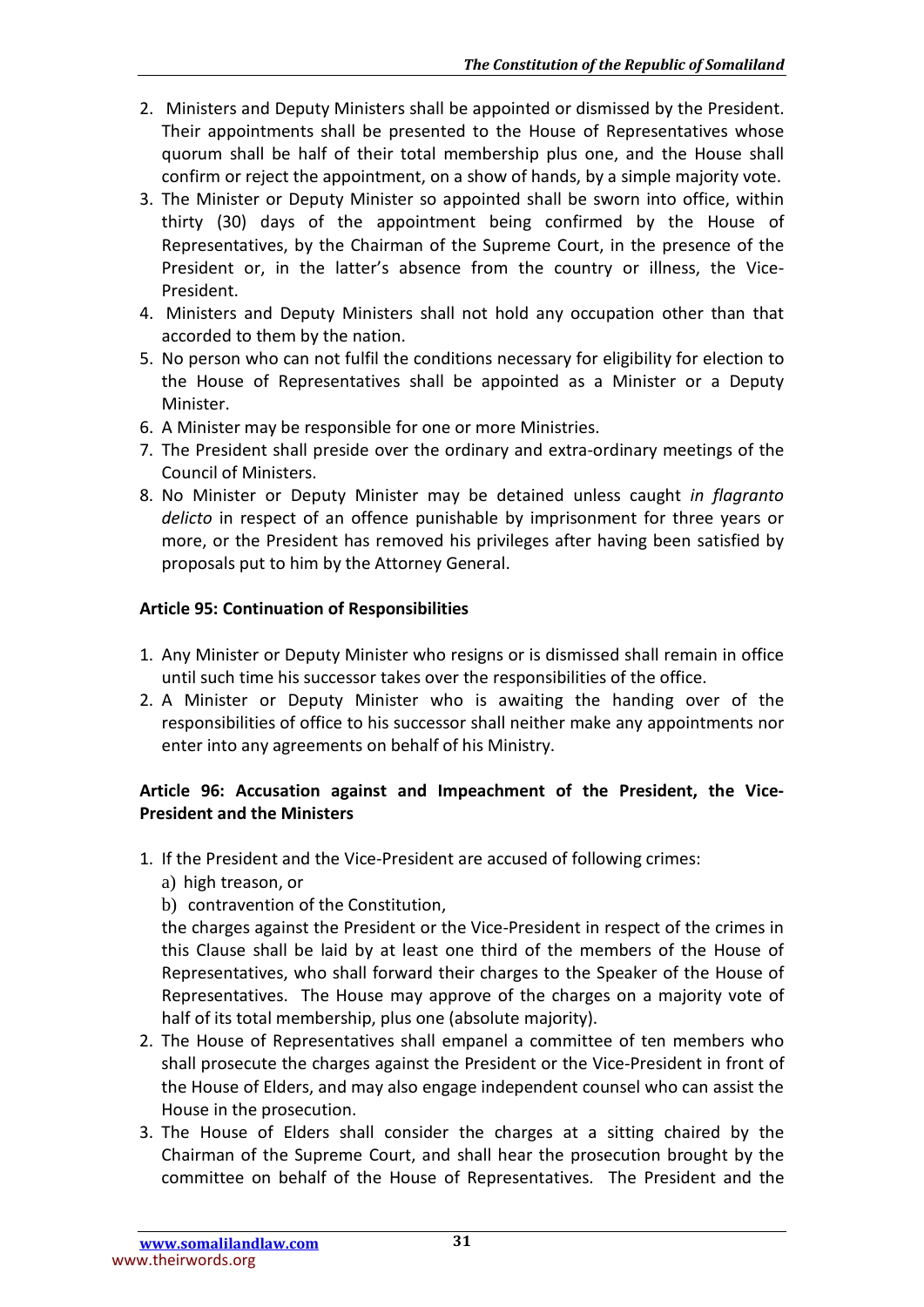- 2. Ministers and Deputy Ministers shall be appointed or dismissed by the President. Their appointments shall be presented to the House of Representatives whose quorum shall be half of their total membership plus one, and the House shall confirm or reject the appointment, on a show of hands, by a simple majority vote.
- 3. The Minister or Deputy Minister so appointed shall be sworn into office, within thirty (30) days of the appointment being confirmed by the House of Representatives, by the Chairman of the Supreme Court, in the presence of the President or, in the latter's absence from the country or illness, the Vice-President.
- 4. Ministers and Deputy Ministers shall not hold any occupation other than that accorded to them by the nation.
- 5. No person who can not fulfil the conditions necessary for eligibility for election to the House of Representatives shall be appointed as a Minister or a Deputy Minister.
- 6. A Minister may be responsible for one or more Ministries.
- 7. The President shall preside over the ordinary and extra-ordinary meetings of the Council of Ministers.
- 8. No Minister or Deputy Minister may be detained unless caught *in flagranto delicto* in respect of an offence punishable by imprisonment for three years or more, or the President has removed his privileges after having been satisfied by proposals put to him by the Attorney General.

## **Article 95: Continuation of Responsibilities**

- 1. Any Minister or Deputy Minister who resigns or is dismissed shall remain in office until such time his successor takes over the responsibilities of the office.
- 2. A Minister or Deputy Minister who is awaiting the handing over of the responsibilities of office to his successor shall neither make any appointments nor enter into any agreements on behalf of his Ministry.

#### **Article 96: Accusation against and Impeachment of the President, the Vice-President and the Ministers**

- 1. If the President and the Vice-President are accused of following crimes:
	- a) high treason, or
	- b) contravention of the Constitution,

the charges against the President or the Vice-President in respect of the crimes in this Clause shall be laid by at least one third of the members of the House of Representatives, who shall forward their charges to the Speaker of the House of Representatives. The House may approve of the charges on a majority vote of half of its total membership, plus one (absolute majority).

- 2. The House of Representatives shall empanel a committee of ten members who shall prosecute the charges against the President or the Vice-President in front of the House of Elders, and may also engage independent counsel who can assist the House in the prosecution.
- 3. The House of Elders shall consider the charges at a sitting chaired by the Chairman of the Supreme Court, and shall hear the prosecution brought by the committee on behalf of the House of Representatives. The President and the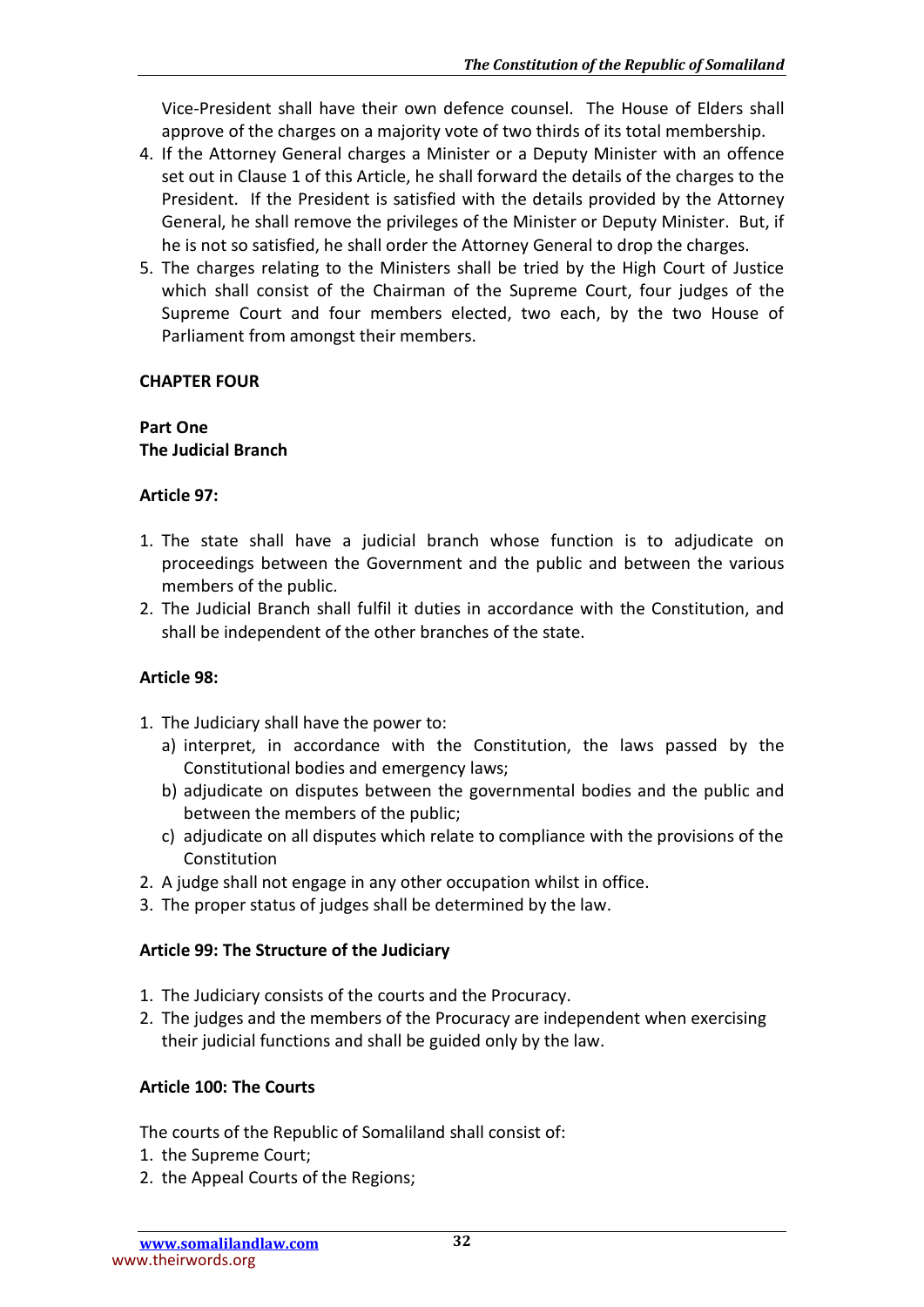Vice-President shall have their own defence counsel. The House of Elders shall approve of the charges on a majority vote of two thirds of its total membership.

- 4. If the Attorney General charges a Minister or a Deputy Minister with an offence set out in Clause 1 of this Article, he shall forward the details of the charges to the President. If the President is satisfied with the details provided by the Attorney General, he shall remove the privileges of the Minister or Deputy Minister. But, if he is not so satisfied, he shall order the Attorney General to drop the charges.
- 5. The charges relating to the Ministers shall be tried by the High Court of Justice which shall consist of the Chairman of the Supreme Court, four judges of the Supreme Court and four members elected, two each, by the two House of Parliament from amongst their members.

# **CHAPTER FOUR**

**Part One The Judicial Branch**

#### **Article 97:**

- 1. The state shall have a judicial branch whose function is to adjudicate on proceedings between the Government and the public and between the various members of the public.
- 2. The Judicial Branch shall fulfil it duties in accordance with the Constitution, and shall be independent of the other branches of the state.

#### **Article 98:**

- 1. The Judiciary shall have the power to:
	- a) interpret, in accordance with the Constitution, the laws passed by the Constitutional bodies and emergency laws;
	- b) adjudicate on disputes between the governmental bodies and the public and between the members of the public;
	- c) adjudicate on all disputes which relate to compliance with the provisions of the Constitution
- 2. A judge shall not engage in any other occupation whilst in office.
- 3. The proper status of judges shall be determined by the law.

#### **Article 99: The Structure of the Judiciary**

- 1. The Judiciary consists of the courts and the Procuracy.
- 2. The judges and the members of the Procuracy are independent when exercising their judicial functions and shall be guided only by the law.

#### **Article 100: The Courts**

The courts of the Republic of Somaliland shall consist of:

- 1. the Supreme Court;
- 2. the Appeal Courts of the Regions;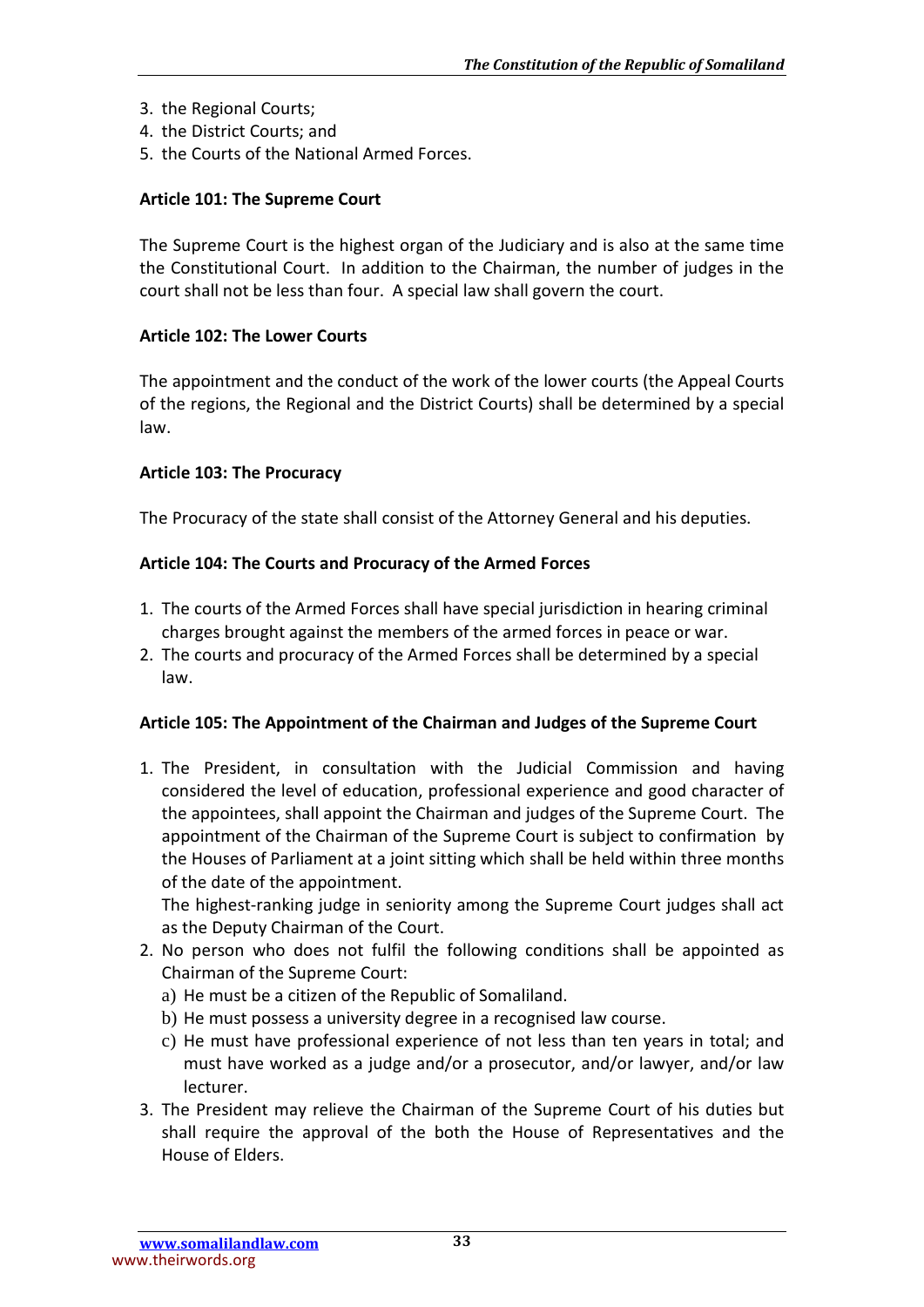- 3. the Regional Courts;
- 4. the District Courts; and
- 5. the Courts of the National Armed Forces.

#### **Article 101: The Supreme Court**

The Supreme Court is the highest organ of the Judiciary and is also at the same time the Constitutional Court. In addition to the Chairman, the number of judges in the court shall not be less than four. A special law shall govern the court.

#### **Article 102: The Lower Courts**

The appointment and the conduct of the work of the lower courts (the Appeal Courts of the regions, the Regional and the District Courts) shall be determined by a special law.

## **Article 103: The Procuracy**

The Procuracy of the state shall consist of the Attorney General and his deputies.

## **Article 104: The Courts and Procuracy of the Armed Forces**

- 1. The courts of the Armed Forces shall have special jurisdiction in hearing criminal charges brought against the members of the armed forces in peace or war.
- 2. The courts and procuracy of the Armed Forces shall be determined by a special law.

#### **Article 105: The Appointment of the Chairman and Judges of the Supreme Court**

1. The President, in consultation with the Judicial Commission and having considered the level of education, professional experience and good character of the appointees, shall appoint the Chairman and judges of the Supreme Court. The appointment of the Chairman of the Supreme Court is subject to confirmation by the Houses of Parliament at a joint sitting which shall be held within three months of the date of the appointment.

The highest-ranking judge in seniority among the Supreme Court judges shall act as the Deputy Chairman of the Court.

- 2. No person who does not fulfil the following conditions shall be appointed as Chairman of the Supreme Court:
	- a) He must be a citizen of the Republic of Somaliland.
	- b) He must possess a university degree in a recognised law course.
	- c) He must have professional experience of not less than ten years in total; and must have worked as a judge and/or a prosecutor, and/or lawyer, and/or law lecturer.
- 3. The President may relieve the Chairman of the Supreme Court of his duties but shall require the approval of the both the House of Representatives and the House of Elders.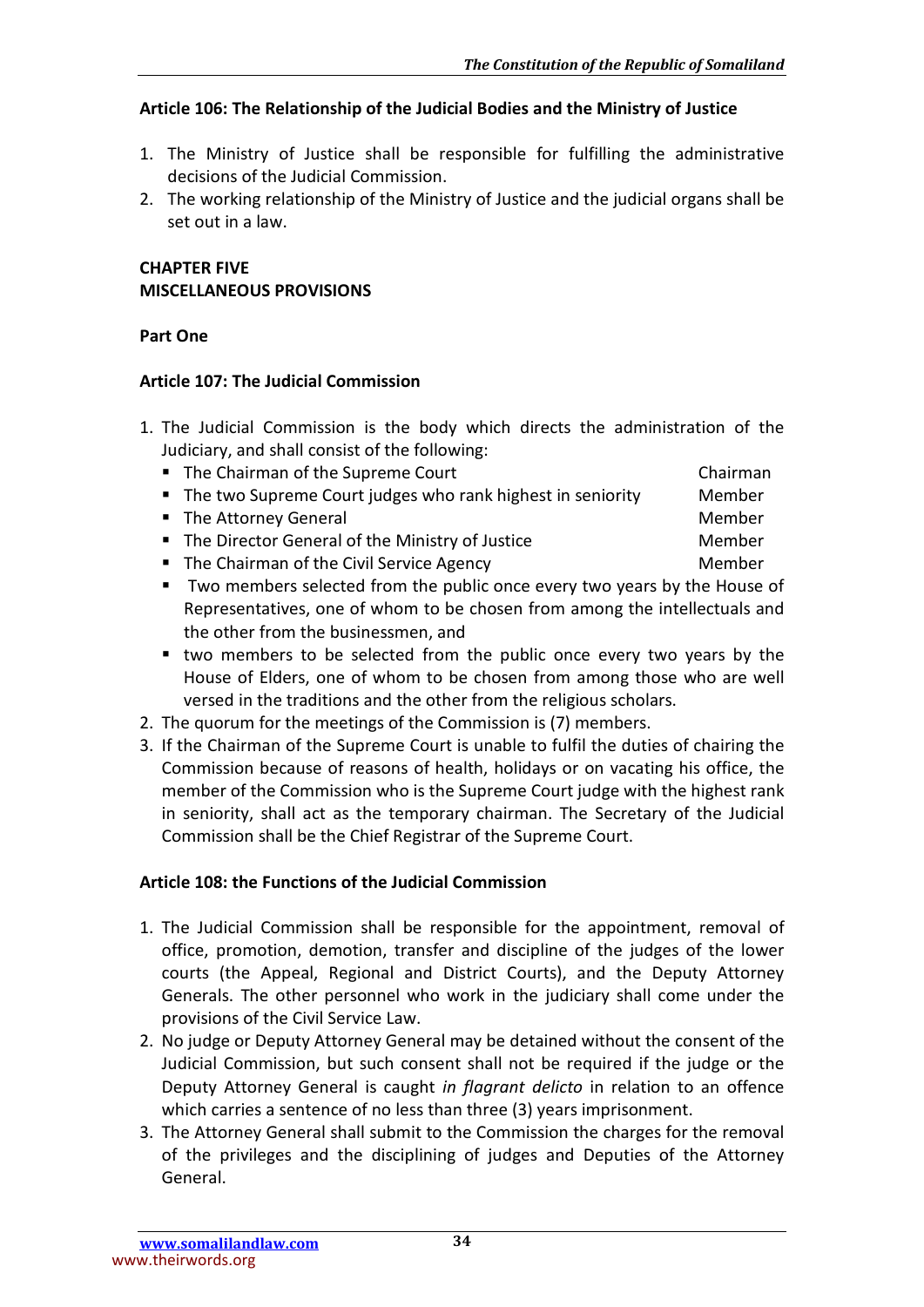#### **Article 106: The Relationship of the Judicial Bodies and the Ministry of Justice**

- 1. The Ministry of Justice shall be responsible for fulfilling the administrative decisions of the Judicial Commission.
- 2. The working relationship of the Ministry of Justice and the judicial organs shall be set out in a law.

#### **CHAPTER FIVE MISCELLANEOUS PROVISIONS**

#### **Part One**

#### **Article 107: The Judicial Commission**

1. The Judicial Commission is the body which directs the administration of the Judiciary, and shall consist of the following:

| • The Chairman of the Supreme Court                          | Chairman |
|--------------------------------------------------------------|----------|
| • The two Supreme Court judges who rank highest in seniority | Member   |
| • The Attorney General                                       | Member   |
| • The Director General of the Ministry of Justice            | Member   |
| • The Chairman of the Civil Service Agency                   | Member   |

- Two members selected from the public once every two years by the House of Representatives, one of whom to be chosen from among the intellectuals and the other from the businessmen, and
- two members to be selected from the public once every two years by the House of Elders, one of whom to be chosen from among those who are well versed in the traditions and the other from the religious scholars.
- 2. The quorum for the meetings of the Commission is (7) members.
- 3. If the Chairman of the Supreme Court is unable to fulfil the duties of chairing the Commission because of reasons of health, holidays or on vacating his office, the member of the Commission who is the Supreme Court judge with the highest rank in seniority, shall act as the temporary chairman. The Secretary of the Judicial Commission shall be the Chief Registrar of the Supreme Court.

# **Article 108: the Functions of the Judicial Commission**

- 1. The Judicial Commission shall be responsible for the appointment, removal of office, promotion, demotion, transfer and discipline of the judges of the lower courts (the Appeal, Regional and District Courts), and the Deputy Attorney Generals. The other personnel who work in the judiciary shall come under the provisions of the Civil Service Law.
- 2. No judge or Deputy Attorney General may be detained without the consent of the Judicial Commission, but such consent shall not be required if the judge or the Deputy Attorney General is caught *in flagrant delicto* in relation to an offence which carries a sentence of no less than three (3) years imprisonment.
- 3. The Attorney General shall submit to the Commission the charges for the removal of the privileges and the disciplining of judges and Deputies of the Attorney General.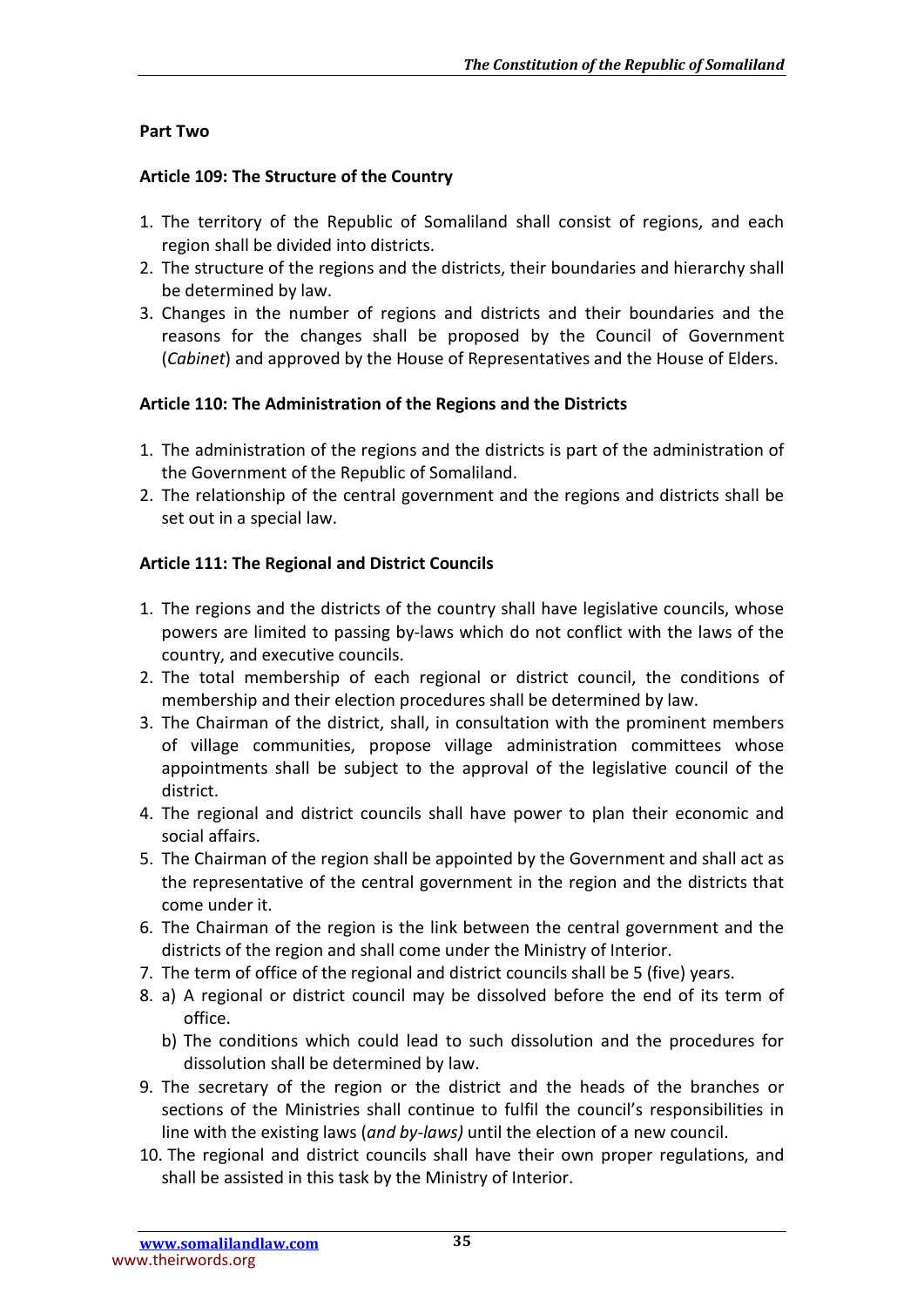# **Part Two**

## **Article 109: The Structure of the Country**

- 1. The territory of the Republic of Somaliland shall consist of regions, and each region shall be divided into districts.
- 2. The structure of the regions and the districts, their boundaries and hierarchy shall be determined by law.
- 3. Changes in the number of regions and districts and their boundaries and the reasons for the changes shall be proposed by the Council of Government (*Cabinet*) and approved by the House of Representatives and the House of Elders.

## **Article 110: The Administration of the Regions and the Districts**

- 1. The administration of the regions and the districts is part of the administration of the Government of the Republic of Somaliland.
- 2. The relationship of the central government and the regions and districts shall be set out in a special law.

## **Article 111: The Regional and District Councils**

- 1. The regions and the districts of the country shall have legislative councils, whose powers are limited to passing by-laws which do not conflict with the laws of the country, and executive councils.
- 2. The total membership of each regional or district council, the conditions of membership and their election procedures shall be determined by law.
- 3. The Chairman of the district, shall, in consultation with the prominent members of village communities, propose village administration committees whose appointments shall be subject to the approval of the legislative council of the district.
- 4. The regional and district councils shall have power to plan their economic and social affairs.
- 5. The Chairman of the region shall be appointed by the Government and shall act as the representative of the central government in the region and the districts that come under it.
- 6. The Chairman of the region is the link between the central government and the districts of the region and shall come under the Ministry of Interior.
- 7. The term of office of the regional and district councils shall be 5 (five) years.
- 8. a) A regional or district council may be dissolved before the end of its term of office.
	- b) The conditions which could lead to such dissolution and the procedures for dissolution shall be determined by law.
- 9. The secretary of the region or the district and the heads of the branches or sections of the Ministries shall continue to fulfil the council's responsibilities in line with the existing laws (*and by-laws)* until the election of a new council.
- 10. The regional and district councils shall have their own proper regulations, and shall be assisted in this task by the Ministry of Interior.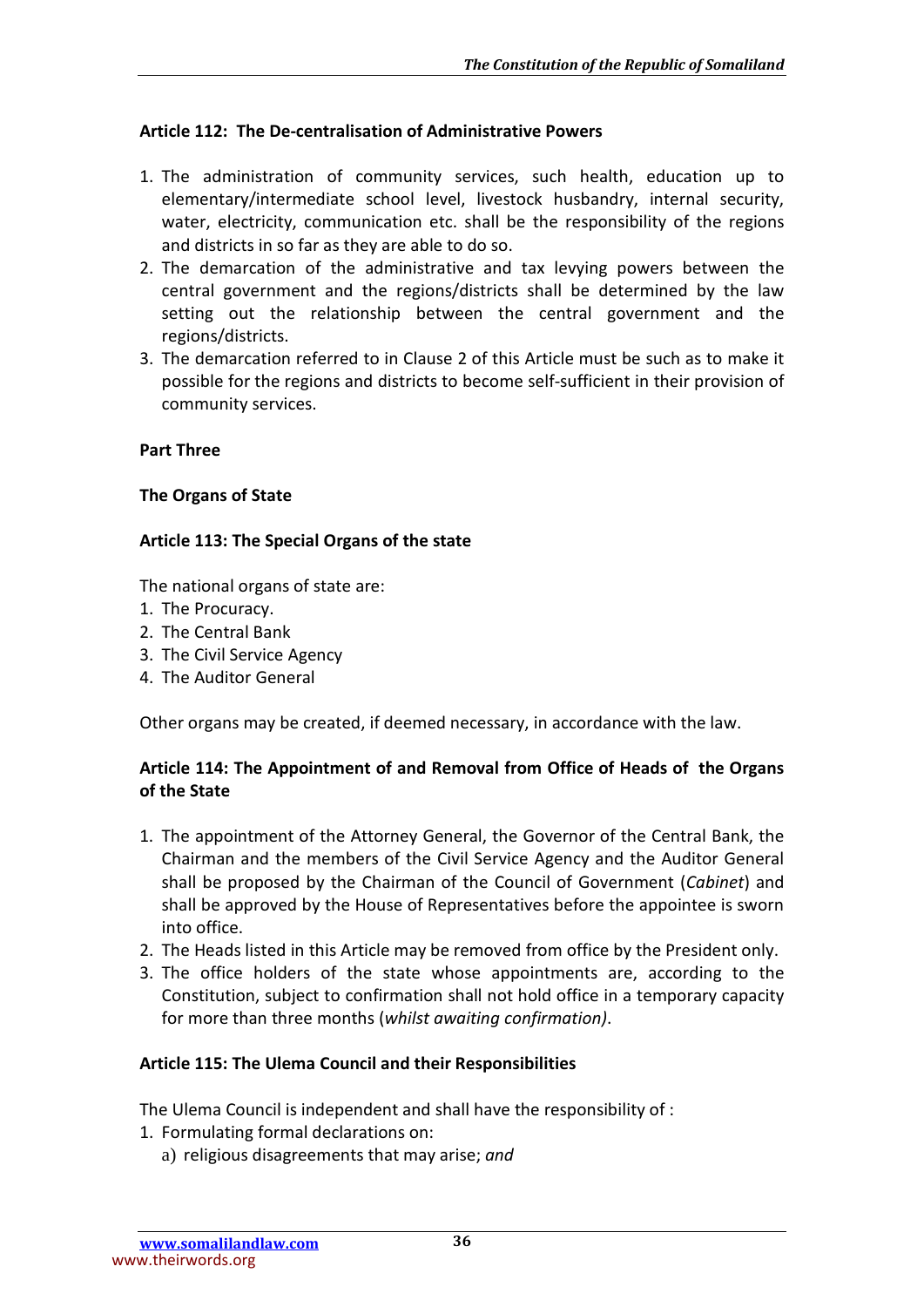# **Article 112: The De-centralisation of Administrative Powers**

- 1. The administration of community services, such health, education up to elementary/intermediate school level, livestock husbandry, internal security, water, electricity, communication etc. shall be the responsibility of the regions and districts in so far as they are able to do so.
- 2. The demarcation of the administrative and tax levying powers between the central government and the regions/districts shall be determined by the law setting out the relationship between the central government and the regions/districts.
- 3. The demarcation referred to in Clause 2 of this Article must be such as to make it possible for the regions and districts to become self-sufficient in their provision of community services.

## **Part Three**

## **The Organs of State**

## **Article 113: The Special Organs of the state**

The national organs of state are:

- 1. The Procuracy.
- 2. The Central Bank
- 3. The Civil Service Agency
- 4. The Auditor General

Other organs may be created, if deemed necessary, in accordance with the law.

## **Article 114: The Appointment of and Removal from Office of Heads of the Organs of the State**

- 1. The appointment of the Attorney General, the Governor of the Central Bank, the Chairman and the members of the Civil Service Agency and the Auditor General shall be proposed by the Chairman of the Council of Government (*Cabinet*) and shall be approved by the House of Representatives before the appointee is sworn into office.
- 2. The Heads listed in this Article may be removed from office by the President only.
- 3. The office holders of the state whose appointments are, according to the Constitution, subject to confirmation shall not hold office in a temporary capacity for more than three months (*whilst awaiting confirmation)*.

#### **Article 115: The Ulema Council and their Responsibilities**

The Ulema Council is independent and shall have the responsibility of :

- 1. Formulating formal declarations on:
	- a) religious disagreements that may arise; *and*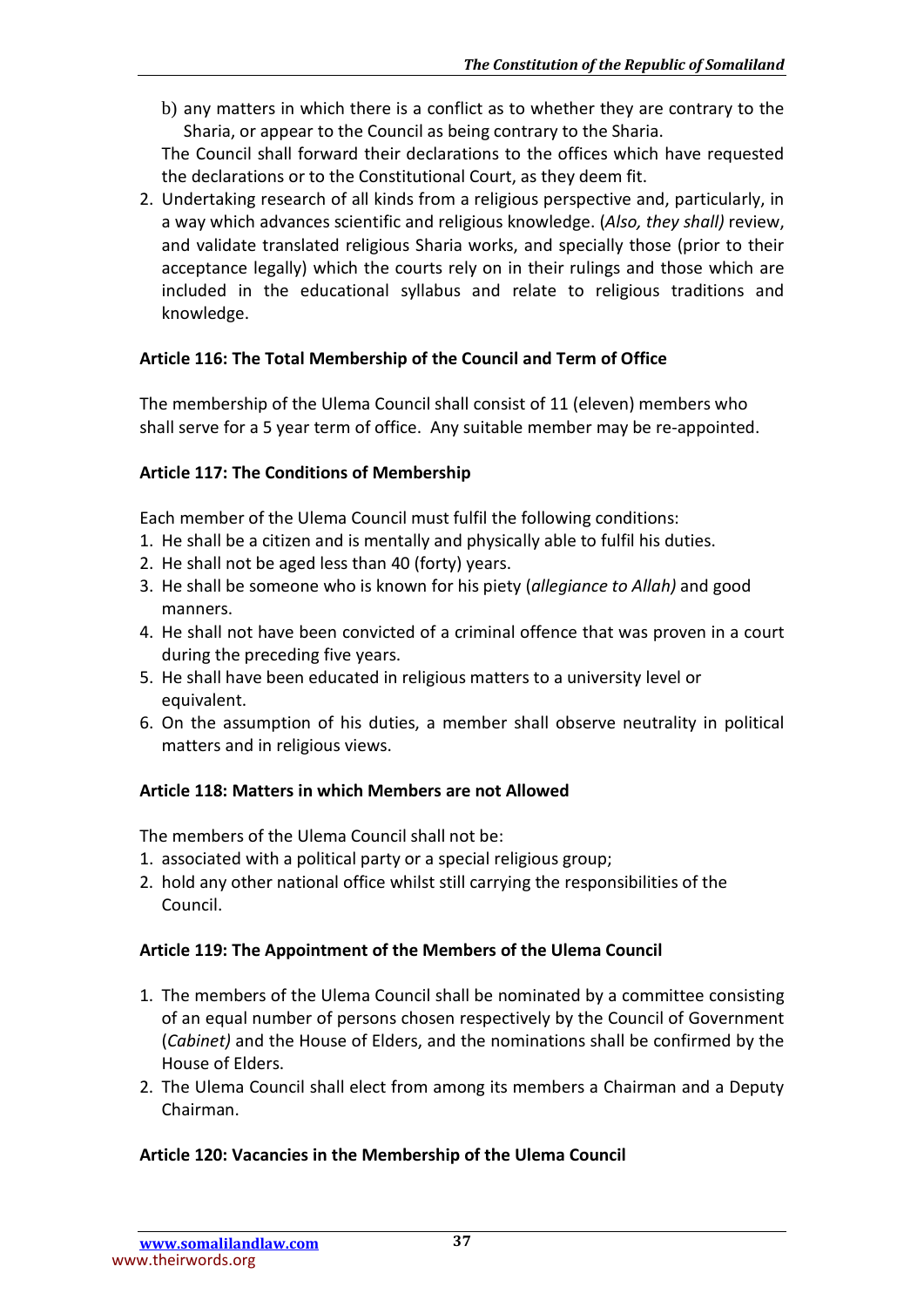b) any matters in which there is a conflict as to whether they are contrary to the Sharia, or appear to the Council as being contrary to the Sharia.

The Council shall forward their declarations to the offices which have requested the declarations or to the Constitutional Court, as they deem fit.

2. Undertaking research of all kinds from a religious perspective and, particularly, in a way which advances scientific and religious knowledge. (*Also, they shall)* review, and validate translated religious Sharia works, and specially those (prior to their acceptance legally) which the courts rely on in their rulings and those which are included in the educational syllabus and relate to religious traditions and knowledge.

# **Article 116: The Total Membership of the Council and Term of Office**

The membership of the Ulema Council shall consist of 11 (eleven) members who shall serve for a 5 year term of office. Any suitable member may be re-appointed.

## **Article 117: The Conditions of Membership**

Each member of the Ulema Council must fulfil the following conditions:

- 1. He shall be a citizen and is mentally and physically able to fulfil his duties.
- 2. He shall not be aged less than 40 (forty) years.
- 3. He shall be someone who is known for his piety (*allegiance to Allah)* and good manners.
- 4. He shall not have been convicted of a criminal offence that was proven in a court during the preceding five years.
- 5. He shall have been educated in religious matters to a university level or equivalent.
- 6. On the assumption of his duties, a member shall observe neutrality in political matters and in religious views.

#### **Article 118: Matters in which Members are not Allowed**

The members of the Ulema Council shall not be:

- 1. associated with a political party or a special religious group;
- 2. hold any other national office whilst still carrying the responsibilities of the Council.

#### **Article 119: The Appointment of the Members of the Ulema Council**

- 1. The members of the Ulema Council shall be nominated by a committee consisting of an equal number of persons chosen respectively by the Council of Government (*Cabinet)* and the House of Elders, and the nominations shall be confirmed by the House of Elders.
- 2. The Ulema Council shall elect from among its members a Chairman and a Deputy Chairman.

#### **Article 120: Vacancies in the Membership of the Ulema Council**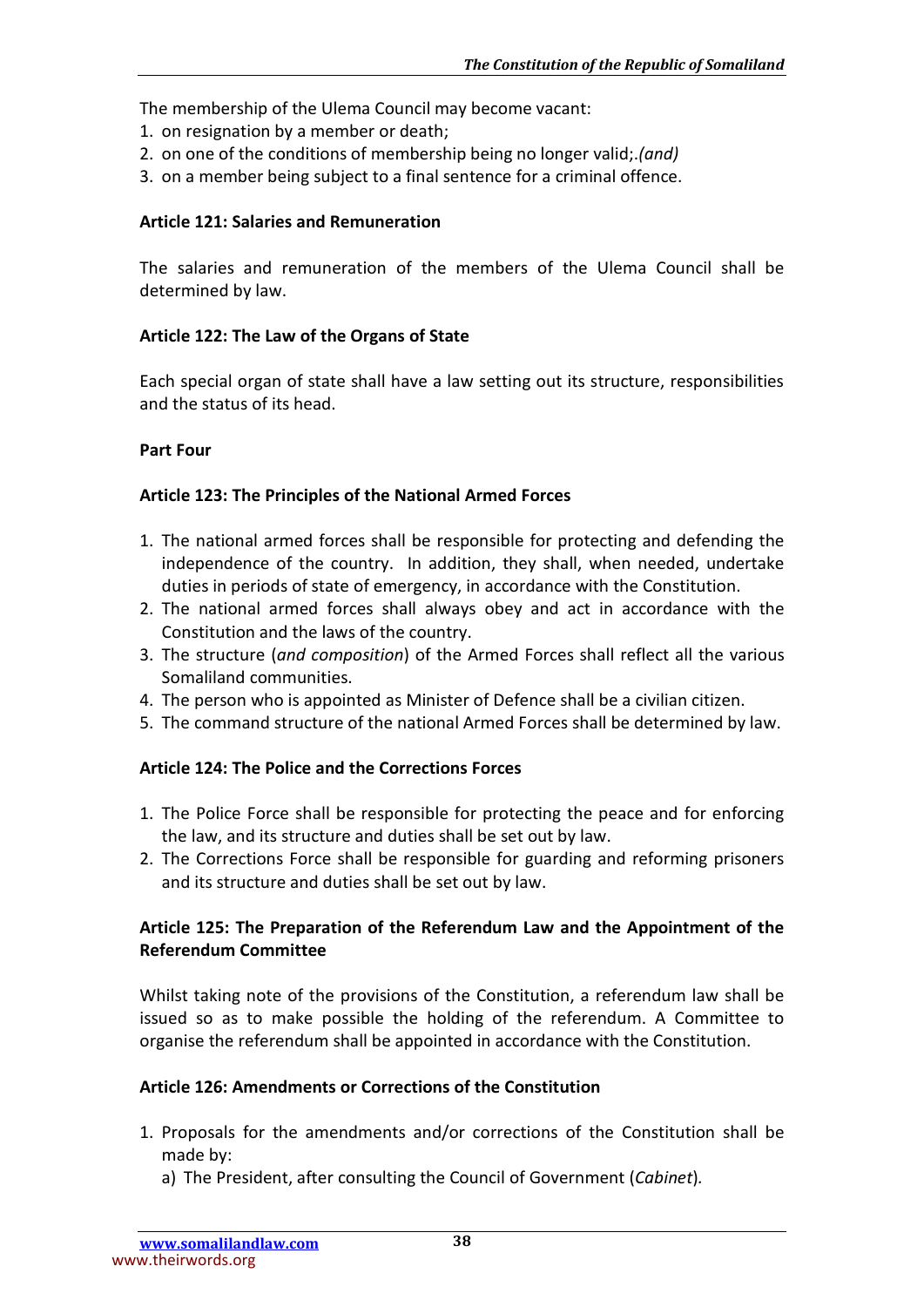The membership of the Ulema Council may become vacant:

- 1. on resignation by a member or death;
- 2. on one of the conditions of membership being no longer valid;.*(and)*
- 3. on a member being subject to a final sentence for a criminal offence.

#### **Article 121: Salaries and Remuneration**

The salaries and remuneration of the members of the Ulema Council shall be determined by law.

#### **Article 122: The Law of the Organs of State**

Each special organ of state shall have a law setting out its structure, responsibilities and the status of its head.

#### **Part Four**

#### **Article 123: The Principles of the National Armed Forces**

- 1. The national armed forces shall be responsible for protecting and defending the independence of the country. In addition, they shall, when needed, undertake duties in periods of state of emergency, in accordance with the Constitution.
- 2. The national armed forces shall always obey and act in accordance with the Constitution and the laws of the country.
- 3. The structure (*and composition*) of the Armed Forces shall reflect all the various Somaliland communities.
- 4. The person who is appointed as Minister of Defence shall be a civilian citizen.
- 5. The command structure of the national Armed Forces shall be determined by law.

#### **Article 124: The Police and the Corrections Forces**

- 1. The Police Force shall be responsible for protecting the peace and for enforcing the law, and its structure and duties shall be set out by law.
- 2. The Corrections Force shall be responsible for guarding and reforming prisoners and its structure and duties shall be set out by law.

## **Article 125: The Preparation of the Referendum Law and the Appointment of the Referendum Committee**

Whilst taking note of the provisions of the Constitution, a referendum law shall be issued so as to make possible the holding of the referendum. A Committee to organise the referendum shall be appointed in accordance with the Constitution.

#### **Article 126: Amendments or Corrections of the Constitution**

- 1. Proposals for the amendments and/or corrections of the Constitution shall be made by:
	- a) The President, after consulting the Council of Government (*Cabinet*)*.*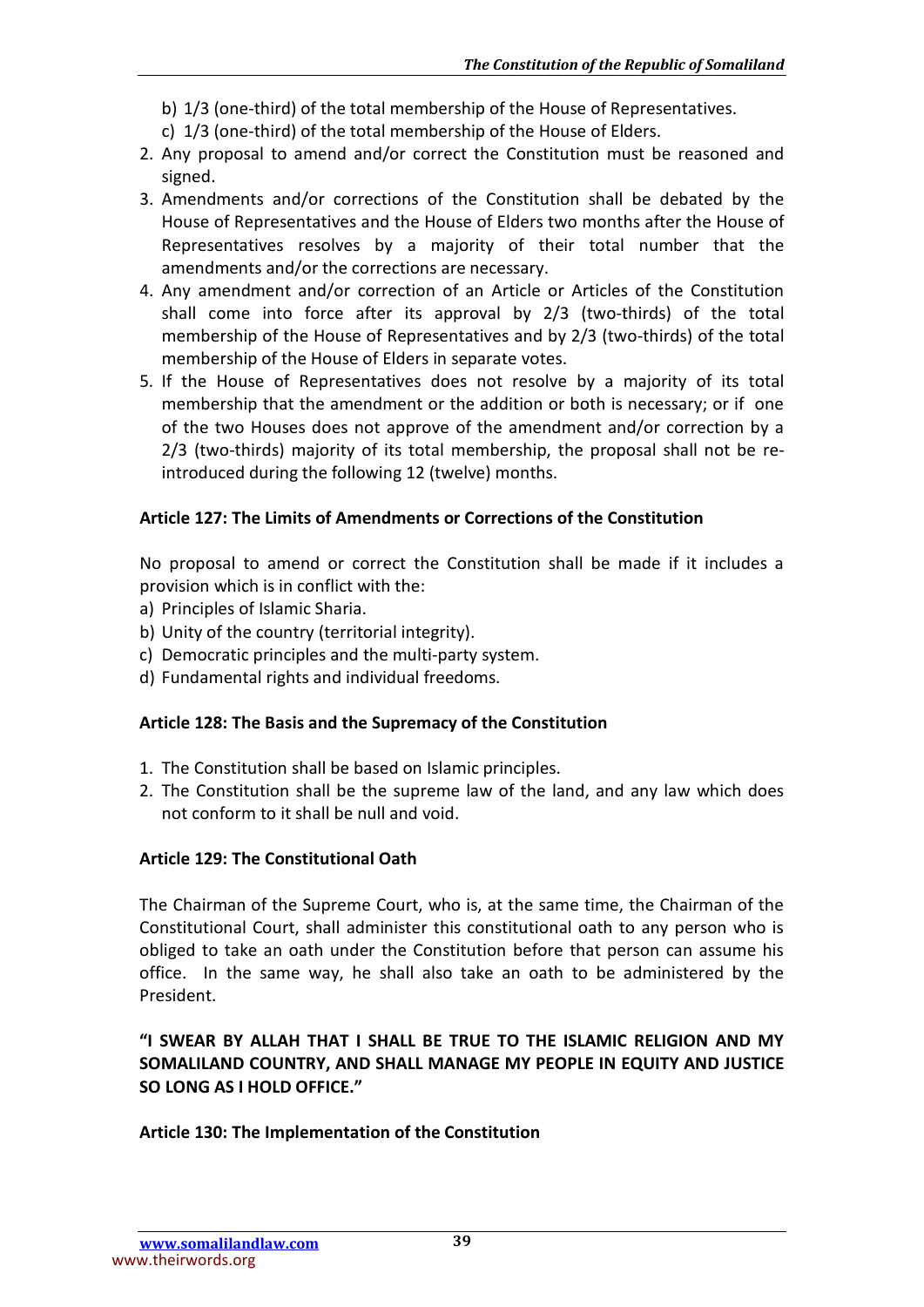b) 1/3 (one-third) of the total membership of the House of Representatives.

- c) 1/3 (one-third) of the total membership of the House of Elders.
- 2. Any proposal to amend and/or correct the Constitution must be reasoned and signed.
- 3. Amendments and/or corrections of the Constitution shall be debated by the House of Representatives and the House of Elders two months after the House of Representatives resolves by a majority of their total number that the amendments and/or the corrections are necessary.
- 4. Any amendment and/or correction of an Article or Articles of the Constitution shall come into force after its approval by 2/3 (two-thirds) of the total membership of the House of Representatives and by 2/3 (two-thirds) of the total membership of the House of Elders in separate votes.
- 5. If the House of Representatives does not resolve by a majority of its total membership that the amendment or the addition or both is necessary; or if one of the two Houses does not approve of the amendment and/or correction by a 2/3 (two-thirds) majority of its total membership, the proposal shall not be reintroduced during the following 12 (twelve) months.

# **Article 127: The Limits of Amendments or Corrections of the Constitution**

No proposal to amend or correct the Constitution shall be made if it includes a provision which is in conflict with the:

- a) Principles of Islamic Sharia.
- b) Unity of the country (territorial integrity).
- c) Democratic principles and the multi-party system.
- d) Fundamental rights and individual freedoms.

#### **Article 128: The Basis and the Supremacy of the Constitution**

- 1. The Constitution shall be based on Islamic principles.
- 2. The Constitution shall be the supreme law of the land, and any law which does not conform to it shall be null and void.

#### **Article 129: The Constitutional Oath**

The Chairman of the Supreme Court, who is, at the same time, the Chairman of the Constitutional Court, shall administer this constitutional oath to any person who is obliged to take an oath under the Constitution before that person can assume his office. In the same way, he shall also take an oath to be administered by the President.

## **"I SWEAR BY ALLAH THAT I SHALL BE TRUE TO THE ISLAMIC RELIGION AND MY SOMALILAND COUNTRY, AND SHALL MANAGE MY PEOPLE IN EQUITY AND JUSTICE SO LONG AS I HOLD OFFICE."**

#### **Article 130: The Implementation of the Constitution**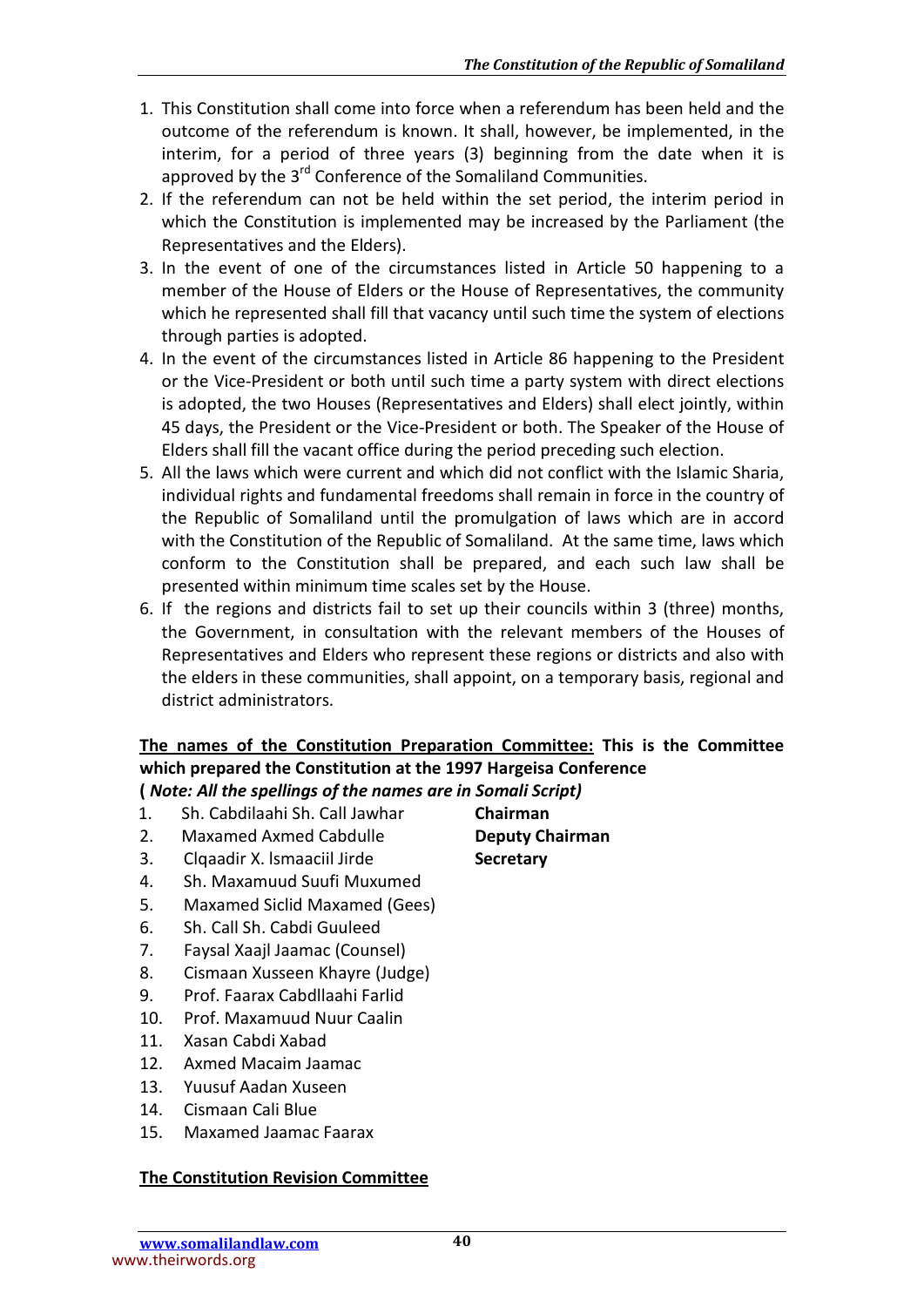- 1. This Constitution shall come into force when a referendum has been held and the outcome of the referendum is known. It shall, however, be implemented, in the interim, for a period of three years (3) beginning from the date when it is approved by the  $3<sup>rd</sup>$  Conference of the Somaliland Communities.
- 2. If the referendum can not be held within the set period, the interim period in which the Constitution is implemented may be increased by the Parliament (the Representatives and the Elders).
- 3. In the event of one of the circumstances listed in Article 50 happening to a member of the House of Elders or the House of Representatives, the community which he represented shall fill that vacancy until such time the system of elections through parties is adopted.
- 4. In the event of the circumstances listed in Article 86 happening to the President or the Vice-President or both until such time a party system with direct elections is adopted, the two Houses (Representatives and Elders) shall elect jointly, within 45 days, the President or the Vice-President or both. The Speaker of the House of Elders shall fill the vacant office during the period preceding such election.
- 5. All the laws which were current and which did not conflict with the Islamic Sharia, individual rights and fundamental freedoms shall remain in force in the country of the Republic of Somaliland until the promulgation of laws which are in accord with the Constitution of the Republic of Somaliland. At the same time, laws which conform to the Constitution shall be prepared, and each such law shall be presented within minimum time scales set by the House.
- 6. If the regions and districts fail to set up their councils within 3 (three) months, the Government, in consultation with the relevant members of the Houses of Representatives and Elders who represent these regions or districts and also with the elders in these communities, shall appoint, on a temporary basis, regional and district administrators.

# **The names of the Constitution Preparation Committee: This is the Committee which prepared the Constitution at the 1997 Hargeisa Conference**

**(** *Note: All the spellings of the names are in Somali Script)*

- 1. Sh. Cabdilaahi Sh. Call Jawhar **Chairman**
- 2. Maxamed Axmed Cabdulle **Deputy Chairman**
- 3. Clqaadir X. lsmaaciil Jirde **Secretary**
- 4. Sh. Maxamuud Suufi Muxumed
- 5. Maxamed Siclid Maxamed (Gees)
- 6. Sh. Call Sh. Cabdi Guuleed
- 7. Faysal Xaajl Jaamac (Counsel)
- 8. Cismaan Xusseen Khayre (Judge)
- 9. Prof. Faarax Cabdllaahi Farlid
- 10. Prof. Maxamuud Nuur Caalin
- 11. Xasan Cabdi Xabad
- 12. Axmed Macaim Jaamac
- 13. Yuusuf Aadan Xuseen
- 14. Cismaan Cali Blue
- 15. Maxamed Jaamac Faarax

# **The Constitution Revision Committee**